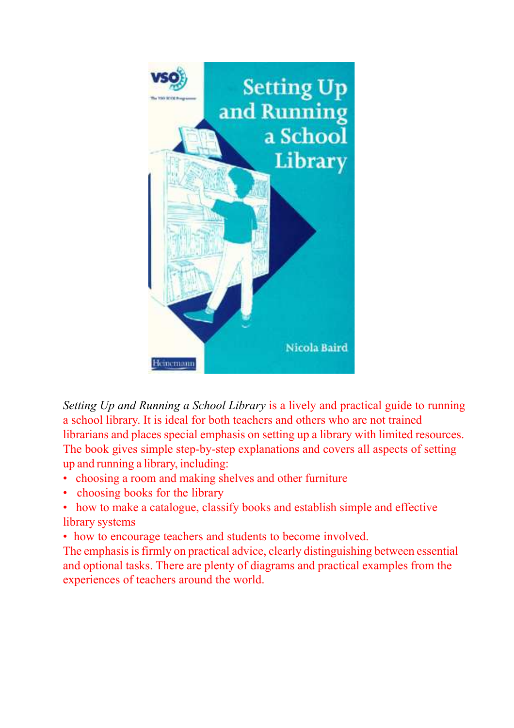

Setting Up and Running a School Library is a lively and practical guide to running a school library. It is ideal for both teachers and others who are not trained librarians and places special emphasis on setting up a library with limited resources. The book gives simple step-by-step explanations and covers all aspects of setting up and running a library, including:

- choosing a room and making shelves and other furniture
- choosing books for the library
- how to make a catalogue, classify books and establish simple and effective library systems
- how to encourage teachers and students to become involved.

The emphasis is firmly on practical advice, clearly distinguishing between essential and optional tasks. There are plenty of diagrams and practical examples from the experiences of teachers around the world.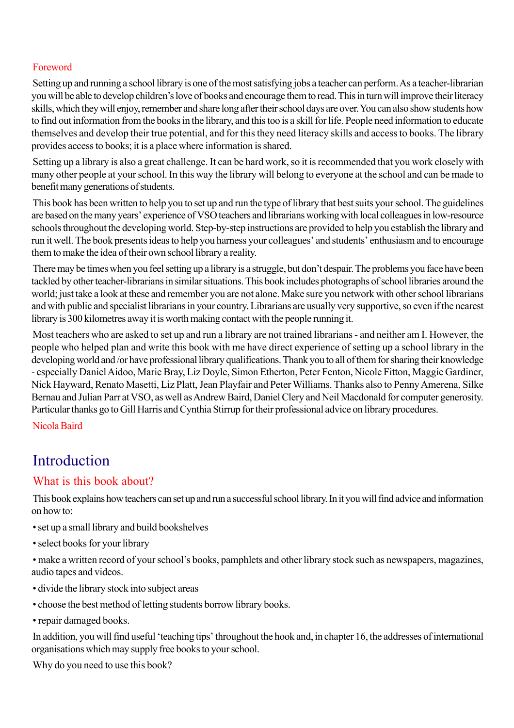### Foreword

Setting up and running a school library is one of the most satisfying jobs a teacher can perform. As a teacher-librarian you will be able to develop children's love of books and encourage them to read. This in turn will improve their literacy skills, which they will enjoy, remember and share long after their school days are over. You can also show students how to find out information from the books in the library, and this too is a skill for life. People need information to educate themselves and develop their true potential, and for this they need literacy skills and access to books. The library provides access to books; it is a place where information is shared.

Setting up a library is also a great challenge. It can be hard work, so it is recommended that you work closely with many other people at your school. In this way the library will belong to everyone at the school and can be made to benefit many generations of students.

This book has been written to help you to set up and run the type of library that best suits your school. The guidelines are based on the many years' experience of VSO teachers and librarians working with local colleagues in low-resource schools throughout the developing world. Step-by-step instructions are provided to help you establish the library and run it well. The book presents ideas to help you harness your colleagues' and students' enthusiasm and to encourage them to make the idea of their own school library a reality.

There may be times when you feel setting up a library is a struggle, but don't despair. The problems you face have been tackled by other teacher-librarians in similar situations. This book includes photographs of school libraries around the world; just take a look at these and remember you are not alone. Make sure you network with other school librarians and with public and specialist librarians in your country. Librarians are usually very supportive, so even if the nearest library is 300 kilometres away it is worth making contact with the people running it.

Most teachers who are asked to set up and run a library are not trained librarians - and neither am I. However, the people who helped plan and write this book with me have direct experience of setting up a school library in the developing world and /or have professional library qualifications. Thank you to all of them for sharing their knowledge - especially Daniel Aidoo, Marie Bray, Liz Doyle, Simon Etherton, Peter Fenton, Nicole Fitton, Maggie Gardiner, Nick Hayward, Renato Masetti, Liz Platt, Jean Playfair and Peter Williams. Thanks also to Penny Amerena, Silke Bernau and Julian Parr at VSO, as well as Andrew Baird, Daniel Clery and Neil Macdonald for computer generosity. Particular thanks go to Gill Harris and Cynthia Stirrup for their professional advice on library procedures.

Nicola Baird

# Introduction

## What is this book about?

This book explains how teachers can set up and run a successful school library. In it you will find advice and information on how to:

- set up a small library and build bookshelves
- select books for your library
- make a written record of your school's books, pamphlets and other library stock such as newspapers, magazines, audio tapes and videos.
- divide the library stock into subject areas
- choose the best method of letting students borrow library books.
- repair damaged books.

In addition, you will find useful 'teaching tips' throughout the hook and, in chapter 16, the addresses of international organisations which may supply free books to your school.

Why do you need to use this book?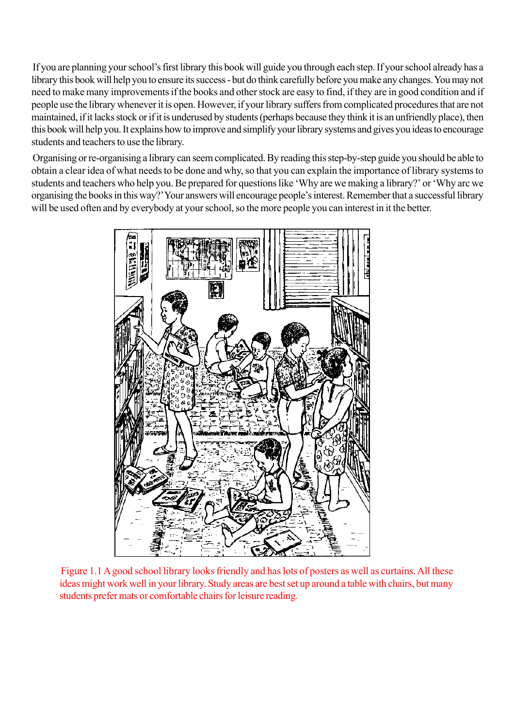If you are planning your school's first library this book will guide you through each step. If your school already has a library this book will help you to ensure its success - but do think carefully before you make any changes. You may not need to make many improvements if the books and other stock are easy to find, if they are in good condition and if people use the library whenever it is open. However, if your library suffers from complicated procedures that are not maintained, if it lacks stock or if it is underused by students (perhaps because they think it is an unfriendly place), then this book will help you. It explains how to improve and simplify your library systems and gives you ideas to encourage students and teachers to use the library.

Organising or re-organising a library can seem complicated. By reading this step-by-step guide you should be able to obtain a clear idea of what needs to be done and why, so that you can explain the importance of library systems to students and teachers who help you. Be prepared for questions like 'Why are we making a library?' or 'Why arc we organising the books in this way?' Your answers will encourage people's interest. Remember that a successful library will be used often and by everybody at your school, so the more people you can interest in it the better.



Figure 1.1 A good school library looks friendly and has lots of posters as well as curtains. All these ideas might work well in your library. Study areas are best set up around a table with chairs, but many students prefer mats or comfortable chairs for leisure reading.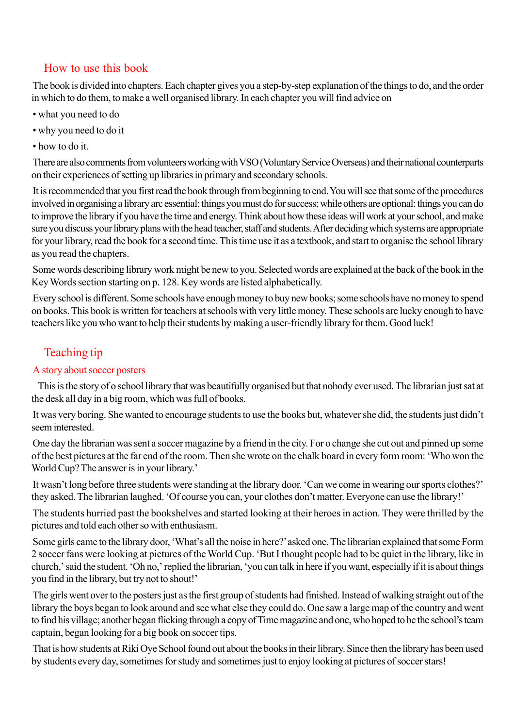### How to use this book

The book is divided into chapters. Each chapter gives you a step-by-step explanation of the things to do, and the order in which to do them, to make a well organised library. In each chapter you will find advice on

- what you need to do
- why you need to do it
- how to do it.

There are also comments from volunteers working with VSO (Voluntary Service Overseas) and their national counterparts on their experiences of setting up libraries in primary and secondary schools.

It is recommended that you first read the book through from beginning to end. You will see that some of the procedures involved in organising a library arc essential: things you must do for success; while others are optional: things you can do to improve the library if you have the time and energy. Think about how these ideas will work at your school, and make sure you discuss your library plans with the head teacher, staff and students. After deciding which systems are appropriate for your library, read the book for a second time. This time use it as a textbook, and start to organise the school library as you read the chapters.

Some words describing library work might be new to you. Selected words are explained at the back of the book in the Key Words section starting on p. 128. Key words are listed alphabetically.

Every school is different. Some schools have enough money to buy new books; some schools have no money to spend on books. This book is written for teachers at schools with very little money. These schools are lucky enough to have teachers like you who want to help their students by making a user-friendly library for them. Good luck!

## Teaching tip

### A story about soccer posters

 This is the story of o school library that was beautifully organised but that nobody ever used. The librarian just sat at the desk all day in a big room, which was full of books.

It was very boring. She wanted to encourage students to use the books but, whatever she did, the students just didn't seem interested.

One day the librarian was sent a soccer magazine by a friend in the city. For o change she cut out and pinned up some of the best pictures at the far end of the room. Then she wrote on the chalk board in every form room: 'Who won the World Cup? The answer is in your library.'

It wasn't long before three students were standing at the library door. 'Can we come in wearing our sports clothes?' they asked. The librarian laughed. 'Of course you can, your clothes don't matter. Everyone can use the library!'

The students hurried past the bookshelves and started looking at their heroes in action. They were thrilled by the pictures and told each other so with enthusiasm.

Some girls came to the library door, 'What's all the noise in here?' asked one. The librarian explained that some Form 2 soccer fans were looking at pictures of the World Cup. 'But I thought people had to be quiet in the library, like in church,' said the student. 'Oh no,' replied the librarian, 'you can talk in here if you want, especially if it is about things you find in the library, but try not to shout!'

The girls went over to the posters just as the first group of students had finished. Instead of walking straight out of the library the boys began to look around and see what else they could do. One saw a large map of the country and went to find his village; another began flicking through a copy of Time magazine and one, who hoped to be the school's team captain, began looking for a big book on soccer tips.

That is how students at Riki Oye School found out about the books in their library. Since then the library has been used by students every day, sometimes for study and sometimes just to enjoy looking at pictures of soccer stars!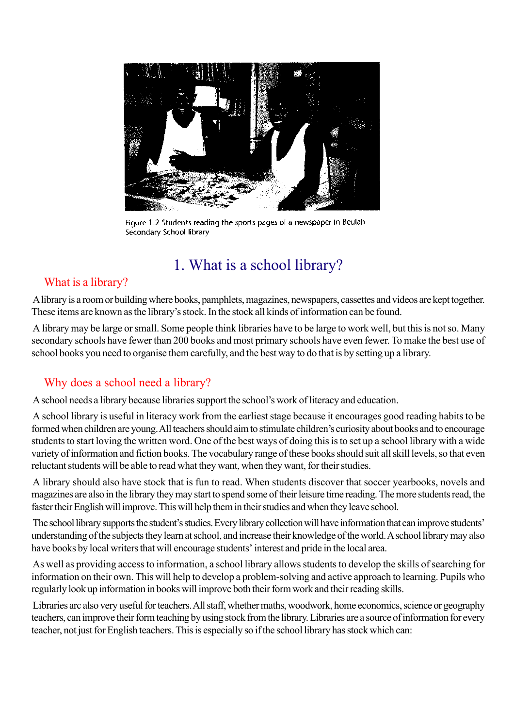

Figure 1.2 Students reading the sports pages of a newspaper in Beulah Secondary School library

# 1. What is a school library?

## What is a library?

A library is a room or building where books, pamphlets, magazines, newspapers, cassettes and videos are kept together. These items are known as the library's stock. In the stock all kinds of information can be found.

A library may be large or small. Some people think libraries have to be large to work well, but this is not so. Many secondary schools have fewer than 200 books and most primary schools have even fewer. To make the best use of school books you need to organise them carefully, and the best way to do that is by setting up a library.

## Why does a school need a library?

A school needs a library because libraries support the school's work of literacy and education.

A school library is useful in literacy work from the earliest stage because it encourages good reading habits to be formed when children are young. All teachers should aim to stimulate children's curiosity about books and to encourage students to start loving the written word. One of the best ways of doing this is to set up a school library with a wide variety of information and fiction books. The vocabulary range of these books should suit all skill levels, so that even reluctant students will be able to read what they want, when they want, for their studies.

A library should also have stock that is fun to read. When students discover that soccer yearbooks, novels and magazines are also in the library they may start to spend some of their leisure time reading. The more students read, the faster their English will improve. This will help them in their studies and when they leave school.

The school library supports the student's studies. Every library collection will have information that can improve students' understanding of the subjects they learn at school, and increase their knowledge of the world. A school library may also have books by local writers that will encourage students' interest and pride in the local area.

As well as providing access to information, a school library allows students to develop the skills of searching for information on their own. This will help to develop a problem-solving and active approach to learning. Pupils who regularly look up information in books will improve both their form work and their reading skills.

Libraries arc also very useful for teachers. All staff, whether maths, woodwork, home economics, science or geography teachers, can improve their form teaching by using stock from the library. Libraries are a source of information for every teacher, not just for English teachers. This is especially so if the school library has stock which can: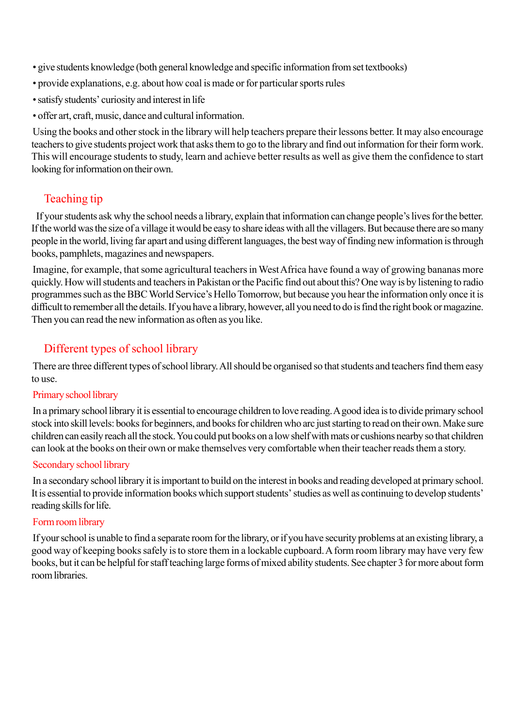- give students knowledge (both general knowledge and specific information from set textbooks)
- provide explanations, e.g. about how coal is made or for particular sports rules
- satisfy students' curiosity and interest in life
- offer art, craft, music, dance and cultural information.

Using the books and other stock in the library will help teachers prepare their lessons better. It may also encourage teachers to give students project work that asks them to go to the library and find out information for their form work. This will encourage students to study, learn and achieve better results as well as give them the confidence to start looking for information on their own.

## Teaching tip

 If your students ask why the school needs a library, explain that information can change people's lives for the better. If the world was the size of a village it would be easy to share ideas with all the villagers. But because there are so many people in the world, living far apart and using different languages, the best way of finding new information is through books, pamphlets, magazines and newspapers.

Imagine, for example, that some agricultural teachers in West Africa have found a way of growing bananas more quickly. How will students and teachers in Pakistan or the Pacific find out about this? One way is by listening to radio programmes such as the BBC World Service's Hello Tomorrow, but because you hear the information only once it is difficult to remember all the details. If you have a library, however, all you need to do is find the right book or magazine. Then you can read the new information as often as you like.

## Different types of school library

There are three different types of school library. All should be organised so that students and teachers find them easy to use.

#### Primary school library

In a primary school library it is essential to encourage children to love reading. A good idea is to divide primary school stock into skill levels: books for beginners, and books for children who arc just starting to read on their own. Make sure children can easily reach all the stock. You could put books on a low shelf with mats or cushions nearby so that children can look at the books on their own or make themselves very comfortable when their teacher reads them a story.

#### Secondary school library

In a secondary school library it is important to build on the interest in books and reading developed at primary school. It is essential to provide information books which support students' studies as well as continuing to develop students' reading skills for life.

### Form room library

If your school is unable to find a separate room for the library, or if you have security problems at an existing library, a good way of keeping books safely is to store them in a lockable cupboard. A form room library may have very few books, but it can be helpful for staff teaching large forms of mixed ability students. See chapter 3 for more about form room libraries.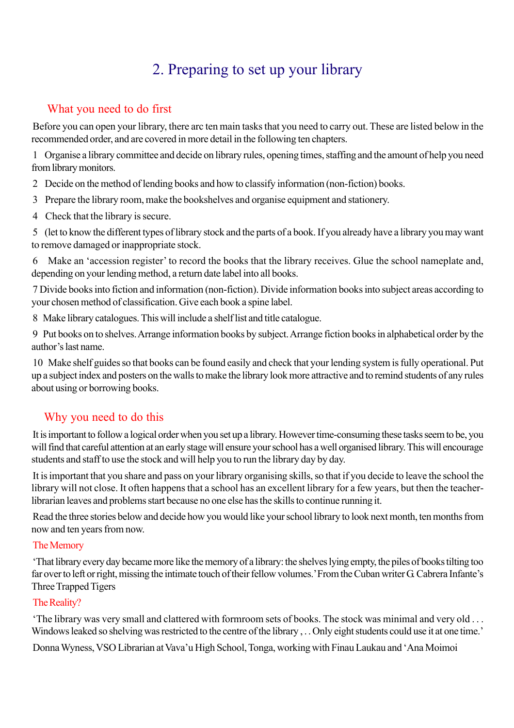# 2. Preparing to set up your library

## What you need to do first

Before you can open your library, there arc ten main tasks that you need to carry out. These are listed below in the recommended order, and are covered in more detail in the following ten chapters.

1 Organise a library committee and decide on library rules, opening times, staffing and the amount of help you need from library monitors.

- 2 Decide on the method of lending books and how to classify information (non-fiction) books.
- 3 Prepare the library room, make the bookshelves and organise equipment and stationery.
- 4 Check that the library is secure.

5 (let to know the different types of library stock and the parts of a book. If you already have a library you may want to remove damaged or inappropriate stock.

6 Make an 'accession register' to record the books that the library receives. Glue the school nameplate and, depending on your lending method, a return date label into all books.

7 Divide books into fiction and information (non-fiction). Divide information books into subject areas according to your chosen method of classification. Give each book a spine label.

8 Make library catalogues. This will include a shelf list and title catalogue.

9 Put books on to shelves. Arrange information books by subject. Arrange fiction books in alphabetical order by the author's last name.

10 Make shelf guides so that books can be found easily and check that your lending system is fully operational. Put up a subject index and posters on the walls to make the library look more attractive and to remind students of any rules about using or borrowing books.

## Why you need to do this

It is important to follow a logical order when you set up a library. However time-consuming these tasks seem to be, you will find that careful attention at an early stage will ensure your school has a well organised library. This will encourage students and staff to use the stock and will help you to run the library day by day.

It is important that you share and pass on your library organising skills, so that if you decide to leave the school the library will not close. It often happens that a school has an excellent library for a few years, but then the teacherlibrarian leaves and problems start because no one else has the skills to continue running it.

Read the three stories below and decide how you would like your school library to look next month, ten months from now and ten years from now.

### The Memory

'That library every day became more like the memory of a library: the shelves lying empty, the piles of books tilting too far over to left or right, missing the intimate touch of their fellow volumes.' From the Cuban writer G. Cabrera Infante's Three Trapped Tigers

### The Reality?

'The library was very small and clattered with formroom sets of books. The stock was minimal and very old . . . Windows leaked so shelving was restricted to the centre of the library . . . Only eight students could use it at one time.'

Donna Wyness, VSO Librarian at Vava'u High School, Tonga, working with Finau Laukau and 'Ana Moimoi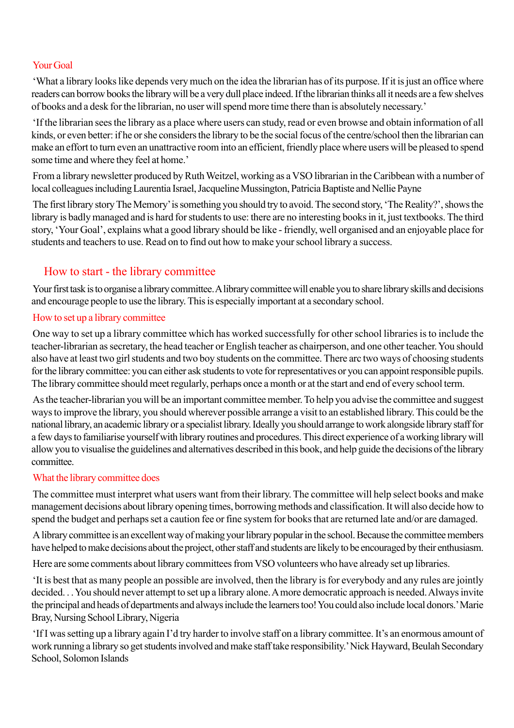#### Your Goal

'What a library looks like depends very much on the idea the librarian has of its purpose. If it is just an office where readers can borrow books the library will be a very dull place indeed. If the librarian thinks all it needs are a few shelves of books and a desk for the librarian, no user will spend more time there than is absolutely necessary.'

'If the librarian sees the library as a place where users can study, read or even browse and obtain information of all kinds, or even better: if he or she considers the library to be the social focus of the centre/school then the librarian can make an effort to turn even an unattractive room into an efficient, friendly place where users will be pleased to spend some time and where they feel at home.'

From a library newsletter produced by Ruth Weitzel, working as a VSO librarian in the Caribbean with a number of local colleagues including Laurentia Israel, Jacqueline Mussington, Patricia Baptiste and Nellie Payne

The first library story The Memory' is something you should try to avoid. The second story, 'The Reality?', shows the library is badly managed and is hard for students to use: there are no interesting books in it, just textbooks. The third story, 'Your Goal', explains what a good library should be like - friendly, well organised and an enjoyable place for students and teachers to use. Read on to find out how to make your school library a success.

### How to start - the library committee

Your first task is to organise a library committee. A library committee will enable you to share library skills and decisions and encourage people to use the library. This is especially important at a secondary school.

#### How to set up a library committee

One way to set up a library committee which has worked successfully for other school libraries is to include the teacher-librarian as secretary, the head teacher or English teacher as chairperson, and one other teacher. You should also have at least two girl students and two boy students on the committee. There arc two ways of choosing students for the library committee: you can either ask students to vote for representatives or you can appoint responsible pupils. The library committee should meet regularly, perhaps once a month or at the start and end of every school term.

As the teacher-librarian you will be an important committee member. To help you advise the committee and suggest ways to improve the library, you should wherever possible arrange a visit to an established library. This could be the national library, an academic library or a specialist library. Ideally you should arrange to work alongside library staff for a few days to familiarise yourself with library routines and procedures. This direct experience of a working library will allow you to visualise the guidelines and alternatives described in this book, and help guide the decisions of the library committee.

#### What the library committee does

The committee must interpret what users want from their library. The committee will help select books and make management decisions about library opening times, borrowing methods and classification. It will also decide how to spend the budget and perhaps set a caution fee or fine system for books that are returned late and/or are damaged.

A library committee is an excellent way of making your library popular in the school. Because the committee members have helped to make decisions about the project, other staff and students are likely to be encouraged by their enthusiasm.

Here are some comments about library committees from VSO volunteers who have already set up libraries.

'It is best that as many people an possible are involved, then the library is for everybody and any rules are jointly decided. . . You should never attempt to set up a library alone. A more democratic approach is needed. Always invite the principal and heads of departments and always include the learners too! You could also include local donors.' Marie Bray, Nursing School Library, Nigeria

'If I was setting up a library again I'd try harder to involve staff on a library committee. It's an enormous amount of work running a library so get students involved and make staff take responsibility.' Nick Hayward, Beulah Secondary School, Solomon Islands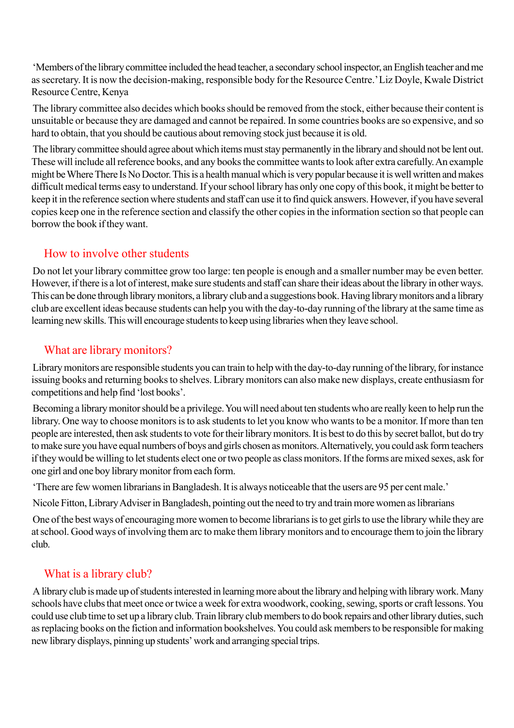'Members of the library committee included the head teacher, a secondary school inspector, an English teacher and me as secretary. It is now the decision-making, responsible body for the Resource Centre.' Liz Doyle, Kwale District Resource Centre, Kenya

The library committee also decides which books should be removed from the stock, either because their content is unsuitable or because they are damaged and cannot be repaired. In some countries books are so expensive, and so hard to obtain, that you should be cautious about removing stock just because it is old.

The library committee should agree about which items must stay permanently in the library and should not be lent out. These will include all reference books, and any books the committee wants to look after extra carefully. An example might be Where There Is No Doctor. This is a health manual which is very popular because it is well written and makes difficult medical terms easy to understand. If your school library has only one copy of this book, it might be better to keep it in the reference section where students and staff can use it to find quick answers. However, if you have several copies keep one in the reference section and classify the other copies in the information section so that people can borrow the book if they want.

## How to involve other students

Do not let your library committee grow too large: ten people is enough and a smaller number may be even better. However, if there is a lot of interest, make sure students and staff can share their ideas about the library in other ways. This can be done through library monitors, a library club and a suggestions book. Having library monitors and a library club are excellent ideas because students can help you with the day-to-day running of the library at the same time as learning new skills. This will encourage students to keep using libraries when they leave school.

## What are library monitors?

Library monitors are responsible students you can train to help with the day-to-day running of the library, for instance issuing books and returning books to shelves. Library monitors can also make new displays, create enthusiasm for competitions and help find 'lost books'.

Becoming a library monitor should be a privilege. You will need about ten students who are really keen to help run the library. One way to choose monitors is to ask students to let you know who wants to be a monitor. If more than ten people are interested, then ask students to vote for their library monitors. It is best to do this by secret ballot, but do try to make sure you have equal numbers of boys and girls chosen as monitors. Alternatively, you could ask form teachers if they would be willing to let students elect one or two people as class monitors. If the forms are mixed sexes, ask for one girl and one boy library monitor from each form.

'There are few women librarians in Bangladesh. It is always noticeable that the users are 95 per cent male.'

Nicole Fitton, Library Adviser in Bangladesh, pointing out the need to try and train more women as librarians

One of the best ways of encouraging more women to become librarians is to get girls to use the library while they are at school. Good ways of involving them arc to make them library monitors and to encourage them to join the library club.

## What is a library club?

A library club is made up of students interested in learning more about the library and helping with library work. Many schools have clubs that meet once or twice a week for extra woodwork, cooking, sewing, sports or craft lessons. You could use club time to set up a library club. Train library club members to do book repairs and other library duties, such as replacing books on the fiction and information bookshelves. You could ask members to be responsible for making new library displays, pinning up students' work and arranging special trips.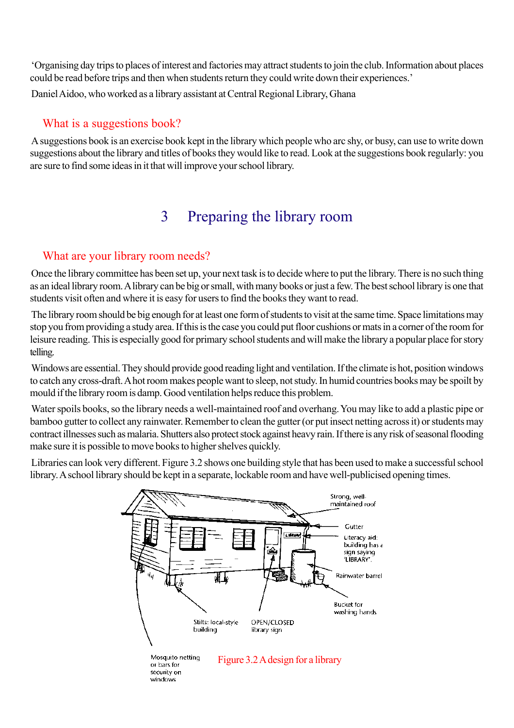'Organising day trips to places of interest and factories may attract students to join the club. Information about places could be read before trips and then when students return they could write down their experiences.'

Daniel Aidoo, who worked as a library assistant at Central Regional Library, Ghana

### What is a suggestions book?

A suggestions book is an exercise book kept in the library which people who arc shy, or busy, can use to write down suggestions about the library and titles of books they would like to read. Look at the suggestions book regularly: you are sure to find some ideas in it that will improve your school library.

# 3 Preparing the library room

### What are your library room needs?

Once the library committee has been set up, your next task is to decide where to put the library. There is no such thing as an ideal library room. A library can be big or small, with many books or just a few. The best school library is one that students visit often and where it is easy for users to find the books they want to read.

The library room should be big enough for at least one form of students to visit at the same time. Space limitations may stop you from providing a study area. If this is the case you could put floor cushions or mats in a corner of the room for leisure reading. This is especially good for primary school students and will make the library a popular place for story telling.

Windows are essential. They should provide good reading light and ventilation. If the climate is hot, position windows to catch any cross-draft. A hot room makes people want to sleep, not study. In humid countries books may be spoilt by mould if the library room is damp. Good ventilation helps reduce this problem.

Water spoils books, so the library needs a well-maintained roof and overhang. You may like to add a plastic pipe or bamboo gutter to collect any rainwater. Remember to clean the gutter (or put insect netting across it) or students may contract illnesses such as malaria. Shutters also protect stock against heavy rain. If there is any risk of seasonal flooding make sure it is possible to move books to higher shelves quickly.

Libraries can look very different. Figure 3.2 shows one building style that has been used to make a successful school library. A school library should be kept in a separate, lockable room and have well-publicised opening times.

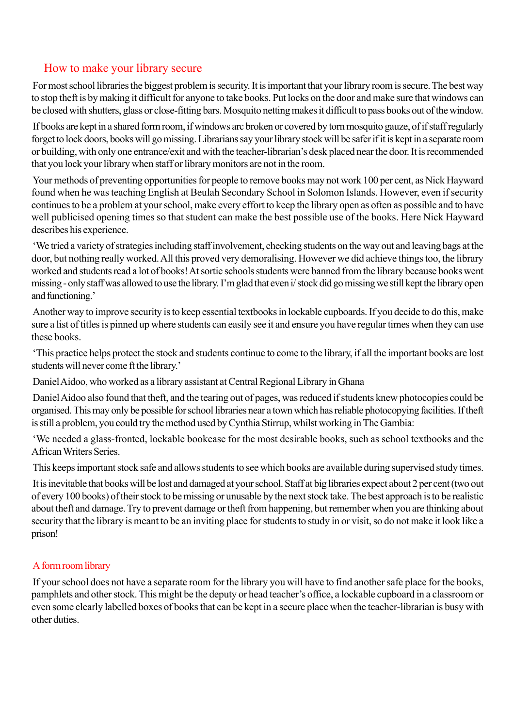### How to make your library secure

For most school libraries the biggest problem is security. It is important that your library room is secure. The best way to stop theft is by making it difficult for anyone to take books. Put locks on the door and make sure that windows can be closed with shutters, glass or close-fitting bars. Mosquito netting makes it difficult to pass books out of the window.

If books are kept in a shared form room, if windows arc broken or covered by torn mosquito gauze, of if staff regularly forget to lock doors, books will go missing. Librarians say your library stock will be safer if it is kept in a separate room or building, with only one entrance/exit and with the teacher-librarian's desk placed near the door. It is recommended that you lock your library when staff or library monitors are not in the room.

Your methods of preventing opportunities for people to remove books may not work 100 per cent, as Nick Hayward found when he was teaching English at Beulah Secondary School in Solomon Islands. However, even if security continues to be a problem at your school, make every effort to keep the library open as often as possible and to have well publicised opening times so that student can make the best possible use of the books. Here Nick Hayward describes his experience.

'We tried a variety of strategies including staff involvement, checking students on the way out and leaving bags at the door, but nothing really worked. All this proved very demoralising. However we did achieve things too, the library worked and students read a lot of books! At sortie schools students were banned from the library because books went missing - only staff was allowed to use the library. I'm glad that even i/ stock did go missing we still kept the library open and functioning.'

Another way to improve security is to keep essential textbooks in lockable cupboards. If you decide to do this, make sure a list of titles is pinned up where students can easily see it and ensure you have regular times when they can use these books.

'This practice helps protect the stock and students continue to come to the library, if all the important books are lost students will never come ft the library.'

Daniel Aidoo, who worked as a library assistant at Central Regional Library in Ghana

Daniel Aidoo also found that theft, and the tearing out of pages, was reduced if students knew photocopies could be organised. This may only be possible for school libraries near a town which has reliable photocopying facilities. If theft is still a problem, you could try the method used by Cynthia Stirrup, whilst working in The Gambia:

'We needed a glass-fronted, lockable bookcase for the most desirable books, such as school textbooks and the African Writers Series.

This keeps important stock safe and allows students to see which books are available during supervised study times.

It is inevitable that books will be lost and damaged at your school. Staff at big libraries expect about 2 per cent (two out of every 100 books) of their stock to be missing or unusable by the next stock take. The best approach is to be realistic about theft and damage. Try to prevent damage or theft from happening, but remember when you are thinking about security that the library is meant to be an inviting place for students to study in or visit, so do not make it look like a prison!

### A form room library

If your school does not have a separate room for the library you will have to find another safe place for the books, pamphlets and other stock. This might be the deputy or head teacher's office, a lockable cupboard in a classroom or even some clearly labelled boxes of books that can be kept in a secure place when the teacher-librarian is busy with other duties.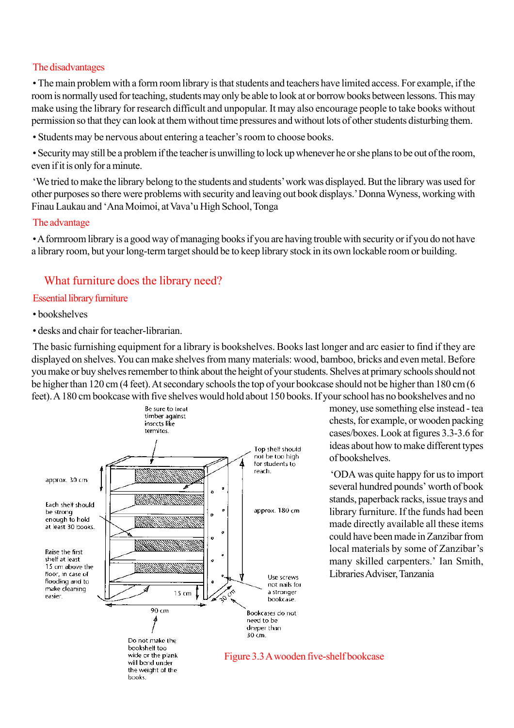#### The disadvantages

• The main problem with a form room library is that students and teachers have limited access. For example, if the room is normally used for teaching, students may only be able to look at or borrow books between lessons. This may make using the library for research difficult and unpopular. It may also encourage people to take books without permission so that they can look at them without time pressures and without lots of other students disturbing them.

• Students may be nervous about entering a teacher's room to choose books.

• Security may still be a problem if the teacher is unwilling to lock up whenever he or she plans to be out of the room, even if it is only for a minute.

'We tried to make the library belong to the students and students' work was displayed. But the library was used for other purposes so there were problems with security and leaving out book displays.' Donna Wyness, working with Finau Laukau and 'Ana Moimoi, at Vava'u High School, Tonga

#### The advantage

• A formroom library is a good way of managing books if you are having trouble with security or if you do not have a library room, but your long-term target should be to keep library stock in its own lockable room or building.

### What furniture does the library need?

#### Essential library furniture

- bookshelves
- desks and chair for teacher-librarian.

The basic furnishing equipment for a library is bookshelves. Books last longer and arc easier to find if they are displayed on shelves. You can make shelves from many materials: wood, bamboo, bricks and even metal. Before you make or buy shelves remember to think about the height of your students. Shelves at primary schools should not be higher than 120 cm (4 feet). At secondary schools the top of your bookcase should not be higher than 180 cm (6 feet). A 180 cm bookcase with five shelves would hold about 150 books. If your school has no bookshelves and no



money, use something else instead - tea chests, for example, or wooden packing cases/boxes. Look at figures 3.3-3.6 for ideas about how to make different types of bookshelves.

'ODA was quite happy for us to import several hundred pounds' worth of book stands, paperback racks, issue trays and library furniture. If the funds had been made directly available all these items could have been made in Zanzibar from local materials by some of Zanzibar's many skilled carpenters.' Ian Smith, Libraries Adviser, Tanzania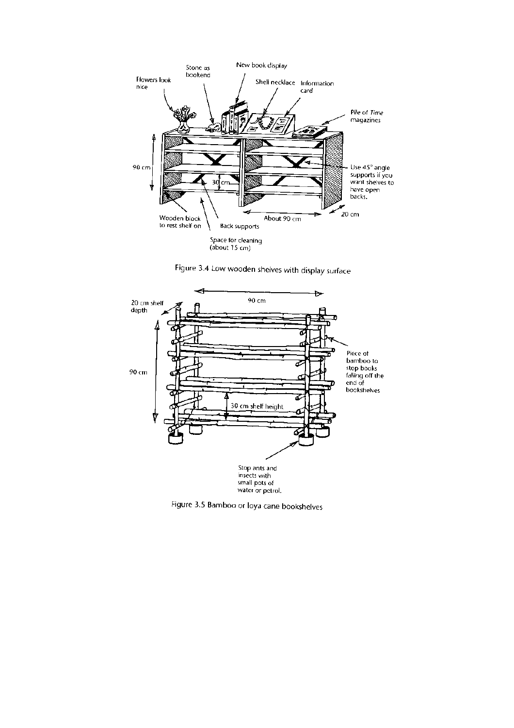

Figure 3.4 Low wooden shelves with display surface



Figure 3.5 Bamboo or loya cane bookshelves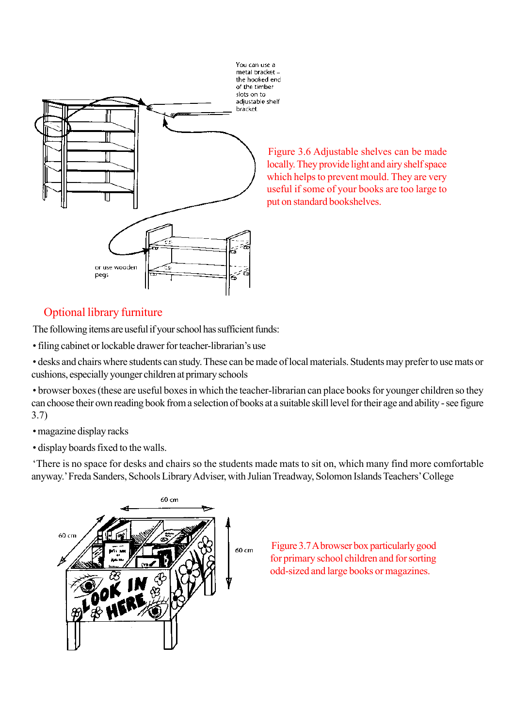

Figure 3.6 Adjustable shelves can be made locally. They provide light and airy shelf space which helps to prevent mould. They are very useful if some of your books are too large to put on standard bookshelves.

## Optional library furniture

The following items are useful if your school has sufficient funds:

• filing cabinet or lockable drawer for teacher-librarian's use

• desks and chairs where students can study. These can be made of local materials. Students may prefer to use mats or cushions, especially younger children at primary schools

• browser boxes (these are useful boxes in which the teacher-librarian can place books for younger children so they can choose their own reading book from a selection of books at a suitable skill level for their age and ability - see figure 3.7)

• magazine display racks

• display boards fixed to the walls.

'There is no space for desks and chairs so the students made mats to sit on, which many find more comfortable anyway.' Freda Sanders, Schools Library Adviser, with Julian Treadway, Solomon Islands Teachers' College



Figure 3.7 A browser box particularly good for primary school children and for sorting odd-sized and large books or magazines.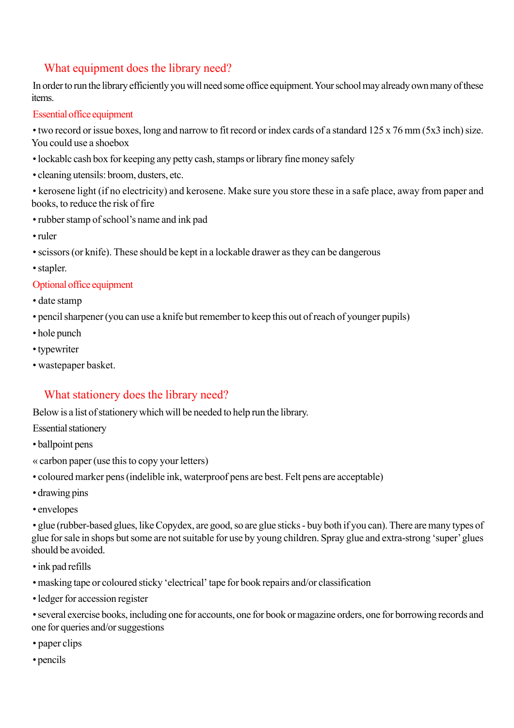## What equipment does the library need?

In order to run the library efficiently you will need some office equipment. Your school may already own many of these items.

#### Essential office equipment

• two record or issue boxes, long and narrow to fit record or index cards of a standard 125 x 76 mm (5x3 inch) size. You could use a shoebox

- lockablc cash box for keeping any petty cash, stamps or library fine money safely
- cleaning utensils: broom, dusters, etc.

• kerosene light (if no electricity) and kerosene. Make sure you store these in a safe place, away from paper and books, to reduce the risk of fire

- rubber stamp of school's name and ink pad
- ruler
- scissors (or knife). These should be kept in a lockable drawer as they can be dangerous
- stapler.

#### Optional office equipment

- date stamp
- pencil sharpener (you can use a knife but remember to keep this out of reach of younger pupils)
- hole punch
- typewriter
- wastepaper basket.

### What stationery does the library need?

Below is a list of stationery which will be needed to help run the library.

- Essential stationery
- ballpoint pens
- « carbon paper (use this to copy your letters)
- coloured marker pens (indelible ink, waterproof pens are best. Felt pens are acceptable)
- drawing pins
- envelopes

• glue (rubber-based glues, like Copydex, are good, so are glue sticks - buy both if you can). There are many types of glue for sale in shops but some are not suitable for use by young children. Spray glue and extra-strong 'super' glues should be avoided.

- ink pad refills
- masking tape or coloured sticky 'electrical' tape for book repairs and/or classification
- ledger for accession register

• several exercise books, including one for accounts, one for book or magazine orders, one for borrowing records and one for queries and/or suggestions

- paper clips
- pencils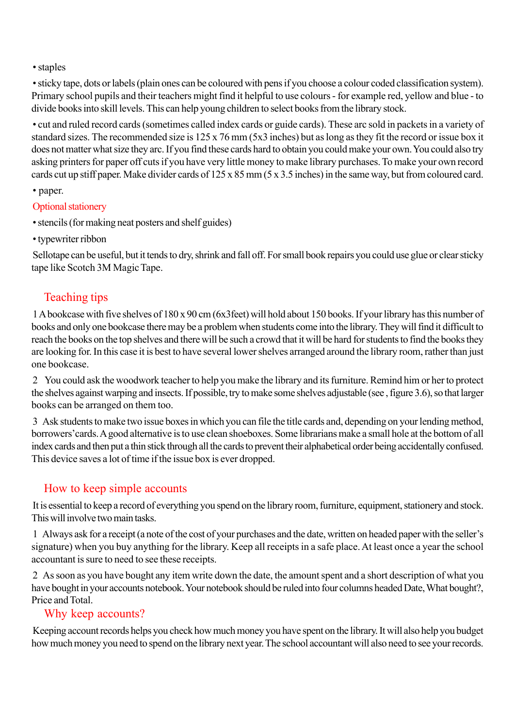• staples

• sticky tape, dots or labels (plain ones can be coloured with pens if you choose a colour coded classification system). Primary school pupils and their teachers might find it helpful to use colours - for example red, yellow and blue - to divide books into skill levels. This can help young children to select books from the library stock.

• cut and ruled record cards (sometimes called index cards or guide cards). These arc sold in packets in a variety of standard sizes. The recommended size is 125 x 76 mm (5x3 inches) but as long as they fit the record or issue box it does not matter what size they arc. If you find these cards hard to obtain you could make your own. You could also try asking printers for paper off cuts if you have very little money to make library purchases. To make your own record cards cut up stiff paper. Make divider cards of 125 x 85 mm (5 x 3.5 inches) in the same way, but from coloured card.

• paper.

### Optional stationery

- stencils (for making neat posters and shelf guides)
- typewriter ribbon

Sellotape can be useful, but it tends to dry, shrink and fall off. For small book repairs you could use glue or clear sticky tape like Scotch 3M Magic Tape.

## Teaching tips

1 A bookcase with five shelves of 180 x 90 cm (6x3feet) will hold about 150 books. If your library has this number of books and only one bookcase there may be a problem when students come into the library. They will find it difficult to reach the books on the top shelves and there will be such a crowd that it will be hard for students to find the books they are looking for. In this case it is best to have several lower shelves arranged around the library room, rather than just one bookcase.

2 You could ask the woodwork teacher to help you make the library and its furniture. Remind him or her to protect the shelves against warping and insects. If possible, try to make some shelves adjustable (see , figure 3.6), so that larger books can be arranged on them too.

3 Ask students to make two issue boxes in which you can file the title cards and, depending on your lending method, borrowers'cards. A good alternative is to use clean shoeboxes. Some librarians make a small hole at the bottom of all index cards and then put a thin stick through all the cards to prevent their alphabetical order being accidentally confused. This device saves a lot of time if the issue box is ever dropped.

## How to keep simple accounts

It is essential to keep a record of everything you spend on the library room, furniture, equipment, stationery and stock. This will involve two main tasks.

1 Always ask for a receipt (a note of the cost of your purchases and the date, written on headed paper with the seller's signature) when you buy anything for the library. Keep all receipts in a safe place. At least once a year the school accountant is sure to need to see these receipts.

2 As soon as you have bought any item write down the date, the amount spent and a short description of what you have bought in your accounts notebook. Your notebook should be ruled into four columns headed Date, What bought?, Price and Total.

### Why keep accounts?

Keeping account records helps you check how much money you have spent on the library. It will also help you budget how much money you need to spend on the library next year. The school accountant will also need to see your records.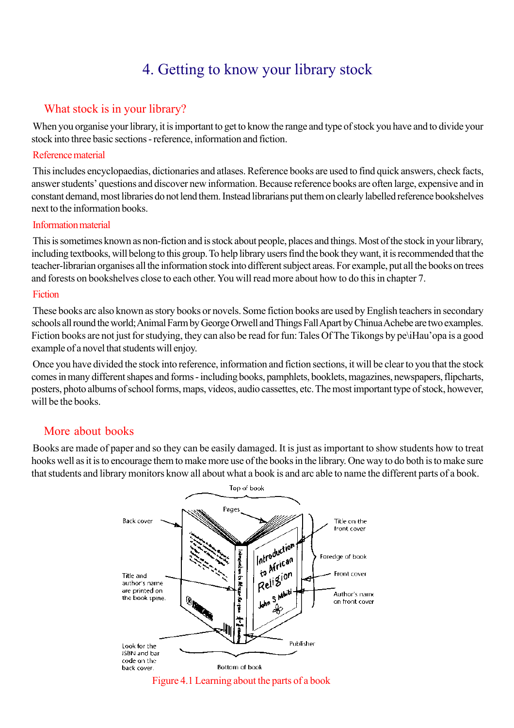# 4. Getting to know your library stock

## What stock is in your library?

When you organise your library, it is important to get to know the range and type of stock you have and to divide your stock into three basic sections - reference, information and fiction.

#### Reference material

This includes encyclopaedias, dictionaries and atlases. Reference books are used to find quick answers, check facts, answer students' questions and discover new information. Because reference books are often large, expensive and in constant demand, most libraries do not lend them. Instead librarians put them on clearly labelled reference bookshelves next to the information books.

#### Information material

This is sometimes known as non-fiction and is stock about people, places and things. Most of the stock in your library, including textbooks, will belong to this group. To help library users find the book they want, it is recommended that the teacher-librarian organises all the information stock into different subject areas. For example, put all the books on trees and forests on bookshelves close to each other. You will read more about how to do this in chapter 7.

#### Fiction

These books arc also known as story books or novels. Some fiction books are used by English teachers in secondary schools all round the world; Animal Farm by George Orwell and Things Fall Apart by Chinua Achebe are two examples. Fiction books are not just for studying, they can also be read for fun: Tales Of The Tikongs by pe\iHau'opa is a good example of a novel that students will enjoy.

Once you have divided the stock into reference, information and fiction sections, it will be clear to you that the stock comes in many different shapes and forms - including books, pamphlets, booklets, magazines, newspapers, flipcharts, posters, photo albums of school forms, maps, videos, audio cassettes, etc. The most important type of stock, however, will be the books.

### More about books

Books are made of paper and so they can be easily damaged. It is just as important to show students how to treat hooks well as it is to encourage them to make more use of the books in the library. One way to do both is to make sure that students and library monitors know all about what a book is and arc able to name the different parts of a book.

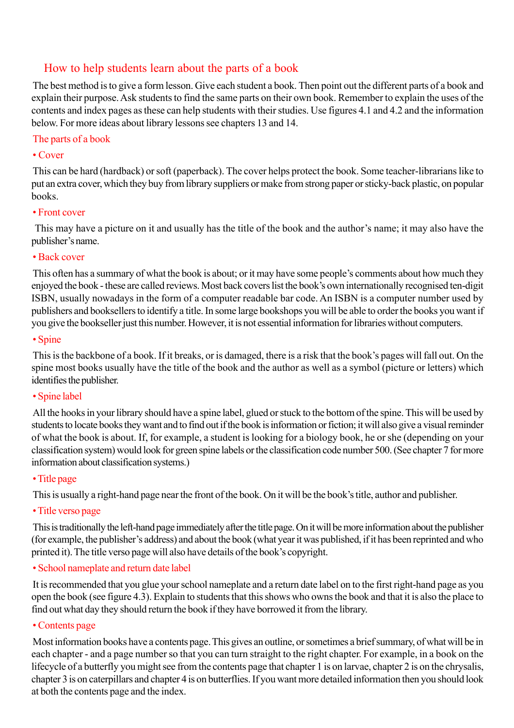## How to help students learn about the parts of a book

The best method is to give a form lesson. Give each student a book. Then point out the different parts of a book and explain their purpose. Ask students to find the same parts on their own book. Remember to explain the uses of the contents and index pages as these can help students with their studies. Use figures 4.1 and 4.2 and the information below. For more ideas about library lessons see chapters 13 and 14.

#### The parts of a book

#### • Cover

This can be hard (hardback) or soft (paperback). The cover helps protect the book. Some teacher-librarians like to put an extra cover, which they buy from library suppliers or make from strong paper or sticky-back plastic, on popular books.

#### • Front cover

This may have a picture on it and usually has the title of the book and the author's name; it may also have the publisher's name.

#### • Back cover

This often has a summary of what the book is about; or it may have some people's comments about how much they enjoyed the book - these are called reviews. Most back covers list the book's own internationally recognised ten-digit ISBN, usually nowadays in the form of a computer readable bar code. An ISBN is a computer number used by publishers and booksellers to identify a title. In some large bookshops you will be able to order the books you want if you give the bookseller just this number. However, it is not essential information for libraries without computers.

#### • Spine

This is the backbone of a book. If it breaks, or is damaged, there is a risk that the book's pages will fall out. On the spine most books usually have the title of the book and the author as well as a symbol (picture or letters) which identifies the publisher.

### • Spine label

All the hooks in your library should have a spine label, glued or stuck to the bottom of the spine. This will be used by students to locate books they want and to find out if the book is information or fiction; it will also give a visual reminder of what the book is about. If, for example, a student is looking for a biology book, he or she (depending on your classification system) would look for green spine labels or the classification code number 500. (See chapter 7 for more information about classification systems.)

### • Title page

This is usually a right-hand page near the front of the book. On it will be the book's title, author and publisher.

• Title verso page

This is traditionally the left-hand page immediately after the title page. On it will be more information about the publisher (for example, the publisher's address) and about the book (what year it was published, if it has been reprinted and who printed it). The title verso page will also have details of the book's copyright.

### • School nameplate and return date label

It is recommended that you glue your school nameplate and a return date label on to the first right-hand page as you open the book (see figure 4.3). Explain to students that this shows who owns the book and that it is also the place to find out what day they should return the book if they have borrowed it from the library.

#### • Contents page

Most information books have a contents page. This gives an outline, or sometimes a brief summary, of what will be in each chapter - and a page number so that you can turn straight to the right chapter. For example, in a book on the lifecycle of a butterfly you might see from the contents page that chapter 1 is on larvae, chapter 2 is on the chrysalis, chapter 3 is on caterpillars and chapter 4 is on butterflies. If you want more detailed information then you should look at both the contents page and the index.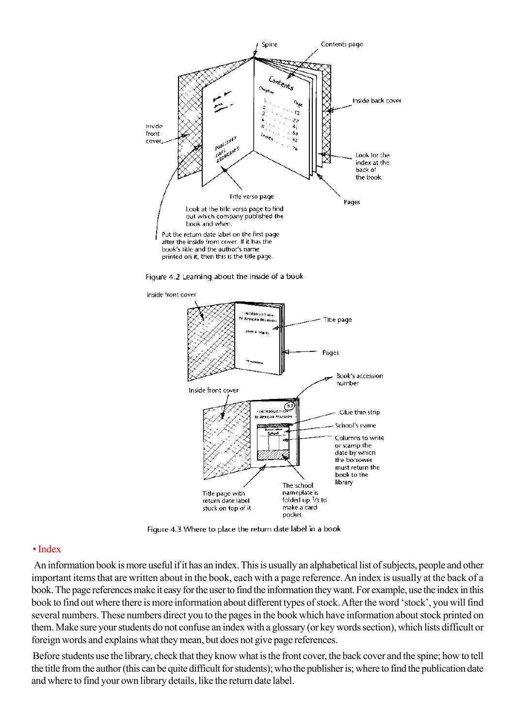

Figure 4.2 Learning about the inside of a book



Figure 4.3 Where to place the return date label in a book

#### • Index

An information book is more useful if it has an index. This is usually an alphabetical list of subjects, people and other important items that are written about in the book, each with a page reference. An index is usually at the back of a book. The page references make it easy for the user to find the information they want. For example, use the index in this book to find out where there is more information about different types of stock. After the word 'stock', you will find several numbers. These numbers direct you to the pages in the book which have information about stock printed on them. Make sure your students do not confuse an index with a glossary (or key words section), which lists difficult or foreign words and explains what they mean, but does not give page references.

Before students use the library, check that they know what is the front cover, the back cover and the spine; how to tell the title from the author (this can be quite difficult for students); who the publisher is; where to find the publication date and where to find your own library details, like the return date label.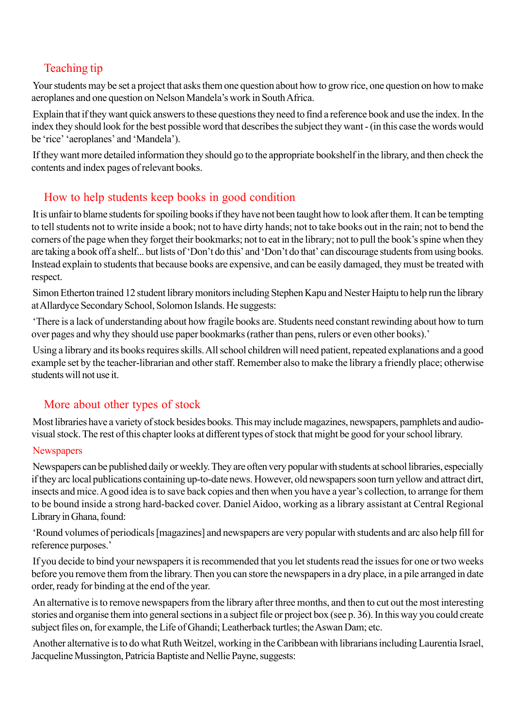## Teaching tip

Your students may be set a project that asks them one question about how to grow rice, one question on how to make aeroplanes and one question on Nelson Mandela's work in South Africa.

Explain that if they want quick answers to these questions they need to find a reference book and use the index. In the index they should look for the best possible word that describes the subject they want - (in this case the words would be 'rice' 'aeroplanes' and 'Mandela').

If they want more detailed information they should go to the appropriate bookshelf in the library, and then check the contents and index pages of relevant books.

## How to help students keep books in good condition

It is unfair to blame students for spoiling books if they have not been taught how to look after them. It can be tempting to tell students not to write inside a book; not to have dirty hands; not to take books out in the rain; not to bend the corners of the page when they forget their bookmarks; not to eat in the library; not to pull the book's spine when they are taking a book off a shelf... but lists of 'Don't do this' and 'Don't do that' can discourage students from using books. Instead explain to students that because books are expensive, and can be easily damaged, they must be treated with respect.

Simon Etherton trained 12 student library monitors including Stephen Kapu and Nester Haiptu to help run the library at Allardyce Secondary School, Solomon Islands. He suggests:

'There is a lack of understanding about how fragile books are. Students need constant rewinding about how to turn over pages and why they should use paper bookmarks (rather than pens, rulers or even other books).'

Using a library and its books requires skills. All school children will need patient, repeated explanations and a good example set by the teacher-librarian and other staff. Remember also to make the library a friendly place; otherwise students will not use it.

## More about other types of stock

Most libraries have a variety of stock besides books. This may include magazines, newspapers, pamphlets and audiovisual stock. The rest of this chapter looks at different types of stock that might be good for your school library.

### **Newspapers**

Newspapers can be published daily or weekly. They are often very popular with students at school libraries, especially if they arc local publications containing up-to-date news. However, old newspapers soon turn yellow and attract dirt, insects and mice. A good idea is to save back copies and then when you have a year's collection, to arrange for them to be bound inside a strong hard-backed cover. Daniel Aidoo, working as a library assistant at Central Regional Library in Ghana, found:

'Round volumes of periodicals [magazines] and newspapers are very popular with students and arc also help fill for reference purposes.'

If you decide to bind your newspapers it is recommended that you let students read the issues for one or two weeks before you remove them from the library. Then you can store the newspapers in a dry place, in a pile arranged in date order, ready for binding at the end of the year.

An alternative is to remove newspapers from the library after three months, and then to cut out the most interesting stories and organise them into general sections in a subject file or project box (see p. 36). In this way you could create subject files on, for example, the Life of Ghandi; Leatherback turtles; the Aswan Dam; etc.

Another alternative is to do what Ruth Weitzel, working in the Caribbean with librarians including Laurentia Israel, Jacqueline Mussington, Patricia Baptiste and Nellie Payne, suggests: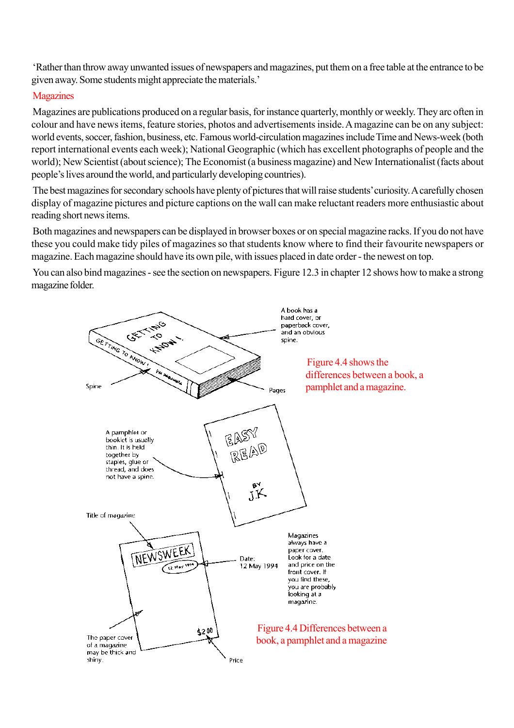'Rather than throw away unwanted issues of newspapers and magazines, put them on a free table at the entrance to be given away. Some students might appreciate the materials.'

#### **Magazines**

Magazines are publications produced on a regular basis, for instance quarterly, monthly or weekly. They arc often in colour and have news items, feature stories, photos and advertisements inside. A magazine can be on any subject: world events, soccer, fashion, business, etc. Famous world-circulation magazines include Time and News-week (both report international events each week); National Geographic (which has excellent photographs of people and the world); New Scientist (about science); The Economist (a business magazine) and New Internationalist (facts about people's lives around the world, and particularly developing countries).

The best magazines for secondary schools have plenty of pictures that will raise students' curiosity. A carefully chosen display of magazine pictures and picture captions on the wall can make reluctant readers more enthusiastic about reading short news items.

Both magazines and newspapers can be displayed in browser boxes or on special magazine racks. If you do not have these you could make tidy piles of magazines so that students know where to find their favourite newspapers or magazine. Each magazine should have its own pile, with issues placed in date order - the newest on top.

You can also bind magazines - see the section on newspapers. Figure 12.3 in chapter 12 shows how to make a strong magazine folder.

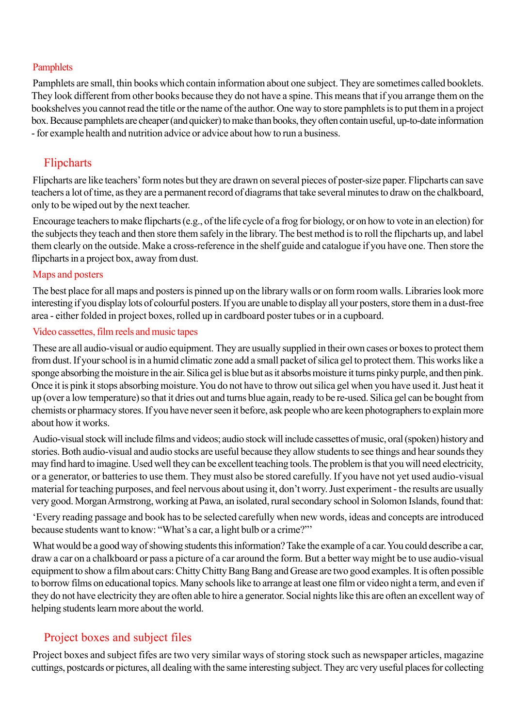#### **Pamphlets**

Pamphlets are small, thin books which contain information about one subject. They are sometimes called booklets. They look different from other books because they do not have a spine. This means that if you arrange them on the bookshelves you cannot read the title or the name of the author. One way to store pamphlets is to put them in a project box. Because pamphlets are cheaper (and quicker) to make than books, they often contain useful, up-to-date information - for example health and nutrition advice or advice about how to run a business.

### Flipcharts

Flipcharts are like teachers' form notes but they are drawn on several pieces of poster-size paper. Flipcharts can save teachers a lot of time, as they are a permanent record of diagrams that take several minutes to draw on the chalkboard, only to be wiped out by the next teacher.

Encourage teachers to make flipcharts (e.g., of the life cycle of a frog for biology, or on how to vote in an election) for the subjects they teach and then store them safely in the library. The best method is to roll the flipcharts up, and label them clearly on the outside. Make a cross-reference in the shelf guide and catalogue if you have one. Then store the flipcharts in a project box, away from dust.

#### Maps and posters

The best place for all maps and posters is pinned up on the library walls or on form room walls. Libraries look more interesting if you display lots of colourful posters. If you are unable to display all your posters, store them in a dust-free area - either folded in project boxes, rolled up in cardboard poster tubes or in a cupboard.

#### Video cassettes, film reels and music tapes

These are all audio-visual or audio equipment. They are usually supplied in their own cases or boxes to protect them from dust. If your school is in a humid climatic zone add a small packet of silica gel to protect them. This works like a sponge absorbing the moisture in the air. Silica gel is blue but as it absorbs moisture it turns pinky purple, and then pink. Once it is pink it stops absorbing moisture. You do not have to throw out silica gel when you have used it. Just heat it up (over a low temperature) so that it dries out and turns blue again, ready to be re-used. Silica gel can be bought from chemists or pharmacy stores. If you have never seen it before, ask people who are keen photographers to explain more about how it works.

Audio-visual stock will include films and videos; audio stock will include cassettes of music, oral (spoken) history and stories. Both audio-visual and audio stocks are useful because they allow students to see things and hear sounds they may find hard to imagine. Used well they can be excellent teaching tools. The problem is that you will need electricity, or a generator, or batteries to use them. They must also be stored carefully. If you have not yet used audio-visual material for teaching purposes, and feel nervous about using it, don't worry. Just experiment - the results are usually very good. Morgan Armstrong, working at Pawa, an isolated, rural secondary school in Solomon Islands, found that:

'Every reading passage and book has to be selected carefully when new words, ideas and concepts are introduced because students want to know: "What's a car, a light bulb or a crime?"'

What would be a good way of showing students this information? Take the example of a car. You could describe a car, draw a car on a chalkboard or pass a picture of a car around the form. But a better way might be to use audio-visual equipment to show a film about cars: Chitty Chitty Bang Bang and Grease are two good examples. It is often possible to borrow films on educational topics. Many schools like to arrange at least one film or video night a term, and even if they do not have electricity they are often able to hire a generator. Social nights like this are often an excellent way of helping students learn more about the world.

## Project boxes and subject files

Project boxes and subject fifes are two very similar ways of storing stock such as newspaper articles, magazine cuttings, postcards or pictures, all dealing with the same interesting subject. They arc very useful places for collecting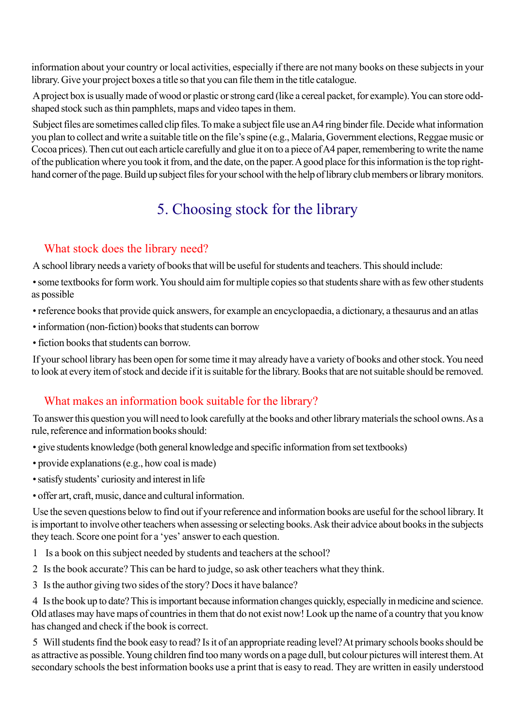information about your country or local activities, especially if there are not many books on these subjects in your library. Give your project boxes a title so that you can file them in the title catalogue.

A project box is usually made of wood or plastic or strong card (like a cereal packet, for example). You can store oddshaped stock such as thin pamphlets, maps and video tapes in them.

Subject files are sometimes called clip files. To make a subject file use an A4 ring binder file. Decide what information you plan to collect and write a suitable title on the file's spine (e.g., Malaria, Government elections, Reggae music or Cocoa prices). Then cut out each article carefully and glue it on to a piece of A4 paper, remembering to write the name of the publication where you took it from, and the date, on the paper. A good place for this information is the top righthand corner of the page. Build up subject files for your school with the help of library club members or library monitors.

# 5. Choosing stock for the library

## What stock does the library need?

A school library needs a variety of books that will be useful for students and teachers. This should include:

• some textbooks for form work. You should aim for multiple copies so that students share with as few other students as possible

- reference books that provide quick answers, for example an encyclopaedia, a dictionary, a thesaurus and an atlas
- information (non-fiction) books that students can borrow
- fiction books that students can borrow.

If your school library has been open for some time it may already have a variety of books and other stock. You need to look at every item of stock and decide if it is suitable for the library. Books that are not suitable should be removed.

## What makes an information book suitable for the library?

To answer this question you will need to look carefully at the books and other library materials the school owns. As a rule, reference and information books should:

- give students knowledge (both general knowledge and specific information from set textbooks)
- provide explanations (e.g., how coal is made)
- satisfy students' curiosity and interest in life
- offer art, craft, music, dance and cultural information.

Use the seven questions below to find out if your reference and information books are useful for the school library. It is important to involve other teachers when assessing or selecting books. Ask their advice about books in the subjects they teach. Score one point for a 'yes' answer to each question.

- 1 Is a book on this subject needed by students and teachers at the school?
- 2 Is the book accurate? This can be hard to judge, so ask other teachers what they think.
- 3 Is the author giving two sides of the story? Docs it have balance?

4 Is the book up to date? This is important because information changes quickly, especially in medicine and science. Old atlases may have maps of countries in them that do not exist now! Look up the name of a country that you know has changed and check if the book is correct.

5 Will students find the book easy to read? Is it of an appropriate reading level? At primary schools books should be as attractive as possible. Young children find too many words on a page dull, but colour pictures will interest them. At secondary schools the best information books use a print that is easy to read. They are written in easily understood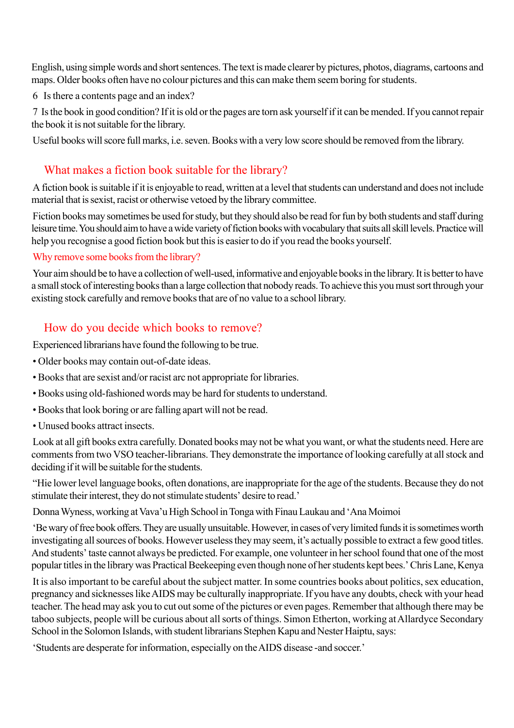English, using simple words and short sentences. The text is made clearer by pictures, photos, diagrams, cartoons and maps. Older books often have no colour pictures and this can make them seem boring for students.

6 Is there a contents page and an index?

7 Is the book in good condition? If it is old or the pages are torn ask yourself if it can be mended. If you cannot repair the book it is not suitable for the library.

Useful books will score full marks, i.e. seven. Books with a very low score should be removed from the library.

## What makes a fiction book suitable for the library?

A fiction book is suitable if it is enjoyable to read, written at a level that students can understand and does not include material that is sexist, racist or otherwise vetoed by the library committee.

Fiction books may sometimes be used for study, but they should also be read for fun by both students and staff during leisure time. You should aim to have a wide variety of fiction books with vocabulary that suits all skill levels. Practice will help you recognise a good fiction book but this is easier to do if you read the books yourself.

#### Why remove some books from the library?

Your aim should be to have a collection of well-used, informative and enjoyable books in the library. It is better to have a small stock of interesting books than a large collection that nobody reads. To achieve this you must sort through your existing stock carefully and remove books that are of no value to a school library.

## How do you decide which books to remove?

Experienced librarians have found the following to be true.

- Older books may contain out-of-date ideas.
- Books that are sexist and/or racist arc not appropriate for libraries.
- Books using old-fashioned words may be hard for students to understand.
- Books that look boring or are falling apart will not be read.
- Unused books attract insects.

Look at all gift books extra carefully. Donated books may not be what you want, or what the students need. Here are comments from two VSO teacher-librarians. They demonstrate the importance of looking carefully at all stock and deciding if it will be suitable for the students.

"Hie lower level language books, often donations, are inappropriate for the age of the students. Because they do not stimulate their interest, they do not stimulate students' desire to read.'

Donna Wyness, working at Vava'u High School in Tonga with Finau Laukau and 'Ana Moimoi

'Be wary of free book offers. They are usually unsuitable. However, in cases of very limited funds it is sometimes worth investigating all sources of books. However useless they may seem, it's actually possible to extract a few good titles. And students' taste cannot always be predicted. For example, one volunteer in her school found that one of the most popular titles in the library was Practical Beekeeping even though none of her students kept bees.' Chris Lane, Kenya

It is also important to be careful about the subject matter. In some countries books about politics, sex education, pregnancy and sicknesses like AIDS may be culturally inappropriate. If you have any doubts, check with your head teacher. The head may ask you to cut out some of the pictures or even pages. Remember that although there may be taboo subjects, people will be curious about all sorts of things. Simon Etherton, working at Allardyce Secondary School in the Solomon Islands, with student librarians Stephen Kapu and Nester Haiptu, says:

'Students are desperate for information, especially on the AIDS disease -and soccer.'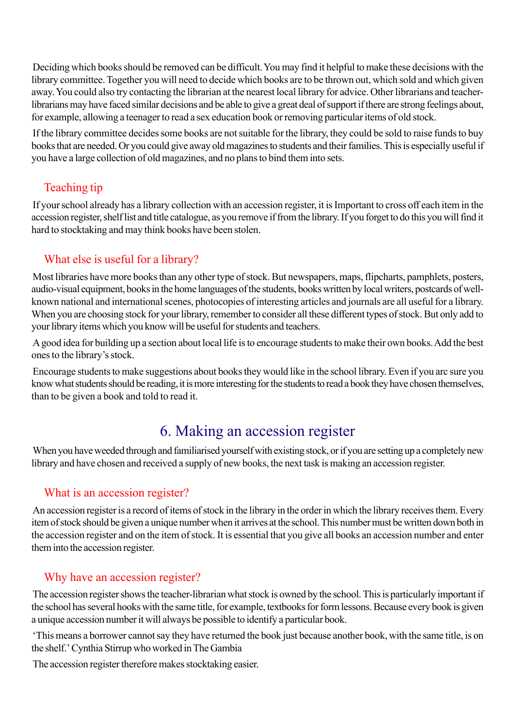Deciding which books should be removed can be difficult. You may find it helpful to make these decisions with the library committee. Together you will need to decide which books are to be thrown out, which sold and which given away. You could also try contacting the librarian at the nearest local library for advice. Other librarians and teacherlibrarians may have faced similar decisions and be able to give a great deal of support if there are strong feelings about, for example, allowing a teenager to read a sex education book or removing particular items of old stock.

If the library committee decides some books are not suitable for the library, they could be sold to raise funds to buy books that are needed. Or you could give away old magazines to students and their families. This is especially useful if you have a large collection of old magazines, and no plans to bind them into sets.

## Teaching tip

If your school already has a library collection with an accession register, it is Important to cross off each item in the accession register, shelf list and title catalogue, as you remove if from the library. If you forget to do this you will find it hard to stocktaking and may think books have been stolen.

## What else is useful for a library?

Most libraries have more books than any other type of stock. But newspapers, maps, flipcharts, pamphlets, posters, audio-visual equipment, books in the home languages of the students, books written by local writers, postcards of wellknown national and international scenes, photocopies of interesting articles and journals are all useful for a library. When you are choosing stock for your library, remember to consider all these different types of stock. But only add to your library items which you know will be useful for students and teachers.

A good idea for building up a section about local life is to encourage students to make their own books. Add the best ones to the library's stock.

Encourage students to make suggestions about books they would like in the school library. Even if you arc sure you know what students should be reading, it is more interesting for the students to read a book they have chosen themselves, than to be given a book and told to read it.

# 6. Making an accession register

When you have weeded through and familiarised yourself with existing stock, or if you are setting up a completely new library and have chosen and received a supply of new books, the next task is making an accession register.

## What is an accession register?

An accession register is a record of items of stock in the library in the order in which the library receives them. Every item of stock should be given a unique number when it arrives at the school. This number must be written down both in the accession register and on the item of stock. It is essential that you give all books an accession number and enter them into the accession register.

## Why have an accession register?

The accession register shows the teacher-librarian what stock is owned by the school. This is particularly important if the school has several hooks with the same title, for example, textbooks for form lessons. Because every book is given a unique accession number it will always be possible to identify a particular book.

'This means a borrower cannot say they have returned the book just because another book, with the same title, is on the shelf.' Cynthia Stirrup who worked in The Gambia

The accession register therefore makes stocktaking easier.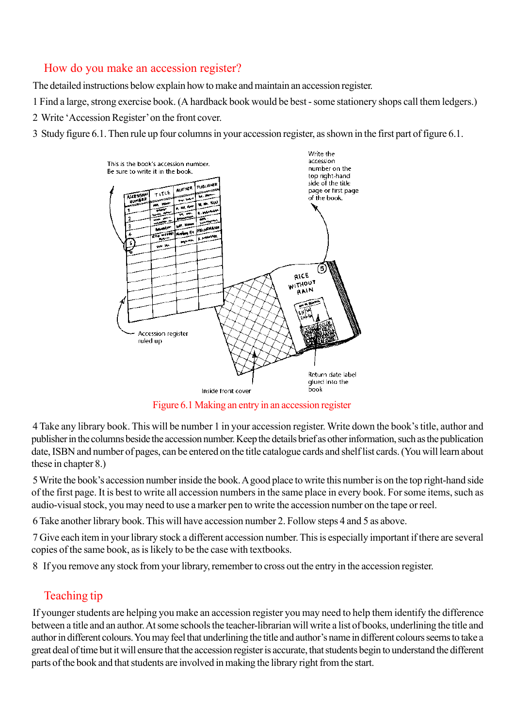## How do you make an accession register?

The detailed instructions below explain how to make and maintain an accession register.

1 Find a large, strong exercise book. (A hardback book would be best - some stationery shops call them ledgers.)

2 Write 'Accession Register' on the front cover.

3 Study figure 6.1. Then rule up four columns in your accession register, as shown in the first part of figure 6.1.



Figure 6.1 Making an entry in an accession register

4 Take any library book. This will be number 1 in your accession register. Write down the book's title, author and publisher in the columns beside the accession number. Keep the details brief as other information, such as the publication date, ISBN and number of pages, can be entered on the title catalogue cards and shelf list cards. (You will learn about these in chapter 8.)

5 Write the book's accession number inside the book. A good place to write this number is on the top right-hand side of the first page. It is best to write all accession numbers in the same place in every book. For some items, such as audio-visual stock, you may need to use a marker pen to write the accession number on the tape or reel.

6 Take another library book. This will have accession number 2. Follow steps 4 and 5 as above.

7 Give each item in your library stock a different accession number. This is especially important if there are several copies of the same book, as is likely to be the case with textbooks.

8 If you remove any stock from your library, remember to cross out the entry in the accession register.

## Teaching tip

If younger students are helping you make an accession register you may need to help them identify the difference between a title and an author. At some schools the teacher-librarian will write a list of books, underlining the title and author in different colours. You may feel that underlining the title and author's name in different colours seems to take a great deal of time but it will ensure that the accession register is accurate, that students begin to understand the different parts of the book and that students are involved in making the library right from the start.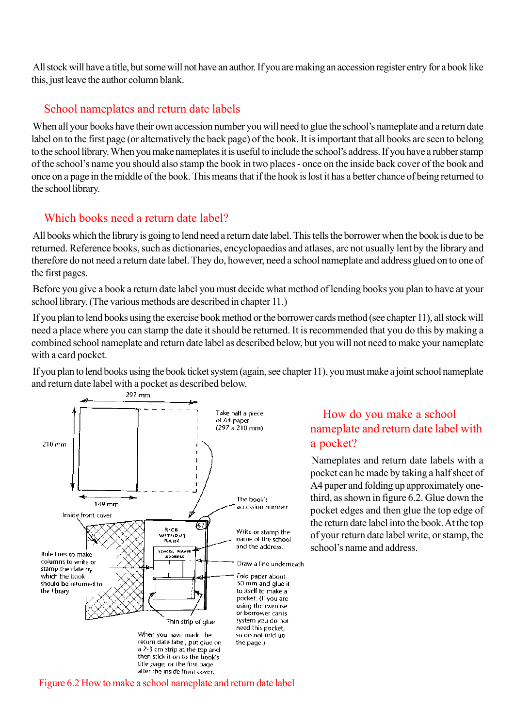All stock will have a title, but some will not have an author. If you are making an accession register entry for a book like this, just leave the author column blank.

### School nameplates and return date labels

When all your books have their own accession number you will need to glue the school's nameplate and a return date label on to the first page (or alternatively the back page) of the book. It is important that all books are seen to belong to the school library. When you make nameplates it is useful to include the school's address. If you have a rubber stamp of the school's name you should also stamp the book in two places - once on the inside back cover of the book and once on a page in the middle of the book. This means that if the hook is lost it has a better chance of being returned to the school library.

## Which books need a return date label?

All books which the library is going to lend need a return date label. This tells the borrower when the book is due to be returned. Reference books, such as dictionaries, encyclopaedias and atlases, arc not usually lent by the library and therefore do not need a return date label. They do, however, need a school nameplate and address glued on to one of the first pages.

Before you give a book a return date label you must decide what method of lending books you plan to have at your school library. (The various methods are described in chapter 11.)

If you plan to lend books using the exercise book method or the borrower cards method (see chapter 11), all stock will need a place where you can stamp the date it should be returned. It is recommended that you do this by making a combined school nameplate and return date label as described below, but you will not need to make your nameplate with a card pocket.

If you plan to lend books using the book ticket system (again, see chapter 11), you must make a joint school nameplate and return date label with a pocket as described below.



## How do you make a school nameplate and return date label with a pocket?

Nameplates and return date labels with a pocket can he made by taking a half sheet of A4 paper and folding up approximately onethird, as shown in figure 6.2. Glue down the pocket edges and then glue the top edge of the return date label into the book. At the top of your return date label write, or stamp, the school's name and address.

Figure 6.2 How to make a school nameplate and return date label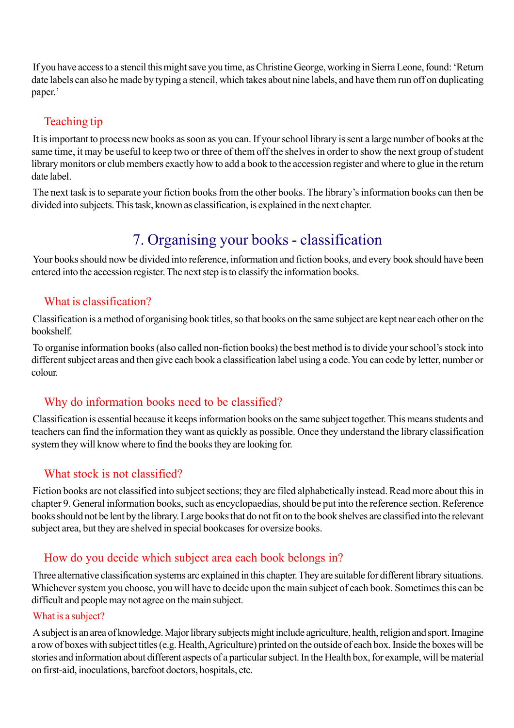If you have access to a stencil this might save you time, as Christine George, working in Sierra Leone, found: 'Return date labels can also he made by typing a stencil, which takes about nine labels, and have them run off on duplicating paper.'

## Teaching tip

It is important to process new books as soon as you can. If your school library is sent a large number of books at the same time, it may be useful to keep two or three of them off the shelves in order to show the next group of student library monitors or club members exactly how to add a book to the accession register and where to glue in the return date label.

The next task is to separate your fiction books from the other books. The library's information books can then be divided into subjects. This task, known as classification, is explained in the next chapter.

# 7. Organising your books - classification

Your books should now be divided into reference, information and fiction books, and every book should have been entered into the accession register. The next step is to classify the information books.

### What is classification?

Classification is a method of organising book titles, so that books on the same subject are kept near each other on the bookshelf.

To organise information books (also called non-fiction books) the best method is to divide your school's stock into different subject areas and then give each book a classification label using a code. You can code by letter, number or colour.

## Why do information books need to be classified?

Classification is essential because it keeps information books on the same subject together. This means students and teachers can find the information they want as quickly as possible. Once they understand the library classification system they will know where to find the books they are looking for.

## What stock is not classified?

Fiction books arc not classified into subject sections; they arc filed alphabetically instead. Read more about this in chapter 9. General information books, such as encyclopaedias, should be put into the reference section. Reference books should not be lent by the library. Large books that do not fit on to the book shelves are classified into the relevant subject area, but they are shelved in special bookcases for oversize books.

## How do you decide which subject area each book belongs in?

Three alternative classification systems arc explained in this chapter. They are suitable for different library situations. Whichever system you choose, you will have to decide upon the main subject of each book. Sometimes this can be difficult and people may not agree on the main subject.

### What is a subject?

A subject is an area of knowledge. Major library subjects might include agriculture, health, religion and sport. Imagine a row of boxes with subject titles (e.g. Health, Agriculture) printed on the outside of each box. Inside the boxes will be stories and information about different aspects of a particular subject. In the Health box, for example, will be material on first-aid, inoculations, barefoot doctors, hospitals, etc.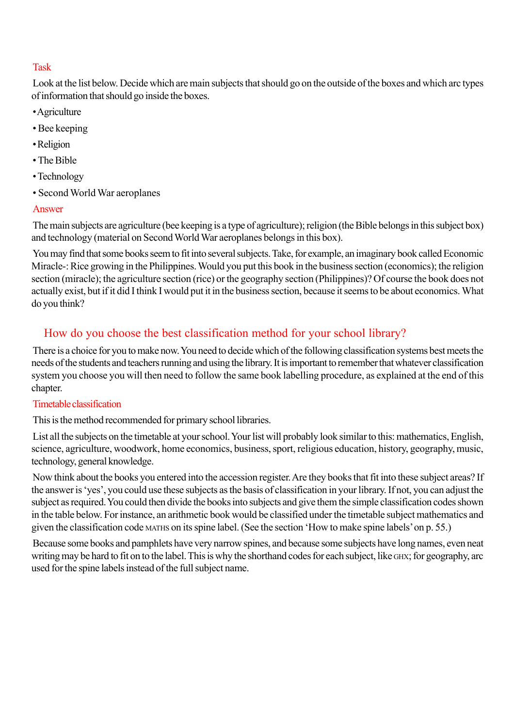### Task

Look at the list below. Decide which are main subjects that should go on the outside of the boxes and which arc types of information that should go inside the boxes.

- Agriculture
- Bee keeping
- Religion
- The Bible
- Technology
- Second World War aeroplanes

### Answer

The main subjects are agriculture (bee keeping is a type of agriculture); religion (the Bible belongs in this subject box) and technology (material on Second World War aeroplanes belongs in this box).

You may find that some books seem to fit into several subjects. Take, for example, an imaginary book called Economic Miracle-: Rice growing in the Philippines. Would you put this book in the business section (economics); the religion section (miracle); the agriculture section (rice) or the geography section (Philippines)? Of course the book does not actually exist, but if it did I think I would put it in the business section, because it seems to be about economics. What do you think?

## How do you choose the best classification method for your school library?

There is a choice for you to make now. You need to decide which of the following classification systems best meets the needs of the students and teachers running and using the library. It is important to remember that whatever classification system you choose you will then need to follow the same book labelling procedure, as explained at the end of this chapter.

### Timetable classification

This is the method recommended for primary school libraries.

List all the subjects on the timetable at your school. Your list will probably look similar to this: mathematics, English, science, agriculture, woodwork, home economics, business, sport, religious education, history, geography, music, technology, general knowledge.

Now think about the books you entered into the accession register. Are they books that fit into these subject areas? If the answer is 'yes', you could use these subjects as the basis of classification in your library. If not, you can adjust the subject as required. You could then divide the books into subjects and give them the simple classification codes shown in the table below. For instance, an arithmetic book would be classified under the timetable subject mathematics and given the classification code MATHS on its spine label. (See the section 'How to make spine labels' on p. 55.)

Because some books and pamphlets have very narrow spines, and because some subjects have long names, even neat writing may be hard to fit on to the label. This is why the shorthand codes for each subject, like GHX; for geography, arc used for the spine labels instead of the full subject name.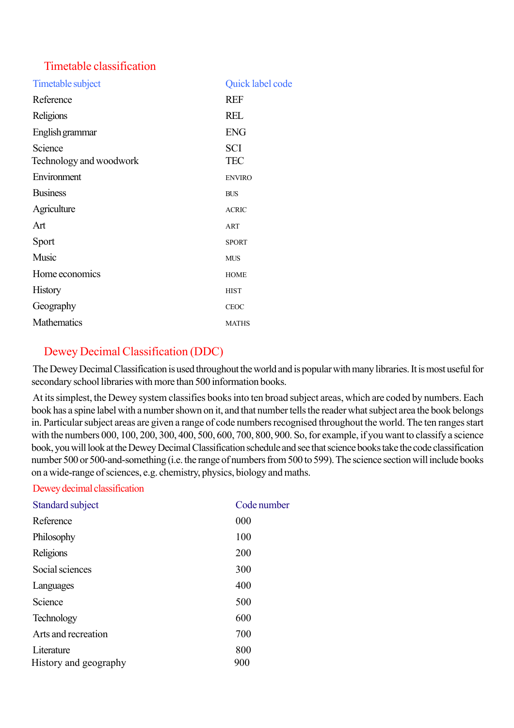### Timetable classification

| Timetable subject                  | Quick label code         |
|------------------------------------|--------------------------|
| Reference                          | <b>REF</b>               |
| Religions                          | <b>REL</b>               |
| English grammar                    | <b>ENG</b>               |
| Science<br>Technology and woodwork | <b>SCI</b><br><b>TEC</b> |
| Environment                        | <b>ENVIRO</b>            |
| <b>Business</b>                    | <b>BUS</b>               |
| Agriculture                        | <b>ACRIC</b>             |
| Art                                | <b>ART</b>               |
| Sport                              | <b>SPORT</b>             |
| Music                              | <b>MUS</b>               |
| Home economics                     | <b>HOME</b>              |
| <b>History</b>                     | <b>HIST</b>              |
| Geography                          | <b>CEOC</b>              |
| <b>Mathematics</b>                 | <b>MATHS</b>             |

## Dewey Decimal Classification (DDC)

The Dewey Decimal Classification is used throughout the world and is popular with many libraries. It is most useful for secondary school libraries with more than 500 information books.

At its simplest, the Dewey system classifies books into ten broad subject areas, which are coded by numbers. Each book has a spine label with a number shown on it, and that number tells the reader what subject area the book belongs in. Particular subject areas are given a range of code numbers recognised throughout the world. The ten ranges start with the numbers 000, 100, 200, 300, 400, 500, 600, 700, 800, 900. So, for example, if you want to classify a science book, you will look at the Dewey Decimal Classification schedule and see that science books take the code classification number 500 or 500-and-something (i.e. the range of numbers from 500 to 599). The science section will include books on a wide-range of sciences, e.g. chemistry, physics, biology and maths.

#### Dewey decimal classification

| Standard subject      | Code number |
|-----------------------|-------------|
| Reference             | 000         |
| Philosophy            | 100         |
| Religions             | 200         |
| Social sciences       | 300         |
| Languages             | 400         |
| Science               | 500         |
| <b>Technology</b>     | 600         |
| Arts and recreation   | 700         |
| Literature            | 800         |
| History and geography | 900         |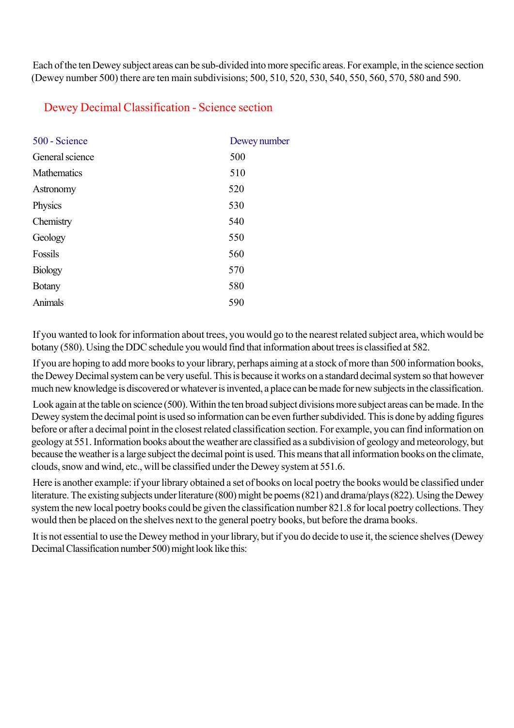Each of the ten Dewey subject areas can be sub-divided into more specific areas. For example, in the science section (Dewey number 500) there are ten main subdivisions; 500, 510, 520, 530, 540, 550, 560, 570, 580 and 590.

### Dewey Decimal Classification - Science section

| 500 - Science   | Dewey number |
|-----------------|--------------|
| General science | 500          |
| Mathematics     | 510          |
| Astronomy       | 520          |
| Physics         | 530          |
| Chemistry       | 540          |
| Geology         | 550          |
| Fossils         | 560          |
| <b>Biology</b>  | 570          |
| <b>Botany</b>   | 580          |
| Animals         | 590          |
|                 |              |

If you wanted to look for information about trees, you would go to the nearest related subject area, which would be botany (580). Using the DDC schedule you would find that information about trees is classified at 582.

If you are hoping to add more books to your library, perhaps aiming at a stock of more than 500 information books, the Dewey Decimal system can be very useful. This is because it works on a standard decimal system so that however much new knowledge is discovered or whatever is invented, a place can be made for new subjects in the classification.

Look again at the table on science (500). Within the ten broad subject divisions more subject areas can be made. In the Dewey system the decimal point is used so information can be even further subdivided. This is done by adding figures before or after a decimal point in the closest related classification section. For example, you can find information on geology at 551. Information books about the weather are classified as a subdivision of geology and meteorology, but because the weather is a large subject the decimal point is used. This means that all information books on the climate, clouds, snow and wind, etc., will be classified under the Dewey system at 551.6.

Here is another example: if your library obtained a set of books on local poetry the books would be classified under literature. The existing subjects under literature (800) might be poems (821) and drama/plays (822). Using the Dewey system the new local poetry books could be given the classification number 821.8 for local poetry collections. They would then be placed on the shelves next to the general poetry books, but before the drama books.

It is not essential to use the Dewey method in your library, but if you do decide to use it, the science shelves (Dewey Decimal Classification number 500) might look like this: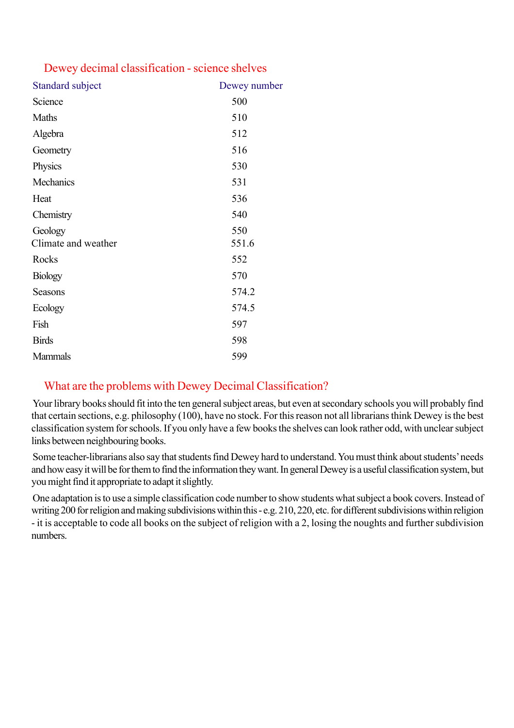### Dewey decimal classification - science shelves

| <b>Standard subject</b>        | Dewey number |
|--------------------------------|--------------|
| Science                        | 500          |
| Maths                          | 510          |
| Algebra                        | 512          |
| Geometry                       | 516          |
| Physics                        | 530          |
| Mechanics                      | 531          |
| Heat                           | 536          |
| Chemistry                      | 540          |
| Geology<br>Climate and weather | 550<br>551.6 |
| Rocks                          | 552          |
| <b>Biology</b>                 | 570          |
| Seasons                        | 574.2        |
| Ecology                        | 574.5        |
| Fish                           | 597          |
| <b>Birds</b>                   | 598          |
| <b>Mammals</b>                 | 599          |

## What are the problems with Dewey Decimal Classification?

Your library books should fit into the ten general subject areas, but even at secondary schools you will probably find that certain sections, e.g. philosophy (100), have no stock. For this reason not all librarians think Dewey is the best classification system for schools. If you only have a few books the shelves can look rather odd, with unclear subject links between neighbouring books.

Some teacher-librarians also say that students find Dewey hard to understand. You must think about students' needs and how easy it will be for them to find the information they want. In general Dewey is a useful classification system, but you might find it appropriate to adapt it slightly.

One adaptation is to use a simple classification code number to show students what subject a book covers. Instead of writing 200 for religion and making subdivisions within this - e.g. 210, 220, etc. for different subdivisions within religion - it is acceptable to code all books on the subject of religion with a 2, losing the noughts and further subdivision numbers.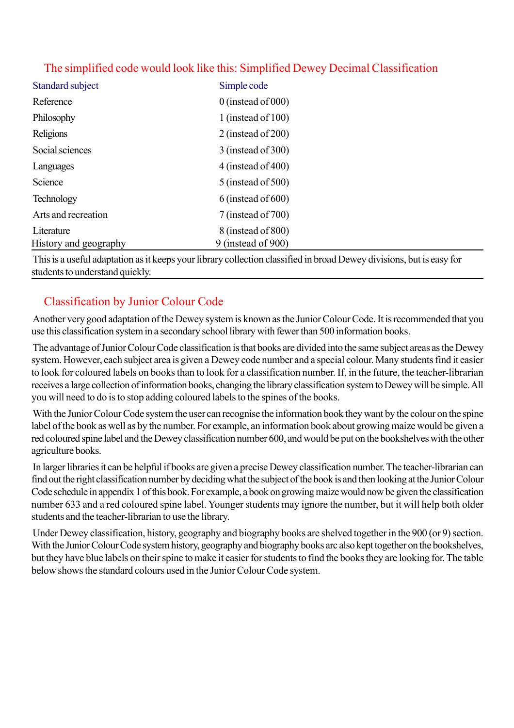| Standard subject      | Simple code           |
|-----------------------|-----------------------|
| Reference             | $0$ (instead of 000)  |
| Philosophy            | 1 (instead of $100$ ) |
| Religions             | $2$ (instead of 200)  |
| Social sciences       | $3$ (instead of 300)  |
| Languages             | $4$ (instead of 400)  |
| Science               | 5 (instead of 500)    |
| Technology            | $6$ (instead of 600)  |
| Arts and recreation   | 7 (instead of 700)    |
| Literature            | 8 (instead of 800)    |
| History and geography | 9 (instead of 900)    |

## The simplified code would look like this: Simplified Dewey Decimal Classification

This is a useful adaptation as it keeps your library collection classified in broad Dewey divisions, but is easy for students to understand quickly.

## Classification by Junior Colour Code

Another very good adaptation of the Dewey system is known as the Junior Colour Code. It is recommended that you use this classification system in a secondary school library with fewer than 500 information books.

The advantage of Junior Colour Code classification is that books are divided into the same subject areas as the Dewey system. However, each subject area is given a Dewey code number and a special colour. Many students find it easier to look for coloured labels on books than to look for a classification number. If, in the future, the teacher-librarian receives a large collection of information books, changing the library classification system to Dewey will be simple. All you will need to do is to stop adding coloured labels to the spines of the books.

With the Junior Colour Code system the user can recognise the information book they want by the colour on the spine label of the book as well as by the number. For example, an information book about growing maize would be given a red coloured spine label and the Dewey classification number 600, and would be put on the bookshelves with the other agriculture books.

In larger libraries it can be helpful if books are given a precise Dewey classification number. The teacher-librarian can find out the right classification number by deciding what the subject of the book is and then looking at the Junior Colour Code schedule in appendix 1 of this book. For example, a book on growing maize would now be given the classification number 633 and a red coloured spine label. Younger students may ignore the number, but it will help both older students and the teacher-librarian to use the library.

Under Dewey classification, history, geography and biography books are shelved together in the 900 (or 9) section. With the Junior Colour Code system history, geography and biography books arc also kept together on the bookshelves, but they have blue labels on their spine to make it easier for students to find the books they are looking for. The table below shows the standard colours used in the Junior Colour Code system.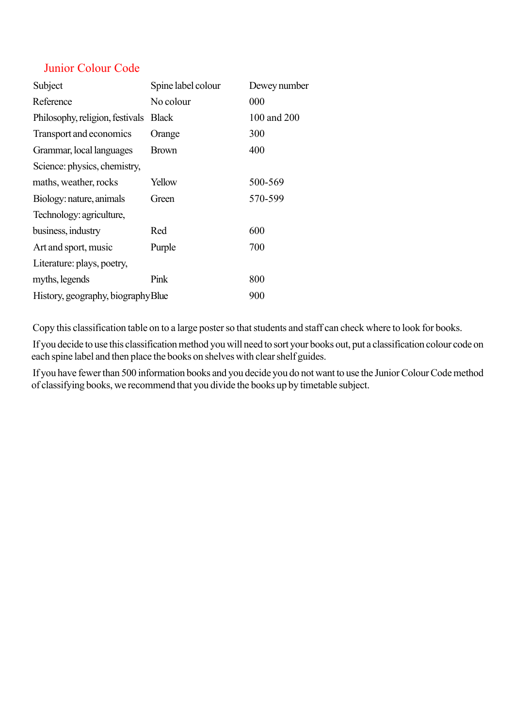### Junior Colour Code

| Subject                            | Spine label colour | Dewey number |
|------------------------------------|--------------------|--------------|
| Reference                          | No colour          | 000          |
| Philosophy, religion, festivals    | <b>Black</b>       | 100 and 200  |
| Transport and economics            | Orange             | 300          |
| Grammar, local languages           | <b>Brown</b>       | 400          |
| Science: physics, chemistry,       |                    |              |
| maths, weather, rocks              | Yellow             | 500-569      |
| Biology: nature, animals           | Green              | 570-599      |
| Technology: agriculture,           |                    |              |
| business, industry                 | Red                | 600          |
| Art and sport, music               | Purple             | 700          |
| Literature: plays, poetry,         |                    |              |
| myths, legends                     | Pink               | 800          |
| History, geography, biography Blue |                    | 900          |

Copy this classification table on to a large poster so that students and staff can check where to look for books.

If you decide to use this classification method you will need to sort your books out, put a classification colour code on each spine label and then place the books on shelves with clear shelf guides.

If you have fewer than 500 information books and you decide you do not want to use the Junior Colour Code method of classifying books, we recommend that you divide the books up by timetable subject.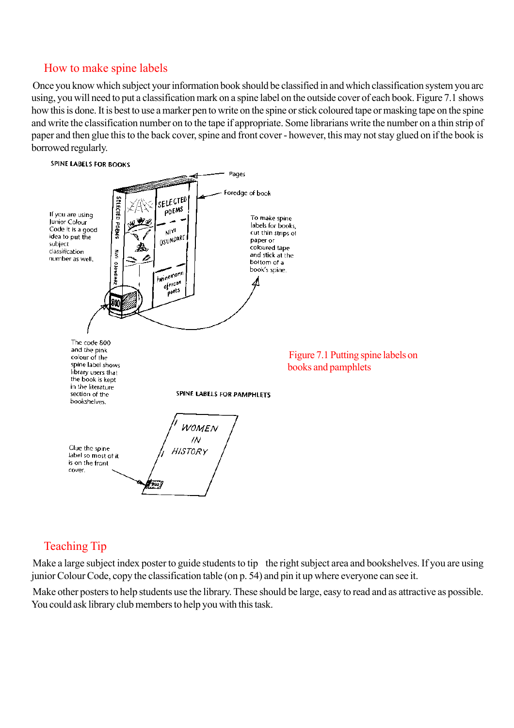### How to make spine labels

Once you know which subject your information book should be classified in and which classification system you arc using, you will need to put a classification mark on a spine label on the outside cover of each book. Figure 7.1 shows how this is done. It is best to use a marker pen to write on the spine or stick coloured tape or masking tape on the spine and write the classification number on to the tape if appropriate. Some librarians write the number on a thin strip of paper and then glue this to the back cover, spine and front cover - however, this may not stay glued on if the book is borrowed regularly.



## Teaching Tip

Make a large subject index poster to guide students to tip the right subject area and bookshelves. If you are using junior Colour Code, copy the classification table (on p. 54) and pin it up where everyone can see it.

Make other posters to help students use the library. These should be large, easy to read and as attractive as possible. You could ask library club members to help you with this task.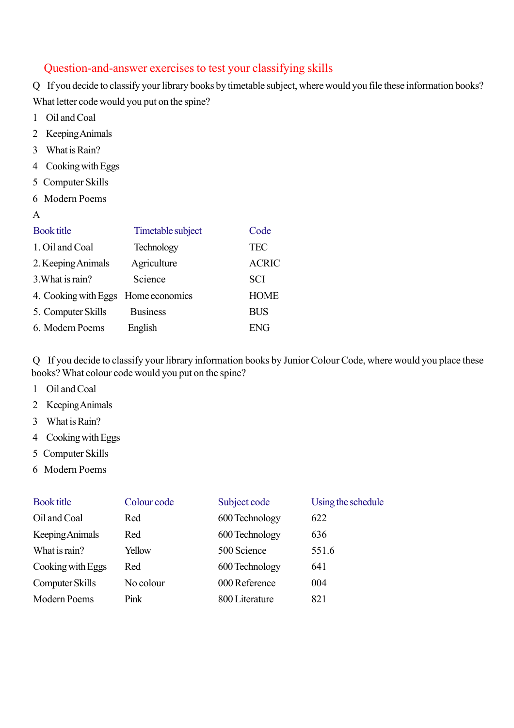### Question-and-answer exercises to test your classifying skills

Q If you decide to classify your library books by timetable subject, where would you file these information books? What letter code would you put on the spine?

- 1 Oil and Coal
- 2 Keeping Animals
- 3 What is Rain?
- 4 Cooking with Eggs
- 5 Computer Skills
- 6 Modern Poems
- A

| <b>Book title</b>                   | Timetable subject | Code         |
|-------------------------------------|-------------------|--------------|
| 1. Oil and Coal                     | Technology        | <b>TEC</b>   |
| 2. Keeping Animals                  | Agriculture       | <b>ACRIC</b> |
| 3. What is rain?                    | Science           | <b>SCI</b>   |
| 4. Cooking with Eggs Home economics |                   | <b>HOME</b>  |
| 5. Computer Skills                  | <b>Business</b>   | <b>BUS</b>   |
| 6. Modern Poems                     | English           | ENG          |

Q If you decide to classify your library information books by Junior Colour Code, where would you place these books? What colour code would you put on the spine?

- 1 Oil and Coal
- 2 Keeping Animals
- 3 What is Rain?
- 4 Cooking with Eggs
- 5 Computer Skills
- 6 Modern Poems

| <b>Book title</b>   | Colour code | Subject code   | Using the schedule |
|---------------------|-------------|----------------|--------------------|
| Oil and Coal        | Red         | 600 Technology | 622                |
| Keeping Animals     | Red         | 600 Technology | 636                |
| What is rain?       | Yellow      | 500 Science    | 551.6              |
| Cooking with Eggs   | Red         | 600 Technology | 641                |
| Computer Skills     | No colour   | 000 Reference  | 004                |
| <b>Modern Poems</b> | Pink        | 800 Literature | 821                |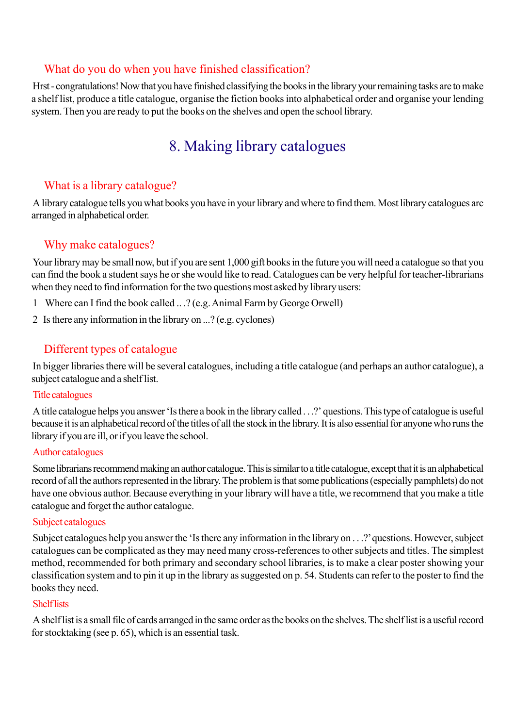#### What do you do when you have finished classification?

Hrst - congratulations! Now that you have finished classifying the books in the library your remaining tasks are to make a shelf list, produce a title catalogue, organise the fiction books into alphabetical order and organise your lending system. Then you are ready to put the books on the shelves and open the school library.

# 8. Making library catalogues

## What is a library catalogue?

A library catalogue tells you what books you have in your library and where to find them. Most library catalogues arc arranged in alphabetical order.

## Why make catalogues?

Your library may be small now, but if you are sent 1,000 gift books in the future you will need a catalogue so that you can find the book a student says he or she would like to read. Catalogues can be very helpful for teacher-librarians when they need to find information for the two questions most asked by library users:

- 1 Where can I find the book called .. .? (e.g. Animal Farm by George Orwell)
- 2 Is there any information in the library on ...? (e.g. cyclones)

### Different types of catalogue

In bigger libraries there will be several catalogues, including a title catalogue (and perhaps an author catalogue), a subject catalogue and a shelf list.

#### Title catalogues

A title catalogue helps you answer 'Is there a book in the library called . . .?' questions. This type of catalogue is useful because it is an alphabetical record of the titles of all the stock in the library. It is also essential for anyone who runs the library if you are ill, or if you leave the school.

#### Author catalogues

Some librarians recommend making an author catalogue. This is similar to a title catalogue, except that it is an alphabetical record of all the authors represented in the library. The problem is that some publications (especially pamphlets) do not have one obvious author. Because everything in your library will have a title, we recommend that you make a title catalogue and forget the author catalogue.

#### Subject catalogues

Subject catalogues help you answer the 'Is there any information in the library on . . .?' questions. However, subject catalogues can be complicated as they may need many cross-references to other subjects and titles. The simplest method, recommended for both primary and secondary school libraries, is to make a clear poster showing your classification system and to pin it up in the library as suggested on p. 54. Students can refer to the poster to find the books they need.

#### **Shelf** lists

A shelf list is a small file of cards arranged in the same order as the books on the shelves. The shelf list is a useful record for stocktaking (see p. 65), which is an essential task.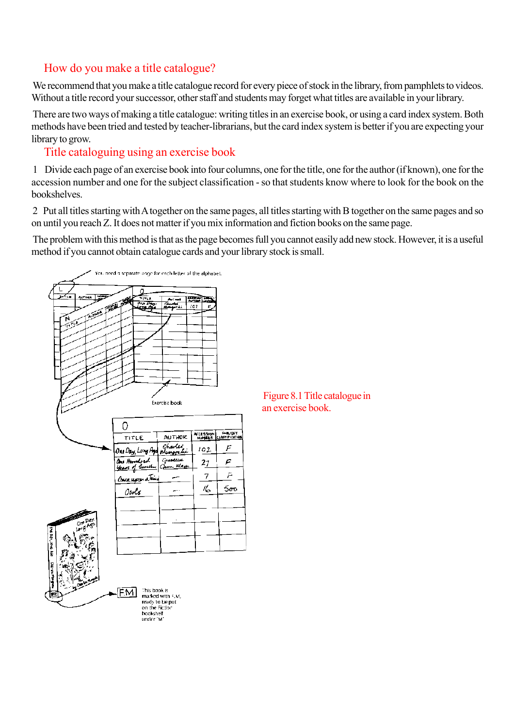## How do you make a title catalogue?

We recommend that you make a title catalogue record for every piece of stock in the library, from pamphlets to videos. Without a title record your successor, other staff and students may forget what titles are available in your library.

There are two ways of making a title catalogue: writing titles in an exercise book, or using a card index system. Both methods have been tried and tested by teacher-librarians, but the card index system is better if you are expecting your library to grow.

## Title cataloguing using an exercise book

1 Divide each page of an exercise book into four columns, one for the title, one for the author (if known), one for the accession number and one for the subject classification - so that students know where to look for the book on the bookshelves.

2 Put all titles starting with A together on the same pages, all titles starting with B together on the same pages and so on until you reach Z. It does not matter if you mix information and fiction books on the same page.

The problem with this method is that as the page becomes full you cannot easily add new stock. However, it is a useful method if you cannot obtain catalogue cards and your library stock is small.



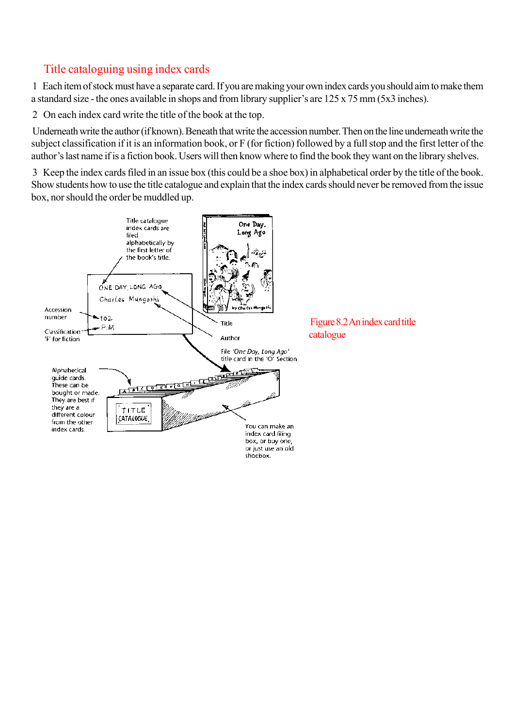### Title cataloguing using index cards

1 Each item of stock must have a separate card. If you are making your own index cards you should aim to make them a standard size - the ones available in shops and from library supplier's are 125 x 75 mm (5x3 inches).

2 On each index card write the title of the book at the top.

Underneath write the author (if known). Beneath that write the accession number. Then on the line underneath write the subject classification if it is an information book, or F (for fiction) followed by a full stop and the first letter of the author's last name if is a fiction book. Users will then know where to find the book they want on the library shelves.

3 Keep the index cards filed in an issue box (this could be a shoe box) in alphabetical order by the title of the book. Show students how to use the title catalogue and explain that the index cards should never be removed from the issue box, nor should the order be muddled up.

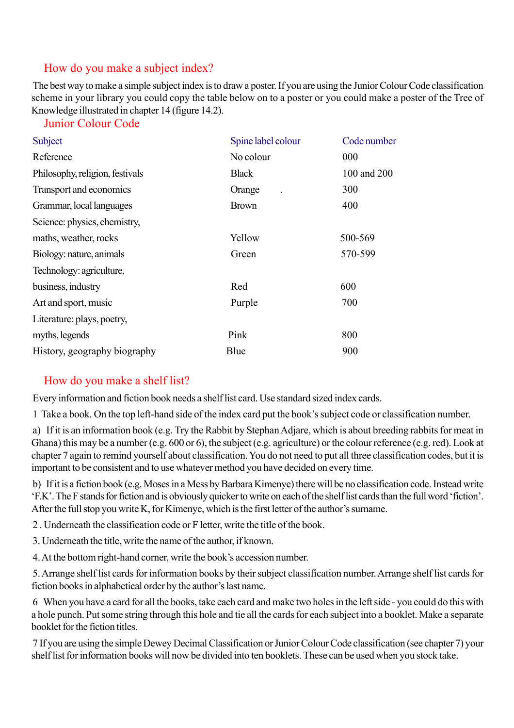### How do you make a subject index?

The best way to make a simple subject index is to draw a poster. If you are using the Junior Colour Code classification scheme in your library you could copy the table below on to a poster or you could make a poster of the Tree of Knowledge illustrated in chapter 14 (figure 14.2).

#### Junior Colour Code

| Subject                         | Spine label colour | Code number |
|---------------------------------|--------------------|-------------|
| Reference                       | No colour          | 000         |
| Philosophy, religion, festivals | <b>Black</b>       | 100 and 200 |
| Transport and economics         | Orange             | 300         |
| Grammar, local languages        | <b>Brown</b>       | 400         |
| Science: physics, chemistry,    |                    |             |
| maths, weather, rocks           | Yellow             | 500-569     |
| Biology: nature, animals        | Green              | 570-599     |
| Technology: agriculture,        |                    |             |
| business, industry              | Red                | 600         |
| Art and sport, music            | Purple             | 700         |
| Literature: plays, poetry,      |                    |             |
| myths, legends                  | Pink               | 800         |
| History, geography biography    | Blue               | 900         |

#### How do you make a shelf list?

Every information and fiction book needs a shelf list card. Use standard sized index cards.

1 Take a book. On the top left-hand side of the index card put the book's subject code or classification number.

a) If it is an information book (e.g. Try the Rabbit by Stephan Adjare, which is about breeding rabbits for meat in Ghana) this may be a number (e.g. 600 or 6), the subject (e.g. agriculture) or the colour reference (e.g. red). Look at chapter 7 again to remind yourself about classification. You do not need to put all three classification codes, but it is important to be consistent and to use whatever method you have decided on every time.

b) If it is a fiction book (e.g. Moses in a Mess by Barbara Kimenye) there will be no classification code. Instead write 'F.K'. The F stands for fiction and is obviously quicker to write on each of the shelf list cards than the full word 'fiction'. After the full stop you write K, for Kimenye, which is the first letter of the author's surname.

2 . Underneath the classification code or F letter, write the title of the book.

3. Underneath the title, write the name of the author, if known.

4. At the bottom right-hand corner, write the book's accession number.

5. Arrange shelf list cards for information books by their subject classification number. Arrange shelf list cards for fiction books in alphabetical order by the author's last name.

6 When you have a card for all the books, take each card and make two holes in the left side - you could do this with a hole punch. Put some string through this hole and tie all the cards for each subject into a booklet. Make a separate booklet for the fiction titles.

7 If you are using the simple Dewey Decimal Classification or Junior Colour Code classification (see chapter 7) your shelf list for information books will now be divided into ten booklets. These can be used when you stock take.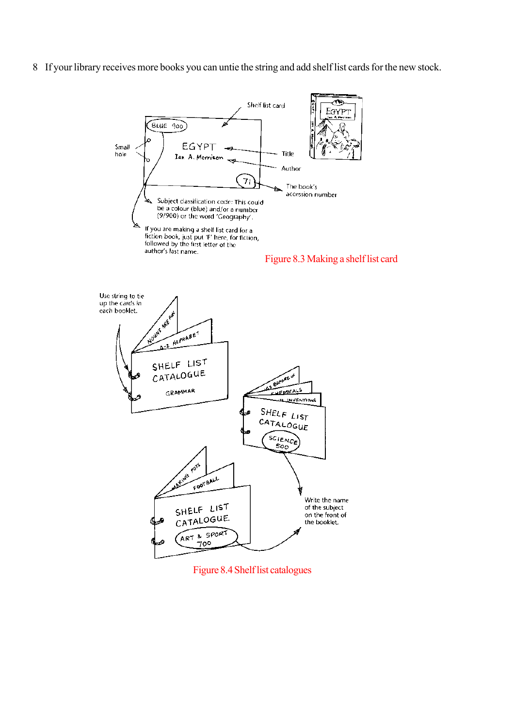8 If your library receives more books you can untie the string and add shelf list cards for the new stock.





Figure 8.4 Shelf list catalogues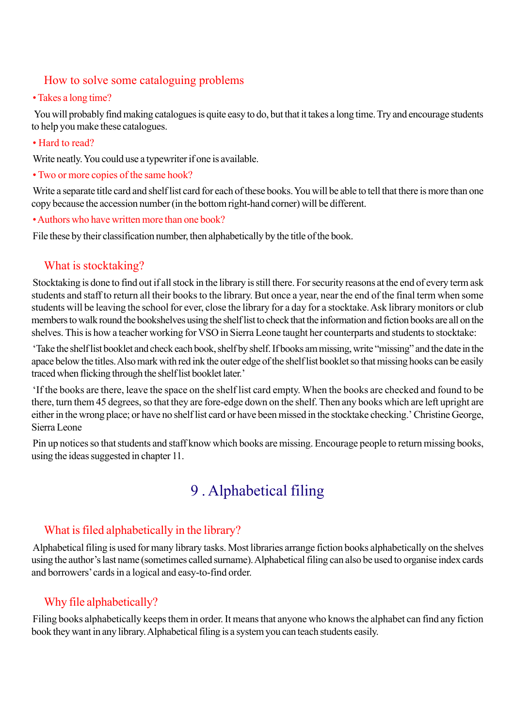### How to solve some cataloguing problems

#### • Takes a long time?

 You will probably find making catalogues is quite easy to do, but that it takes a long time. Try and encourage students to help you make these catalogues.

• Hard to read?

Write neatly. You could use a typewriter if one is available.

• Two or more copies of the same hook?

Write a separate title card and shelf list card for each of these books. You will be able to tell that there is more than one copy because the accession number (in the bottom right-hand corner) will be different.

• Authors who have written more than one book?

File these by their classification number, then alphabetically by the title of the book.

### What is stocktaking?

Stocktaking is done to find out if all stock in the library is still there. For security reasons at the end of every term ask students and staff to return all their books to the library. But once a year, near the end of the final term when some students will be leaving the school for ever, close the library for a day for a stocktake. Ask library monitors or club members to walk round the bookshelves using the shelf list to check that the information and fiction books are all on the shelves. This is how a teacher working for VSO in Sierra Leone taught her counterparts and students to stocktake:

'Take the shelf list booklet and check each book, shelf by shelf. If books am missing, write "missing" and the date in the apace below the titles. Also mark with red ink the outer edge of the shelf list booklet so that missing hooks can be easily traced when flicking through the shelf list booklet later.'

'If the books are there, leave the space on the shelf list card empty. When the books are checked and found to be there, turn them 45 degrees, so that they are fore-edge down on the shelf. Then any books which are left upright are either in the wrong place; or have no shelf list card or have been missed in the stocktake checking.' Christine George, Sierra Leone

Pin up notices so that students and staff know which books are missing. Encourage people to return missing books, using the ideas suggested in chapter 11.

# 9 . Alphabetical filing

## What is filed alphabetically in the library?

Alphabetical filing is used for many library tasks. Most libraries arrange fiction books alphabetically on the shelves using the author's last name (sometimes called surname). Alphabetical filing can also be used to organise index cards and borrowers' cards in a logical and easy-to-find order.

## Why file alphabetically?

Filing books alphabetically keeps them in order. It means that anyone who knows the alphabet can find any fiction book they want in any library. Alphabetical filing is a system you can teach students easily.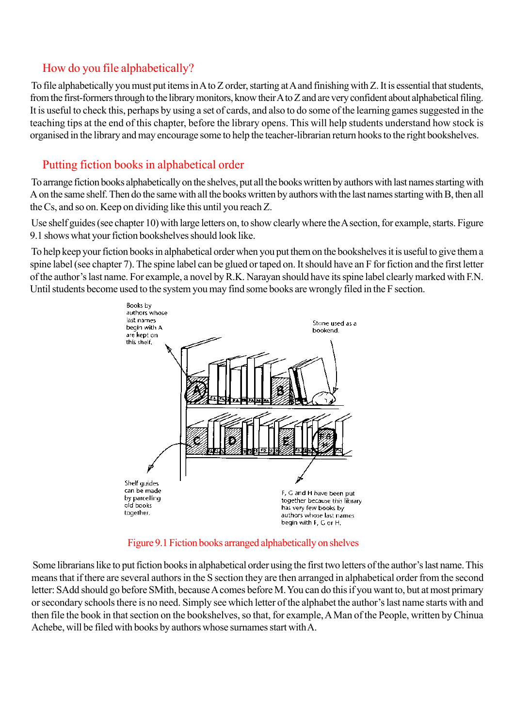## How do you file alphabetically?

To file alphabetically you must put items in A to Z order, starting at A and finishing with Z. It is essential that students, from the first-formers through to the library monitors, know their A to Z and are very confident about alphabetical filing. It is useful to check this, perhaps by using a set of cards, and also to do some of the learning games suggested in the teaching tips at the end of this chapter, before the library opens. This will help students understand how stock is organised in the library and may encourage some to help the teacher-librarian return hooks to the right bookshelves.

## Putting fiction books in alphabetical order

To arrange fiction books alphabetically on the shelves, put all the books written by authors with last names starting with A on the same shelf. Then do the same with all the books written by authors with the last names starting with B, then all the Cs, and so on. Keep on dividing like this until you reach Z.

Use shelf guides (see chapter 10) with large letters on, to show clearly where the A section, for example, starts. Figure 9.1 shows what your fiction bookshelves should look like.

To help keep your fiction books in alphabetical order when you put them on the bookshelves it is useful to give them a spine label (see chapter 7). The spine label can be glued or taped on. It should have an F for fiction and the first letter of the author's last name. For example, a novel by R.K. Narayan should have its spine label clearly marked with F.N. Until students become used to the system you may find some books are wrongly filed in the F section.



Figure 9.1 Fiction books arranged alphabetically on shelves

Some librarians like to put fiction books in alphabetical order using the first two letters of the author's last name. This means that if there are several authors in the S section they are then arranged in alphabetical order from the second letter: SAdd should go before SMith, because A comes before M. You can do this if you want to, but at most primary or secondary schools there is no need. Simply see which letter of the alphabet the author's last name starts with and then file the book in that section on the bookshelves, so that, for example, A Man of the People, written by Chinua Achebe, will be filed with books by authors whose surnames start with A.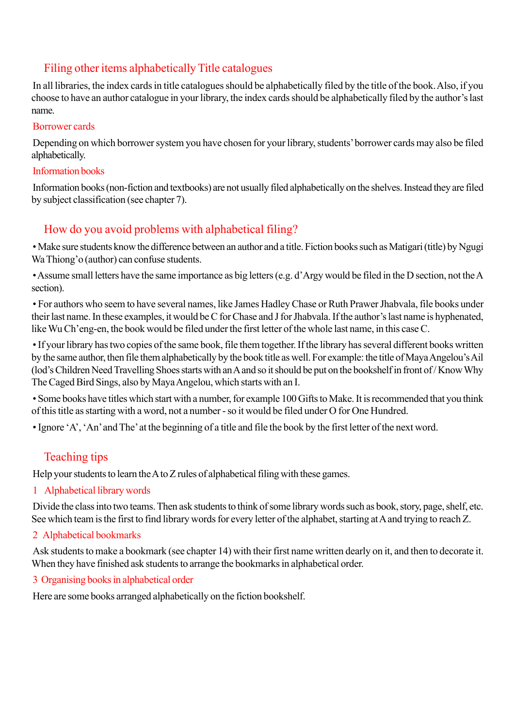## Filing other items alphabetically Title catalogues

In all libraries, the index cards in title catalogues should be alphabetically filed by the title of the book. Also, if you choose to have an author catalogue in your library, the index cards should be alphabetically filed by the author's last name.

#### Borrower cards

Depending on which borrower system you have chosen for your library, students' borrower cards may also be filed alphabetically.

#### Information books

Information books (non-fiction and textbooks) are not usually filed alphabetically on the shelves. Instead they are filed by subject classification (see chapter 7).

# How do you avoid problems with alphabetical filing?

• Make sure students know the difference between an author and a title. Fiction books such as Matigari (title) by Ngugi Wa Thiong'o (author) can confuse students.

• Assume small letters have the same importance as big letters (e.g. d'Argy would be filed in the D section, not the A section).

• For authors who seem to have several names, like James Hadley Chase or Ruth Prawer Jhabvala, file books under their last name. In these examples, it would be C for Chase and J for Jhabvala. If the author's last name is hyphenated, like Wu Ch'eng-en, the book would be filed under the first letter of the whole last name, in this case C.

• If your library has two copies of the same book, file them together. If the library has several different books written by the same author, then file them alphabetically by the book title as well. For example: the title of Maya Angelou's Ail (lod's Children Need Travelling Shoes starts with an A and so it should be put on the bookshelf in front of / Know Why The Caged Bird Sings, also by Maya Angelou, which starts with an I.

• Some books have titles which start with a number, for example 100 Gifts to Make. It is recommended that you think of this title as starting with a word, not a number - so it would be filed under O for One Hundred.

• Ignore 'A', 'An' and The' at the beginning of a title and file the book by the first letter of the next word.

# Teaching tips

Help your students to learn the A to Z rules of alphabetical filing with these games.

1 Alphabetical library words

Divide the class into two teams. Then ask students to think of some library words such as book, story, page, shelf, etc. See which team is the first to find library words for every letter of the alphabet, starting at A and trying to reach Z.

2 Alphabetical bookmarks

Ask students to make a bookmark (see chapter 14) with their first name written dearly on it, and then to decorate it. When they have finished ask students to arrange the bookmarks in alphabetical order.

3 Organising books in alphabetical order

Here are some books arranged alphabetically on the fiction bookshelf.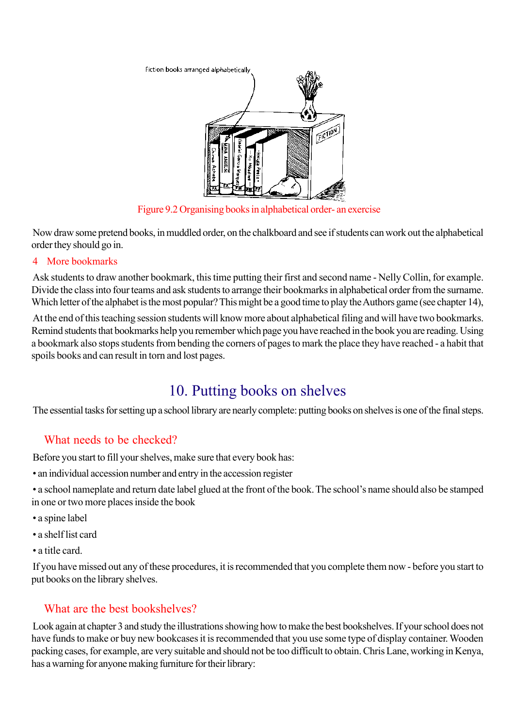

Figure 9.2 Organising books in alphabetical order- an exercise

Now draw some pretend books, in muddled order, on the chalkboard and see if students can work out the alphabetical order they should go in.

#### 4 More bookmarks

Ask students to draw another bookmark, this time putting their first and second name - Nelly Collin, for example. Divide the class into four teams and ask students to arrange their bookmarks in alphabetical order from the surname. Which letter of the alphabet is the most popular? This might be a good time to play the Authors game (see chapter 14),

At the end of this teaching session students will know more about alphabetical filing and will have two bookmarks. Remind students that bookmarks help you remember which page you have reached in the book you are reading. Using a bookmark also stops students from bending the corners of pages to mark the place they have reached - a habit that spoils books and can result in torn and lost pages.

# 10. Putting books on shelves

The essential tasks for setting up a school library are nearly complete: putting books on shelves is one of the final steps.

# What needs to be checked?

Before you start to fill your shelves, make sure that every book has:

- an individual accession number and entry in the accession register
- a school nameplate and return date label glued at the front of the book. The school's name should also be stamped in one or two more places inside the book
- a spine label
- a shelf list card
- a title card.

If you have missed out any of these procedures, it is recommended that you complete them now - before you start to put books on the library shelves.

# What are the best bookshelves?

Look again at chapter 3 and study the illustrations showing how to make the best bookshelves. If your school does not have funds to make or buy new bookcases it is recommended that you use some type of display container. Wooden packing cases, for example, are very suitable and should not be too difficult to obtain. Chris Lane, working in Kenya, has a warning for anyone making furniture for their library: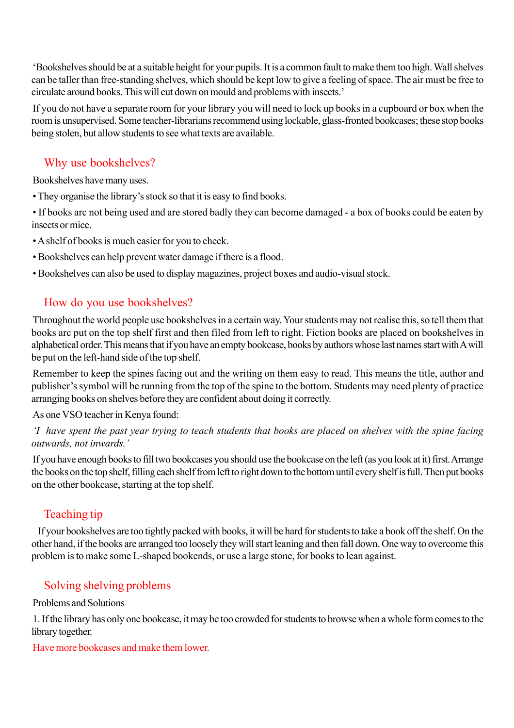'Bookshelves should be at a suitable height for your pupils. It is a common fault to make them too high. Wall shelves can be taller than free-standing shelves, which should be kept low to give a feeling of space. The air must be free to circulate around books. This will cut down on mould and problems with insects.'

If you do not have a separate room for your library you will need to lock up books in a cupboard or box when the room is unsupervised. Some teacher-librarians recommend using lockable, glass-fronted bookcases; these stop books being stolen, but allow students to see what texts are available.

## Why use bookshelves?

Bookshelves have many uses.

• They organise the library's stock so that it is easy to find books.

• If books arc not being used and are stored badly they can become damaged - a box of books could be eaten by insects or mice.

- A shelf of books is much easier for you to check.
- Bookshelves can help prevent water damage if there is a flood.
- Bookshelves can also be used to display magazines, project boxes and audio-visual stock.

## How do you use bookshelves?

Throughout the world people use bookshelves in a certain way. Your students may not realise this, so tell them that books arc put on the top shelf first and then filed from left to right. Fiction books are placed on bookshelves in alphabetical order. This means that if you have an empty bookcase, books by authors whose last names start with A will be put on the left-hand side of the top shelf.

Remember to keep the spines facing out and the writing on them easy to read. This means the title, author and publisher's symbol will be running from the top of the spine to the bottom. Students may need plenty of practice arranging books on shelves before they are confident about doing it correctly.

As one VSO teacher in Kenya found:

'I have spent the past year trying to teach students that books are placed on shelves with the spine facing outwards, not inwards.'

If you have enough books to fill two bookcases you should use the bookcase on the left (as you look at it) first. Arrange the books on the top shelf, filling each shelf from left to right down to the bottom until every shelf is full. Then put books on the other bookcase, starting at the top shelf.

# Teaching tip

 If your bookshelves are too tightly packed with books, it will be hard for students to take a book off the shelf. On the other hand, if the books are arranged too loosely they will start leaning and then fall down. One way to overcome this problem is to make some L-shaped bookends, or use a large stone, for books to lean against.

# Solving shelving problems

#### Problems and Solutions

1. If the library has only one bookcase, it may be too crowded for students to browse when a whole form comes to the library together.

Have more bookcases and make them lower.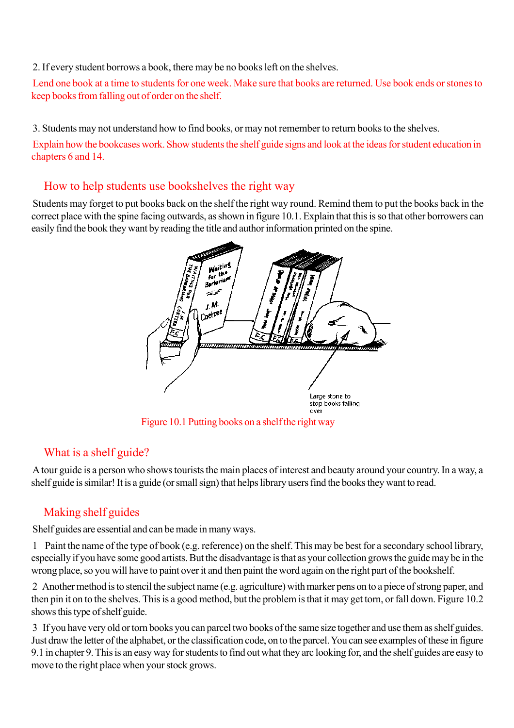#### 2. If every student borrows a book, there may be no books left on the shelves.

Lend one book at a time to students for one week. Make sure that books are returned. Use book ends or stones to keep books from falling out of order on the shelf.

3. Students may not understand how to find books, or may not remember to return books to the shelves.

Explain how the bookcases work. Show students the shelf guide signs and look at the ideas for student education in chapters 6 and 14.

## How to help students use bookshelves the right way

Students may forget to put books back on the shelf the right way round. Remind them to put the books back in the correct place with the spine facing outwards, as shown in figure 10.1. Explain that this is so that other borrowers can easily find the book they want by reading the title and author information printed on the spine.



Figure 10.1 Putting books on a shelf the right way

# What is a shelf guide?

A tour guide is a person who shows tourists the main places of interest and beauty around your country. In a way, a shelf guide is similar! It is a guide (or small sign) that helps library users find the books they want to read.

# Making shelf guides

Shelf guides are essential and can be made in many ways.

1 Paint the name of the type of book (e.g. reference) on the shelf. This may be best for a secondary school library, especially if you have some good artists. But the disadvantage is that as your collection grows the guide may be in the wrong place, so you will have to paint over it and then paint the word again on the right part of the bookshelf.

2 Another method is to stencil the subject name (e.g. agriculture) with marker pens on to a piece of strong paper, and then pin it on to the shelves. This is a good method, but the problem is that it may get torn, or fall down. Figure 10.2 shows this type of shelf guide.

3 If you have very old or torn books you can parcel two books of the same size together and use them as shelf guides. Just draw the letter of the alphabet, or the classification code, on to the parcel. You can see examples of these in figure 9.1 in chapter 9. This is an easy way for students to find out what they arc looking for, and the shelf guides are easy to move to the right place when your stock grows.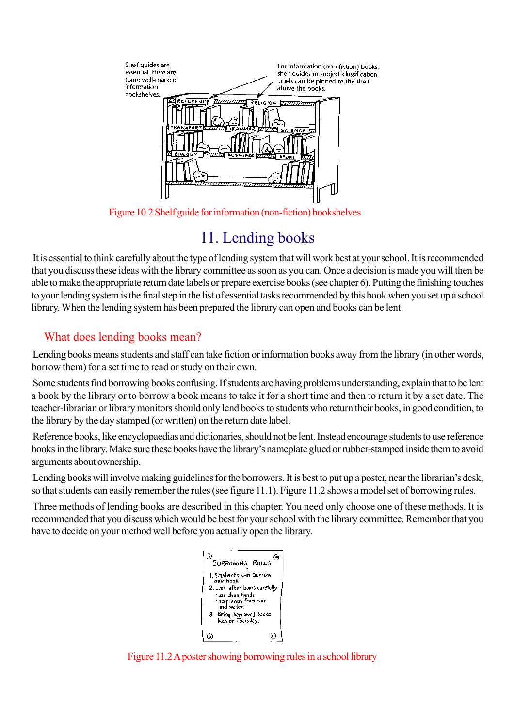

Figure 10.2 Shelf guide for information (non-fiction) bookshelves

# 11. Lending books

It is essential to think carefully about the type of lending system that will work best at your school. It is recommended that you discuss these ideas with the library committee as soon as you can. Once a decision is made you will then be able to make the appropriate return date labels or prepare exercise books (see chapter 6). Putting the finishing touches to your lending system is the final step in the list of essential tasks recommended by this book when you set up a school library. When the lending system has been prepared the library can open and books can be lent.

# What does lending books mean?

Lending books means students and staff can take fiction or information books away from the library (in other words, borrow them) for a set time to read or study on their own.

Some students find borrowing books confusing. If students arc having problems understanding, explain that to be lent a book by the library or to borrow a book means to take it for a short time and then to return it by a set date. The teacher-librarian or library monitors should only lend books to students who return their books, in good condition, to the library by the day stamped (or written) on the return date label.

Reference books, like encyclopaedias and dictionaries, should not be lent. Instead encourage students to use reference hooks in the library. Make sure these books have the library's nameplate glued or rubber-stamped inside them to avoid arguments about ownership.

Lending books will involve making guidelines for the borrowers. It is best to put up a poster, near the librarian's desk, so that students can easily remember the rules (see figure 11.1). Figure 11.2 shows a model set of borrowing rules.

Three methods of lending books are described in this chapter. You need only choose one of these methods. It is recommended that you discuss which would be best for your school with the library committee. Remember that you have to decide on your method well before you actually open the library.



Figure 11.2 A poster showing borrowing rules in a school library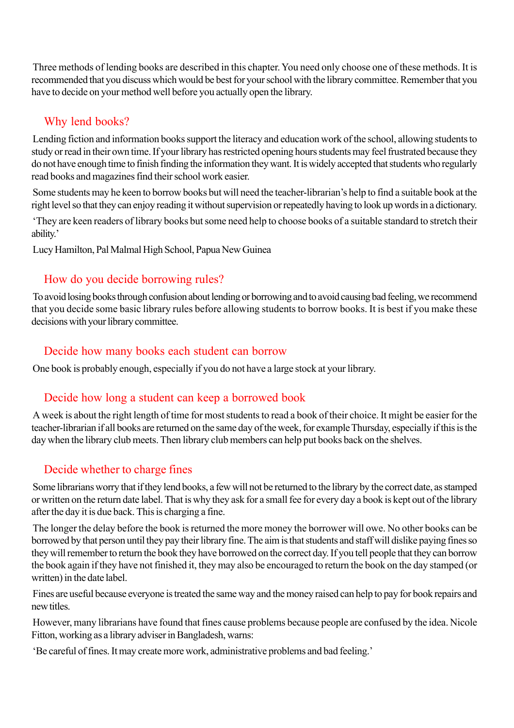Three methods of lending books are described in this chapter. You need only choose one of these methods. It is recommended that you discuss which would be best for your school with the library committee. Remember that you have to decide on your method well before you actually open the library.

## Why lend books?

Lending fiction and information books support the literacy and education work of the school, allowing students to study or read in their own time. If your library has restricted opening hours students may feel frustrated because they do not have enough time to finish finding the information they want. It is widely accepted that students who regularly read books and magazines find their school work easier.

Some students may he keen to borrow books but will need the teacher-librarian's help to find a suitable book at the right level so that they can enjoy reading it without supervision or repeatedly having to look up words in a dictionary.

'They are keen readers of library books but some need help to choose books of a suitable standard to stretch their ability.'

Lucy Hamilton, Pal Malmal High School, Papua New Guinea

## How do you decide borrowing rules?

To avoid losing books through confusion about lending or borrowing and to avoid causing bad feeling, we recommend that you decide some basic library rules before allowing students to borrow books. It is best if you make these decisions with your library committee.

## Decide how many books each student can borrow

One book is probably enough, especially if you do not have a large stock at your library.

## Decide how long a student can keep a borrowed book

A week is about the right length of time for most students to read a book of their choice. It might be easier for the teacher-librarian if all books are returned on the same day of the week, for example Thursday, especially if this is the day when the library club meets. Then library club members can help put books back on the shelves.

# Decide whether to charge fines

Some librarians worry that if they lend books, a few will not be returned to the library by the correct date, as stamped or written on the return date label. That is why they ask for a small fee for every day a book is kept out of the library after the day it is due back. This is charging a fine.

The longer the delay before the book is returned the more money the borrower will owe. No other books can be borrowed by that person until they pay their library fine. The aim is that students and staff will dislike paying fines so they will remember to return the book they have borrowed on the correct day. If you tell people that they can borrow the book again if they have not finished it, they may also be encouraged to return the book on the day stamped (or written) in the date label.

Fines are useful because everyone is treated the same way and the money raised can help to pay for book repairs and new titles.

However, many librarians have found that fines cause problems because people are confused by the idea. Nicole Fitton, working as a library adviser in Bangladesh, warns:

'Be careful of fines. It may create more work, administrative problems and bad feeling.'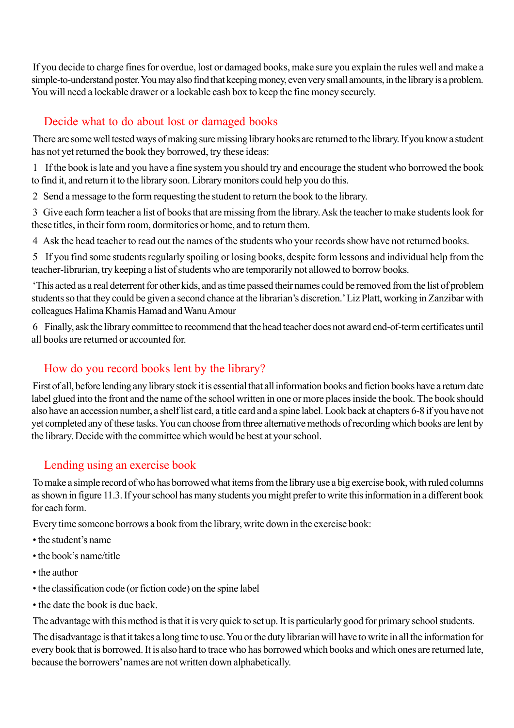If you decide to charge fines for overdue, lost or damaged books, make sure you explain the rules well and make a simple-to-understand poster. You may also find that keeping money, even very small amounts, in the library is a problem. You will need a lockable drawer or a lockable cash box to keep the fine money securely.

# Decide what to do about lost or damaged books

There are some well tested ways of making sure missing library hooks are returned to the library. If you know a student has not yet returned the book they borrowed, try these ideas:

1 If the book is late and you have a fine system you should try and encourage the student who borrowed the book to find it, and return it to the library soon. Library monitors could help you do this.

2 Send a message to the form requesting the student to return the book to the library.

3 Give each form teacher a list of books that are missing from the library. Ask the teacher to make students look for these titles, in their form room, dormitories or home, and to return them.

4 Ask the head teacher to read out the names of the students who your records show have not returned books.

5 If you find some students regularly spoiling or losing books, despite form lessons and individual help from the teacher-librarian, try keeping a list of students who are temporarily not allowed to borrow books.

'This acted as a real deterrent for other kids, and as time passed their names could be removed from the list of problem students so that they could be given a second chance at the librarian's discretion.' Liz Platt, working in Zanzibar with colleagues Halima Khamis Hamad and Wanu Amour

6 Finally, ask the library committee to recommend that the head teacher does not award end-of-term certificates until all books are returned or accounted for.

# How do you record books lent by the library?

First of all, before lending any library stock it is essential that all information books and fiction books have a return date label glued into the front and the name of the school written in one or more places inside the book. The book should also have an accession number, a shelf list card, a title card and a spine label. Look back at chapters 6-8 if you have not yet completed any of these tasks. You can choose from three alternative methods of recording which books are lent by the library. Decide with the committee which would be best at your school.

# Lending using an exercise book

To make a simple record of who has borrowed what items from the library use a big exercise book, with ruled columns as shown in figure 11.3. If your school has many students you might prefer to write this information in a different book for each form.

Every time someone borrows a book from the library, write down in the exercise book:

- the student's name
- the book's name/title
- the author
- the classification code (or fiction code) on the spine label
- the date the book is due back.

The advantage with this method is that it is very quick to set up. It is particularly good for primary school students.

The disadvantage is that it takes a long time to use. You or the duty librarian will have to write in all the information for every book that is borrowed. It is also hard to trace who has borrowed which books and which ones are returned late, because the borrowers' names are not written down alphabetically.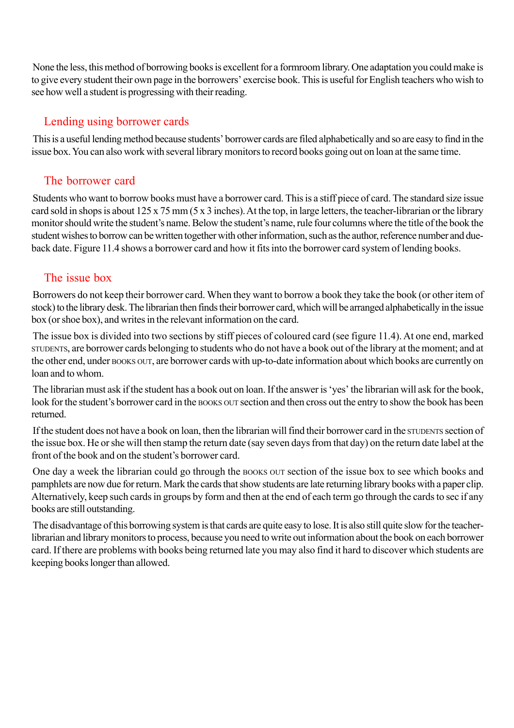None the less, this method of borrowing books is excellent for a formroom library. One adaptation you could make is to give every student their own page in the borrowers' exercise book. This is useful for English teachers who wish to see how well a student is progressing with their reading.

## Lending using borrower cards

This is a useful lending method because students' borrower cards are filed alphabetically and so are easy to find in the issue box. You can also work with several library monitors to record books going out on loan at the same time.

## The borrower card

Students who want to borrow books must have a borrower card. This is a stiff piece of card. The standard size issue card sold in shops is about 125 x 75 mm (5 x 3 inches). At the top, in large letters, the teacher-librarian or the library monitor should write the student's name. Below the student's name, rule four columns where the title of the book the student wishes to borrow can be written together with other information, such as the author, reference number and dueback date. Figure 11.4 shows a borrower card and how it fits into the borrower card system of lending books.

### The issue box

Borrowers do not keep their borrower card. When they want to borrow a book they take the book (or other item of stock) to the library desk. The librarian then finds their borrower card, which will be arranged alphabetically in the issue box (or shoe box), and writes in the relevant information on the card.

The issue box is divided into two sections by stiff pieces of coloured card (see figure 11.4). At one end, marked STUDENTS, are borrower cards belonging to students who do not have a book out of the library at the moment; and at the other end, under BOOKS OUT, are borrower cards with up-to-date information about which books are currently on loan and to whom.

The librarian must ask if the student has a book out on loan. If the answer is 'yes' the librarian will ask for the book, look for the student's borrower card in the BOOKS OUT section and then cross out the entry to show the book has been returned.

If the student does not have a book on loan, then the librarian will find their borrower card in the STUDENTS section of the issue box. He or she will then stamp the return date (say seven days from that day) on the return date label at the front of the book and on the student's borrower card.

One day a week the librarian could go through the BOOKS OUT section of the issue box to see which books and pamphlets are now due for return. Mark the cards that show students are late returning library books with a paper clip. Alternatively, keep such cards in groups by form and then at the end of each term go through the cards to sec if any books are still outstanding.

The disadvantage of this borrowing system is that cards are quite easy to lose. It is also still quite slow for the teacherlibrarian and library monitors to process, because you need to write out information about the book on each borrower card. If there are problems with books being returned late you may also find it hard to discover which students are keeping books longer than allowed.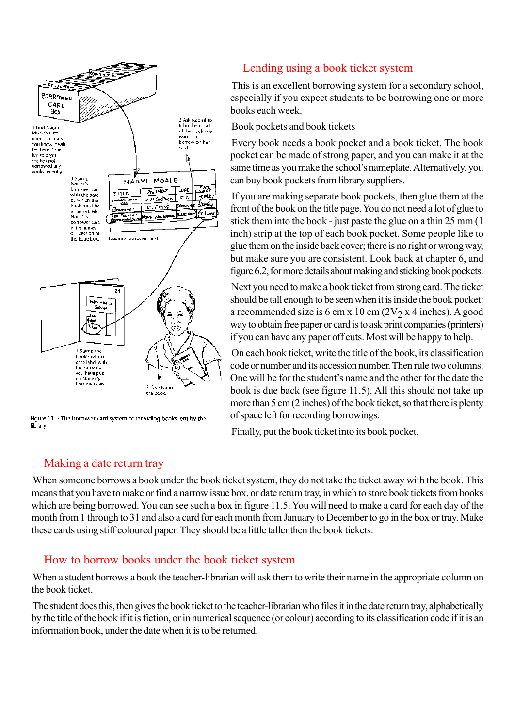

Figure 11.4 The borrower card system of recording books lent by the library

## Lending using a book ticket system

This is an excellent borrowing system for a secondary school, especially if you expect students to be borrowing one or more books each week.

Book pockets and book tickets

Every book needs a book pocket and a book ticket. The book pocket can be made of strong paper, and you can make it at the same time as you make the school's nameplate. Alternatively, you can buy book pockets from library suppliers.

If you are making separate book pockets, then glue them at the front of the book on the title page. You do not need a lot of glue to stick them into the book - just paste the glue on a thin 25 mm (1 inch) strip at the top of each book pocket. Some people like to glue them on the inside back cover; there is no right or wrong way, but make sure you are consistent. Look back at chapter 6, and figure 6.2, for more details about making and sticking book pockets.

Next you need to make a book ticket from strong card. The ticket should be tall enough to be seen when it is inside the book pocket: a recommended size is 6 cm x 10 cm  $(2V_2 x 4 \text{ inches})$ . A good way to obtain free paper or card is to ask print companies (printers) if you can have any paper off cuts. Most will be happy to help.

On each book ticket, write the title of the book, its classification code or number and its accession number. Then rule two columns. One will be for the student's name and the other for the date the book is due back (see figure 11.5). All this should not take up more than 5 cm (2 inches) of the book ticket, so that there is plenty of space left for recording borrowings.

Finally, put the book ticket into its book pocket.

#### Making a date return tray

When someone borrows a book under the book ticket system, they do not take the ticket away with the book. This means that you have to make or find a narrow issue box, or date return tray, in which to store book tickets from books which are being borrowed. You can see such a box in figure 11.5. You will need to make a card for each day of the month from 1 through to 31 and also a card for each month from January to December to go in the box or tray. Make these cards using stiff coloured paper. They should be a little taller then the book tickets.

#### How to borrow books under the book ticket system

When a student borrows a book the teacher-librarian will ask them to write their name in the appropriate column on the book ticket.

The student does this, then gives the book ticket to the teacher-librarian who files it in the date return tray, alphabetically by the title of the book if it is fiction, or in numerical sequence (or colour) according to its classification code if it is an information book, under the date when it is to be returned.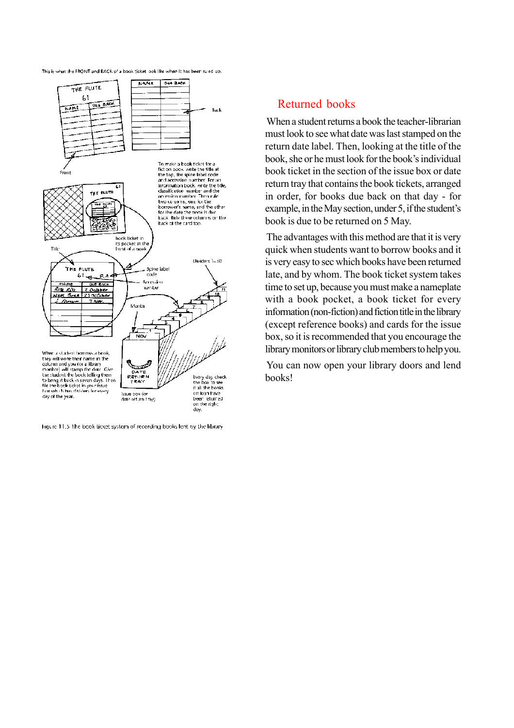



Figure 11.5 The book ticket system of recording books lent by the library

#### Returned books

When a student returns a book the teacher-librarian must look to see what date was last stamped on the return date label. Then, looking at the title of the book, she or he must look for the book's individual book ticket in the section of the issue box or date return tray that contains the book tickets, arranged in order, for books due back on that day - for example, in the May section, under 5, if the student's book is due to be returned on 5 May.

The advantages with this method are that it is very quick when students want to borrow books and it is very easy to sec which books have been returned late, and by whom. The book ticket system takes time to set up, because you must make a nameplate with a book pocket, a book ticket for every information (non-fiction) and fiction title in the library (except reference books) and cards for the issue box, so it is recommended that you encourage the library monitors or library club members to help you.

You can now open your library doors and lend books!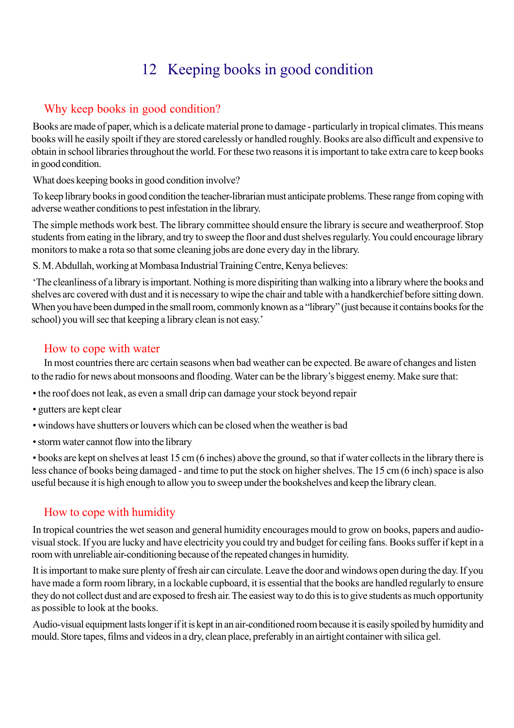# 12 Keeping books in good condition

## Why keep books in good condition?

Books are made of paper, which is a delicate material prone to damage - particularly in tropical climates. This means books will he easily spoilt if they are stored carelessly or handled roughly. Books are also difficult and expensive to obtain in school libraries throughout the world. For these two reasons it is important to take extra care to keep books in good condition.

What does keeping books in good condition involve?

To keep library books in good condition the teacher-librarian must anticipate problems. These range from coping with adverse weather conditions to pest infestation in the library.

The simple methods work best. The library committee should ensure the library is secure and weatherproof. Stop students from eating in the library, and try to sweep the floor and dust shelves regularly. You could encourage library monitors to make a rota so that some cleaning jobs are done every day in the library.

S. M. Abdullah, working at Mombasa Industrial Training Centre, Kenya believes:

'The cleanliness of a library is important. Nothing is more dispiriting than walking into a library where the books and shelves arc covered with dust and it is necessary to wipe the chair and table with a handkerchief before sitting down. When you have been dumped in the small room, commonly known as a "library" (just because it contains books for the school) you will sec that keeping a library clean is not easy.'

### How to cope with water

In most countries there arc certain seasons when bad weather can be expected. Be aware of changes and listen to the radio for news about monsoons and flooding. Water can be the library's biggest enemy. Make sure that:

- the roof does not leak, as even a small drip can damage your stock beyond repair
- gutters are kept clear
- windows have shutters or louvers which can be closed when the weather is bad
- storm water cannot flow into the library

• books are kept on shelves at least 15 cm (6 inches) above the ground, so that if water collects in the library there is less chance of books being damaged - and time to put the stock on higher shelves. The 15 cm (6 inch) space is also useful because it is high enough to allow you to sweep under the bookshelves and keep the library clean.

# How to cope with humidity

In tropical countries the wet season and general humidity encourages mould to grow on books, papers and audiovisual stock. If you are lucky and have electricity you could try and budget for ceiling fans. Books suffer if kept in a room with unreliable air-conditioning because of the repeated changes in humidity.

It is important to make sure plenty of fresh air can circulate. Leave the door and windows open during the day. If you have made a form room library, in a lockable cupboard, it is essential that the books are handled regularly to ensure they do not collect dust and are exposed to fresh air. The easiest way to do this is to give students as much opportunity as possible to look at the books.

Audio-visual equipment lasts longer if it is kept in an air-conditioned room because it is easily spoiled by humidity and mould. Store tapes, films and videos in a dry, clean place, preferably in an airtight container with silica gel.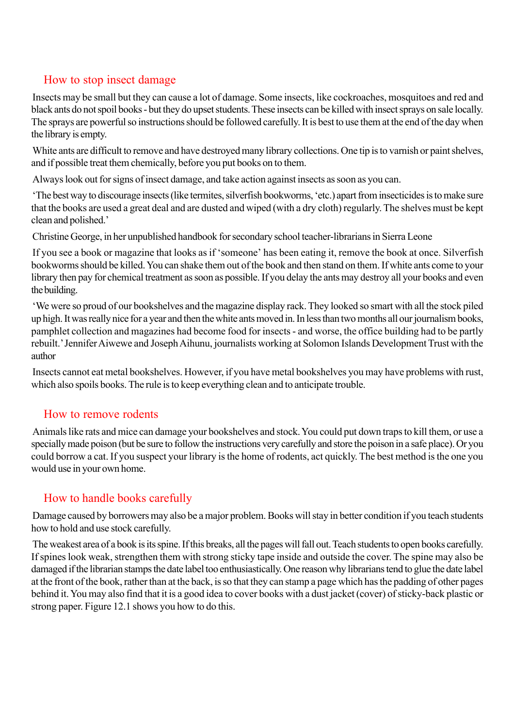## How to stop insect damage

Insects may be small but they can cause a lot of damage. Some insects, like cockroaches, mosquitoes and red and black ants do not spoil books - but they do upset students. These insects can be killed with insect sprays on sale locally. The sprays are powerful so instructions should be followed carefully. It is best to use them at the end of the day when the library is empty.

White ants are difficult to remove and have destroyed many library collections. One tip is to varnish or paint shelves, and if possible treat them chemically, before you put books on to them.

Always look out for signs of insect damage, and take action against insects as soon as you can.

'The best way to discourage insects (like termites, silverfish bookworms, 'etc.) apart from insecticides is to make sure that the books are used a great deal and are dusted and wiped (with a dry cloth) regularly. The shelves must be kept clean and polished.'

Christine George, in her unpublished handbook for secondary school teacher-librarians in Sierra Leone

If you see a book or magazine that looks as if 'someone' has been eating it, remove the book at once. Silverfish bookworms should be killed. You can shake them out of the book and then stand on them. If white ants come to your library then pay for chemical treatment as soon as possible. If you delay the ants may destroy all your books and even the building.

'We were so proud of our bookshelves and the magazine display rack. They looked so smart with all the stock piled up high. It was really nice for a year and then the white ants moved in. In less than two months all our journalism books, pamphlet collection and magazines had become food for insects - and worse, the office building had to be partly rebuilt.' Jennifer Aiwewe and Joseph Aihunu, journalists working at Solomon Islands Development Trust with the author

Insects cannot eat metal bookshelves. However, if you have metal bookshelves you may have problems with rust, which also spoils books. The rule is to keep everything clean and to anticipate trouble.

#### How to remove rodents

Animals like rats and mice can damage your bookshelves and stock. You could put down traps to kill them, or use a specially made poison (but be sure to follow the instructions very carefully and store the poison in a safe place). Or you could borrow a cat. If you suspect your library is the home of rodents, act quickly. The best method is the one you would use in your own home.

# How to handle books carefully

Damage caused by borrowers may also be a major problem. Books will stay in better condition if you teach students how to hold and use stock carefully.

The weakest area of a book is its spine. If this breaks, all the pages will fall out. Teach students to open books carefully. If spines look weak, strengthen them with strong sticky tape inside and outside the cover. The spine may also be damaged if the librarian stamps the date label too enthusiastically. One reason why librarians tend to glue the date label at the front of the book, rather than at the back, is so that they can stamp a page which has the padding of other pages behind it. You may also find that it is a good idea to cover books with a dust jacket (cover) of sticky-back plastic or strong paper. Figure 12.1 shows you how to do this.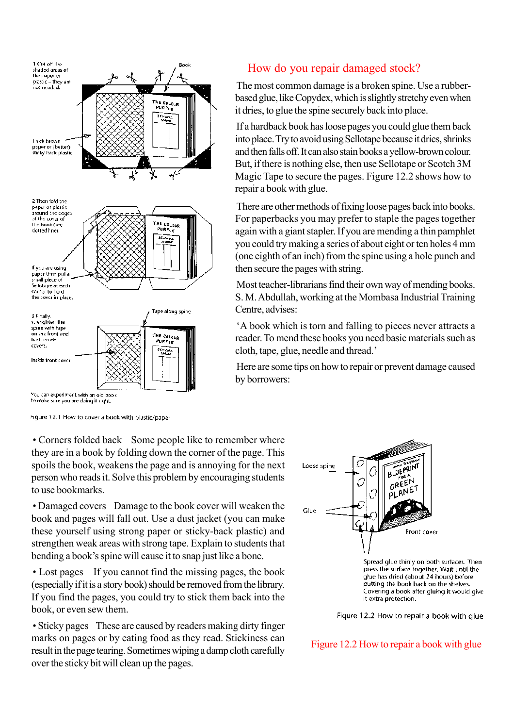

#### How do you repair damaged stock?

The most common damage is a broken spine. Use a rubberbased glue, like Copydex, which is slightly stretchy even when it dries, to glue the spine securely back into place.

If a hardback book has loose pages you could glue them back into place. Try to avoid using Sellotape because it dries, shrinks and then falls off. It can also stain books a yellow-brown colour. But, if there is nothing else, then use Sellotape or Scotch 3M Magic Tape to secure the pages. Figure 12.2 shows how to repair a book with glue.

There are other methods of fixing loose pages back into books. For paperbacks you may prefer to staple the pages together again with a giant stapler. If you are mending a thin pamphlet you could try making a series of about eight or ten holes 4 mm (one eighth of an inch) from the spine using a hole punch and then secure the pages with string.

Most teacher-librarians find their own way of mending books. S. M. Abdullah, working at the Mombasa Industrial Training Centre, advises:

'A book which is torn and falling to pieces never attracts a reader. To mend these books you need basic materials such as cloth, tape, glue, needle and thread.'

Here are some tips on how to repair or prevent damage caused by borrowers:

to make sure you are doing it it ght.

Figure 12.1 How to cover a book with plastic/paper

• Corners folded back Some people like to remember where they are in a book by folding down the corner of the page. This spoils the book, weakens the page and is annoying for the next person who reads it. Solve this problem by encouraging students to use bookmarks.

• Damaged covers Damage to the book cover will weaken the book and pages will fall out. Use a dust jacket (you can make these yourself using strong paper or sticky-back plastic) and strengthen weak areas with strong tape. Explain to students that bending a book's spine will cause it to snap just like a bone.

• Lost pages If you cannot find the missing pages, the book (especially if it is a story book) should be removed from the library. If you find the pages, you could try to stick them back into the book, or even sew them.

• Sticky pages These are caused by readers making dirty finger marks on pages or by eating food as they read. Stickiness can result in the page tearing. Sometimes wiping a damp cloth carefully over the sticky bit will clean up the pages.



press the surface together. Wait until the glue has dried (about 24 hours) before putting the book back on the shelves. Covering a book after gluing it would give it extra protection.

Figure 12.2 How to repair a book with glue

Figure 12.2 How to repair a book with glue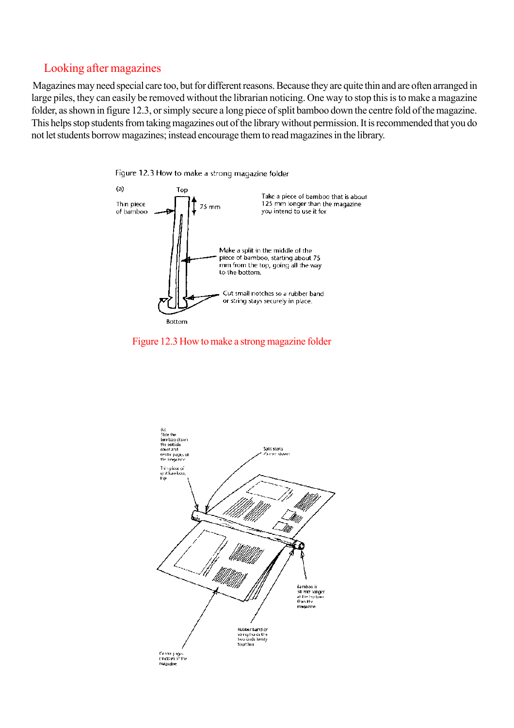#### Looking after magazines

Magazines may need special care too, but for different reasons. Because they are quite thin and are often arranged in large piles, they can easily be removed without the librarian noticing. One way to stop this is to make a magazine folder, as shown in figure 12.3, or simply secure a long piece of split bamboo down the centre fold of the magazine. This helps stop students from taking magazines out of the library without permission. It is recommended that you do not let students borrow magazines; instead encourage them to read magazines in the library.





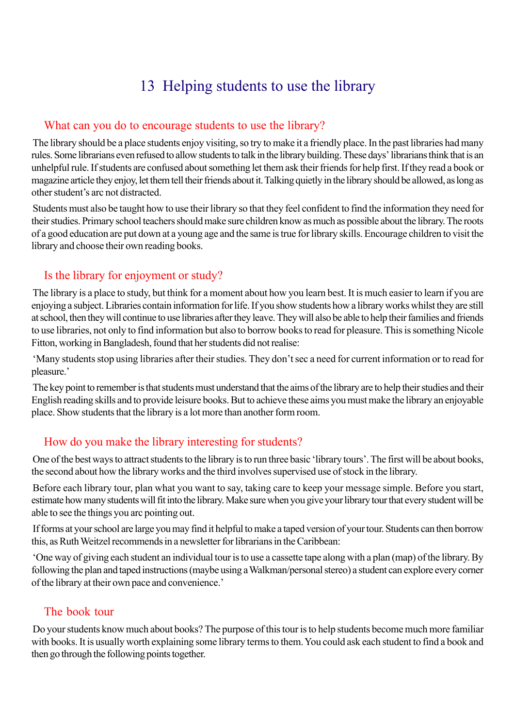# 13 Helping students to use the library

### What can you do to encourage students to use the library?

The library should be a place students enjoy visiting, so try to make it a friendly place. In the past libraries had many rules. Some librarians even refused to allow students to talk in the library building. These days' librarians think that is an unhelpful rule. If students are confused about something let them ask their friends for help first. If they read a book or magazine article they enjoy, let them tell their friends about it. Talking quietly in the library should be allowed, as long as other student's arc not distracted.

Students must also be taught how to use their library so that they feel confident to find the information they need for their studies. Primary school teachers should make sure children know as much as possible about the library. The roots of a good education are put down at a young age and the same is true for library skills. Encourage children to visit the library and choose their own reading books.

## Is the library for enjoyment or study?

The library is a place to study, but think for a moment about how you learn best. It is much easier to learn if you are enjoying a subject. Libraries contain information for life. If you show students how a library works whilst they are still at school, then they will continue to use libraries after they leave. They will also be able to help their families and friends to use libraries, not only to find information but also to borrow books to read for pleasure. This is something Nicole Fitton, working in Bangladesh, found that her students did not realise:

'Many students stop using libraries after their studies. They don't sec a need for current information or to read for pleasure.'

The key point to remember is that students must understand that the aims of the library are to help their studies and their English reading skills and to provide leisure books. But to achieve these aims you must make the library an enjoyable place. Show students that the library is a lot more than another form room.

# How do you make the library interesting for students?

One of the best ways to attract students to the library is to run three basic 'library tours'. The first will be about books, the second about how the library works and the third involves supervised use of stock in the library.

Before each library tour, plan what you want to say, taking care to keep your message simple. Before you start, estimate how many students will fit into the library. Make sure when you give your library tour that every student will be able to see the things you arc pointing out.

If forms at your school are large you may find it helpful to make a taped version of your tour. Students can then borrow this, as Ruth Weitzel recommends in a newsletter for librarians in the Caribbean:

'One way of giving each student an individual tour is to use a cassette tape along with a plan (map) of the library. By following the plan and taped instructions (maybe using a Walkman/personal stereo) a student can explore every corner of the library at their own pace and convenience.'

## The book tour

Do your students know much about books? The purpose of this tour is to help students become much more familiar with books. It is usually worth explaining some library terms to them. You could ask each student to find a book and then go through the following points together.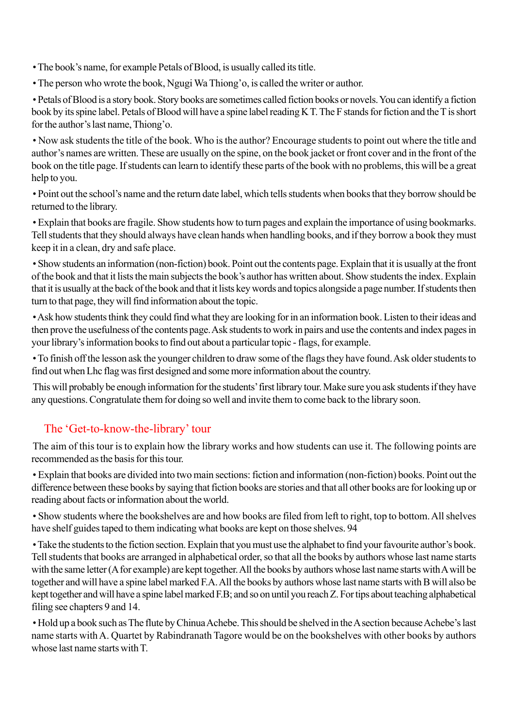• The book's name, for example Petals of Blood, is usually called its title.

• The person who wrote the book, Ngugi Wa Thiong'o, is called the writer or author.

• Petals of Blood is a story book. Story books are sometimes called fiction books or novels. You can identify a fiction book by its spine label. Petals of Blood will have a spine label reading K T. The F stands for fiction and the T is short for the author's last name, Thiong'o.

• Now ask students the title of the book. Who is the author? Encourage students to point out where the title and author's names are written. These are usually on the spine, on the book jacket or front cover and in the front of the book on the title page. If students can learn to identify these parts of the book with no problems, this will be a great help to you.

• Point out the school's name and the return date label, which tells students when books that they borrow should be returned to the library.

• Explain that books are fragile. Show students how to turn pages and explain the importance of using bookmarks. Tell students that they should always have clean hands when handling books, and if they borrow a book they must keep it in a clean, dry and safe place.

• Show students an information (non-fiction) book. Point out the contents page. Explain that it is usually at the front of the book and that it lists the main subjects the book's author has written about. Show students the index. Explain that it is usually at the back of the book and that it lists key words and topics alongside a page number. If students then turn to that page, they will find information about the topic.

• Ask how students think they could find what they are looking for in an information book. Listen to their ideas and then prove the usefulness of the contents page. Ask students to work in pairs and use the contents and index pages in your library's information books to find out about a particular topic - flags, for example.

• To finish off the lesson ask the younger children to draw some of the flags they have found. Ask older students to find out when Lhc flag was first designed and some more information about the country.

This will probably be enough information for the students' first library tour. Make sure you ask students if they have any questions. Congratulate them for doing so well and invite them to come back to the library soon.

# The 'Get-to-know-the-library' tour

The aim of this tour is to explain how the library works and how students can use it. The following points are recommended as the basis for this tour.

• Explain that books are divided into two main sections: fiction and information (non-fiction) books. Point out the difference between these books by saying that fiction books are stories and that all other books are for looking up or reading about facts or information about the world.

• Show students where the bookshelves are and how books are filed from left to right, top to bottom. All shelves have shelf guides taped to them indicating what books are kept on those shelves. 94

• Take the students to the fiction section. Explain that you must use the alphabet to find your favourite author's book. Tell students that books are arranged in alphabetical order, so that all the books by authors whose last name starts with the same letter (A for example) are kept together. All the books by authors whose last name starts with A will be together and will have a spine label marked F.A. All the books by authors whose last name starts with B will also be kept together and will have a spine label marked F.B; and so on until you reach Z. For tips about teaching alphabetical filing see chapters 9 and 14.

• Hold up a book such as The flute by Chinua Achebe. This should be shelved in the A section because Achebe's last name starts with A. Quartet by Rabindranath Tagore would be on the bookshelves with other books by authors whose last name starts with T.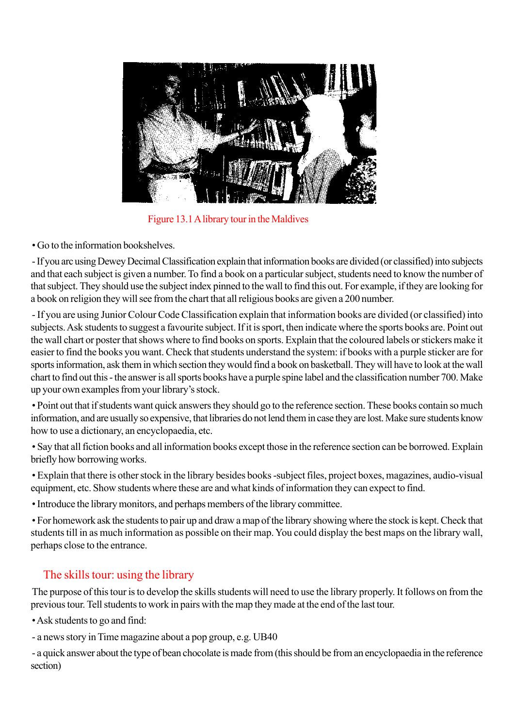

Figure 13.1 A library tour in the Maldives

• Go to the information bookshelves.

- If you arc using Dewey Decimal Classification explain that information books are divided (or classified) into subjects and that each subject is given a number. To find a book on a particular subject, students need to know the number of that subject. They should use the subject index pinned to the wall to find this out. For example, if they are looking for a book on religion they will see from the chart that all religious books are given a 200 number.

- If you are using Junior Colour Code Classification explain that information books are divided (or classified) into subjects. Ask students to suggest a favourite subject. If it is sport, then indicate where the sports books are. Point out the wall chart or poster that shows where to find books on sports. Explain that the coloured labels or stickers make it easier to find the books you want. Check that students understand the system: if books with a purple sticker are for sports information, ask them in which section they would find a book on basketball. They will have to look at the wall chart to find out this - the answer is all sports books have a purple spine label and the classification number 700. Make up your own examples from your library's stock.

• Point out that if students want quick answers they should go to the reference section. These books contain so much information, and are usually so expensive, that libraries do not lend them in case they are lost. Make sure students know how to use a dictionary, an encyclopaedia, etc.

• Say that all fiction books and all information books except those in the reference section can be borrowed. Explain briefly how borrowing works.

• Explain that there is other stock in the library besides books -subject files, project boxes, magazines, audio-visual equipment, etc. Show students where these are and what kinds of information they can expect to find.

• Introduce the library monitors, and perhaps members of the library committee.

• For homework ask the students to pair up and draw a map of the library showing where the stock is kept. Check that students till in as much information as possible on their map. You could display the best maps on the library wall, perhaps close to the entrance.

# The skills tour: using the library

The purpose of this tour is to develop the skills students will need to use the library properly. It follows on from the previous tour. Tell students to work in pairs with the map they made at the end of the last tour.

• Ask students to go and find:

- a news story in Time magazine about a pop group, e.g. UB40

- a quick answer about the type of bean chocolate is made from (this should be from an encyclopaedia in the reference section)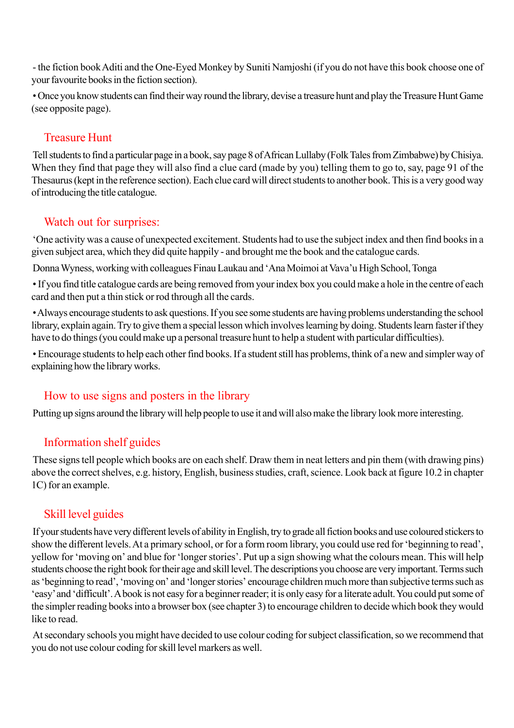- the fiction book Aditi and the One-Eyed Monkey by Suniti Namjoshi (if you do not have this book choose one of your favourite books in the fiction section).

• Once you know students can find their way round the library, devise a treasure hunt and play the Treasure Hunt Game (see opposite page).

## Treasure Hunt

Tell students to find a particular page in a book, say page 8 of African Lullaby (Folk Tales from Zimbabwe) by Chisiya. When they find that page they will also find a clue card (made by you) telling them to go to, say, page 91 of the Thesaurus (kept in the reference section). Each clue card will direct students to another book. This is a very good way of introducing the title catalogue.

## Watch out for surprises:

'One activity was a cause of unexpected excitement. Students had to use the subject index and then find books in a given subject area, which they did quite happily - and brought me the book and the catalogue cards.

Donna Wyness, working with colleagues Finau Laukau and 'Ana Moimoi at Vava'u High School, Tonga

• If you find title catalogue cards are being removed from your index box you could make a hole in the centre of each card and then put a thin stick or rod through all the cards.

• Always encourage students to ask questions. If you see some students are having problems understanding the school library, explain again. Try to give them a special lesson which involves learning by doing. Students learn faster if they have to do things (you could make up a personal treasure hunt to help a student with particular difficulties).

• Encourage students to help each other find books. If a student still has problems, think of a new and simpler way of explaining how the library works.

## How to use signs and posters in the library

Putting up signs around the library will help people to use it and will also make the library look more interesting.

## Information shelf guides

These signs tell people which books are on each shelf. Draw them in neat letters and pin them (with drawing pins) above the correct shelves, e.g. history, English, business studies, craft, science. Look back at figure 10.2 in chapter 1C) for an example.

# Skill level guides

If your students have very different levels of ability in English, try to grade all fiction books and use coloured stickers to show the different levels. At a primary school, or for a form room library, you could use red for 'beginning to read', yellow for 'moving on' and blue for 'longer stories'. Put up a sign showing what the colours mean. This will help students choose the right book for their age and skill level. The descriptions you choose are very important. Terms such as 'beginning to read', 'moving on' and 'longer stories' encourage children much more than subjective terms such as 'easy' and 'difficult'. A book is not easy for a beginner reader; it is only easy for a literate adult. You could put some of the simpler reading books into a browser box (see chapter 3) to encourage children to decide which book they would like to read.

At secondary schools you might have decided to use colour coding for subject classification, so we recommend that you do not use colour coding for skill level markers as well.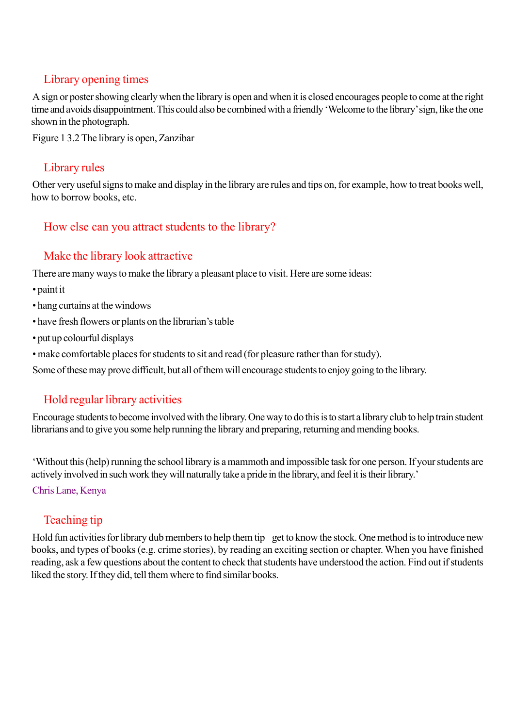## Library opening times

A sign or poster showing clearly when the library is open and when it is closed encourages people to come at the right time and avoids disappointment. This could also be combined with a friendly 'Welcome to the library' sign, like the one shown in the photograph.

Figure 1 3.2 The library is open, Zanzibar

## Library rules

Other very useful signs to make and display in the library are rules and tips on, for example, how to treat books well, how to borrow books, etc.

## How else can you attract students to the library?

## Make the library look attractive

There are many ways to make the library a pleasant place to visit. Here are some ideas:

- paint it
- hang curtains at the windows
- have fresh flowers or plants on the librarian's table
- put up colourful displays
- make comfortable places for students to sit and read (for pleasure rather than for study).

Some of these may prove difficult, but all of them will encourage students to enjoy going to the library.

# Hold regular library activities

Encourage students to become involved with the library. One way to do this is to start a library club to help train student librarians and to give you some help running the library and preparing, returning and mending books.

'Without this (help) running the school library is a mammoth and impossible task for one person. If your students are actively involved in such work they will naturally take a pride in the library, and feel it is their library.'

Chris Lane, Kenya

# Teaching tip

Hold fun activities for library dub members to help them tip get to know the stock. One method is to introduce new books, and types of books (e.g. crime stories), by reading an exciting section or chapter. When you have finished reading, ask a few questions about the content to check that students have understood the action. Find out if students liked the story. If they did, tell them where to find similar books.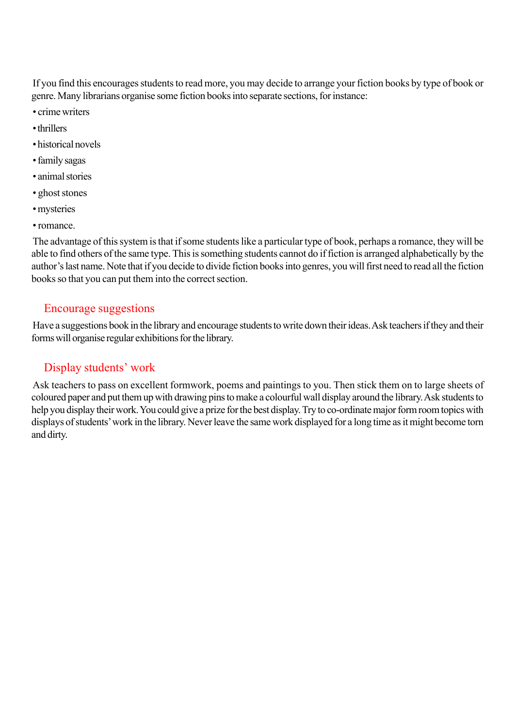If you find this encourages students to read more, you may decide to arrange your fiction books by type of book or genre. Many librarians organise some fiction books into separate sections, for instance:

- crime writers
- thrillers
- historical novels
- family sagas
- animal stories
- ghost stones
- mysteries
- romance.

The advantage of this system is that if some students like a particular type of book, perhaps a romance, they will be able to find others of the same type. This is something students cannot do if fiction is arranged alphabetically by the author's last name. Note that if you decide to divide fiction books into genres, you will first need to read all the fiction books so that you can put them into the correct section.

#### Encourage suggestions

Have a suggestions book in the library and encourage students to write down their ideas. Ask teachers if they and their forms will organise regular exhibitions for the library.

#### Display students' work

Ask teachers to pass on excellent formwork, poems and paintings to you. Then stick them on to large sheets of coloured paper and put them up with drawing pins to make a colourful wall display around the library. Ask students to help you display their work. You could give a prize for the best display. Try to co-ordinate major form room topics with displays of students' work in the library. Never leave the same work displayed for a long time as it might become torn and dirty.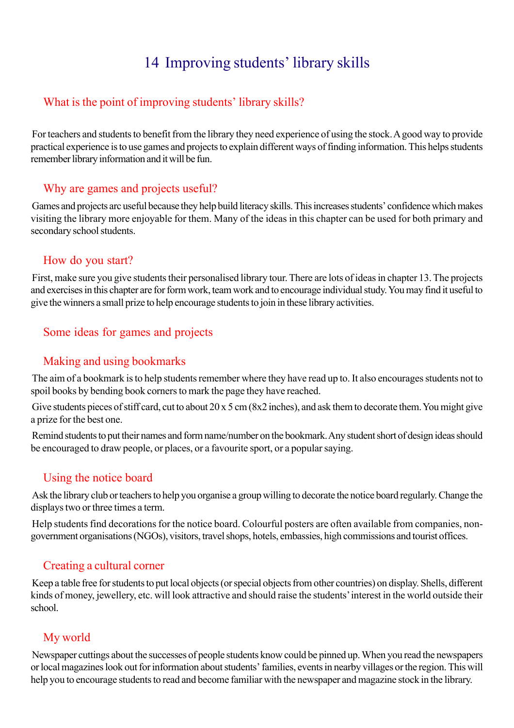# 14 Improving students' library skills

## What is the point of improving students' library skills?

For teachers and students to benefit from the library they need experience of using the stock. A good way to provide practical experience is to use games and projects to explain different ways of finding information. This helps students remember library information and it will be fun.

### Why are games and projects useful?

Games and projects arc useful because they help build literacy skills. This increases students' confidence which makes visiting the library more enjoyable for them. Many of the ideas in this chapter can be used for both primary and secondary school students.

### How do you start?

First, make sure you give students their personalised library tour. There are lots of ideas in chapter 13. The projects and exercises in this chapter are for form work, team work and to encourage individual study. You may find it useful to give the winners a small prize to help encourage students to join in these library activities.

## Some ideas for games and projects

## Making and using bookmarks

The aim of a bookmark is to help students remember where they have read up to. It also encourages students not to spoil books by bending book corners to mark the page they have reached.

Give students pieces of stiff card, cut to about 20 x 5 cm (8x2 inches), and ask them to decorate them. You might give a prize for the best one.

Remind students to put their names and form name/number on the bookmark. Any student short of design ideas should be encouraged to draw people, or places, or a favourite sport, or a popular saying.

## Using the notice board

Ask the library club or teachers to help you organise a group willing to decorate the notice board regularly. Change the displays two or three times a term.

Help students find decorations for the notice board. Colourful posters are often available from companies, nongovernment organisations (NGOs), visitors, travel shops, hotels, embassies, high commissions and tourist offices.

#### Creating a cultural corner

Keep a table free for students to put local objects (or special objects from other countries) on display. Shells, different kinds of money, jewellery, etc. will look attractive and should raise the students' interest in the world outside their school.

## My world

Newspaper cuttings about the successes of people students know could be pinned up. When you read the newspapers or local magazines look out for information about students' families, events in nearby villages or the region. This will help you to encourage students to read and become familiar with the newspaper and magazine stock in the library.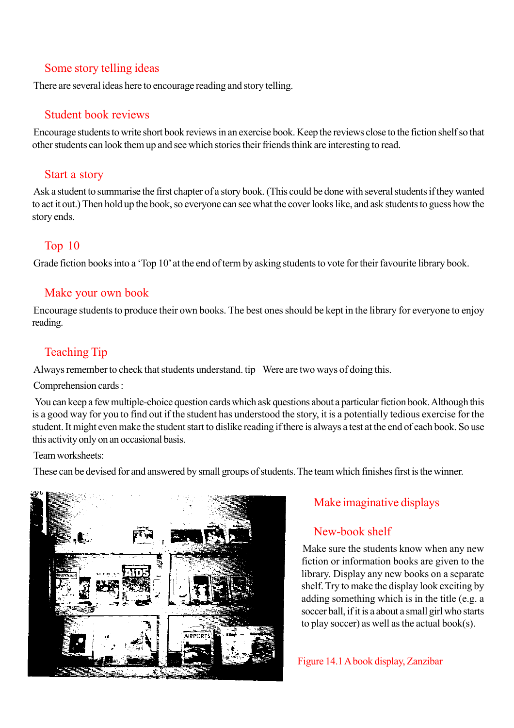#### Some story telling ideas

There are several ideas here to encourage reading and story telling.

#### Student book reviews

Encourage students to write short book reviews in an exercise book. Keep the reviews close to the fiction shelf so that other students can look them up and see which stories their friends think are interesting to read.

#### Start a story

Ask a student to summarise the first chapter of a story book. (This could be done with several students if they wanted to act it out.) Then hold up the book, so everyone can see what the cover looks like, and ask students to guess how the story ends.

## Top 10

Grade fiction books into a 'Top 10' at the end of term by asking students to vote for their favourite library book.

#### Make your own book

Encourage students to produce their own books. The best ones should be kept in the library for everyone to enjoy reading.

# Teaching Tip

Always remember to check that students understand. tip Were are two ways of doing this.

Comprehension cards :

 You can keep a few multiple-choice question cards which ask questions about a particular fiction book. Although this is a good way for you to find out if the student has understood the story, it is a potentially tedious exercise for the student. It might even make the student start to dislike reading if there is always a test at the end of each book. So use this activity only on an occasional basis.

Team worksheets:

These can be devised for and answered by small groups of students. The team which finishes first is the winner.



# Make imaginative displays

## New-book shelf

Make sure the students know when any new fiction or information books are given to the library. Display any new books on a separate shelf. Try to make the display look exciting by adding something which is in the title (e.g. a soccer ball, if it is a about a small girl who starts to play soccer) as well as the actual book(s).

Figure 14.1 A book display, Zanzibar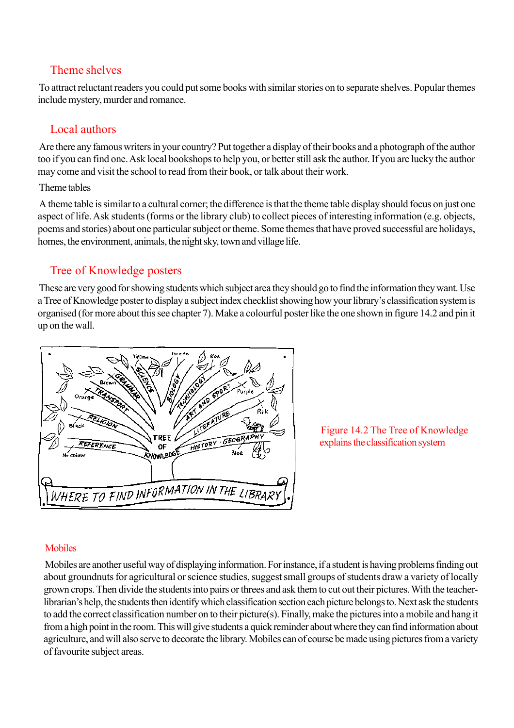#### Theme shelves

To attract reluctant readers you could put some books with similar stories on to separate shelves. Popular themes include mystery, murder and romance.

## Local authors

Are there any famous writers in your country? Put together a display of their books and a photograph of the author too if you can find one. Ask local bookshops to help you, or better still ask the author. If you are lucky the author may come and visit the school to read from their book, or talk about their work.

#### Theme tables

A theme table is similar to a cultural corner; the difference is that the theme table display should focus on just one aspect of life. Ask students (forms or the library club) to collect pieces of interesting information (e.g. objects, poems and stories) about one particular subject or theme. Some themes that have proved successful are holidays, homes, the environment, animals, the night sky, town and village life.

## Tree of Knowledge posters

These are very good for showing students which subject area they should go to find the information they want. Use a Tree of Knowledge poster to display a subject index checklist showing how your library's classification system is organised (for more about this see chapter 7). Make a colourful poster like the one shown in figure 14.2 and pin it up on the wall.



Figure 14.2 The Tree of Knowledge explains the classification system

## Mobiles

Mobiles are another useful way of displaying information. For instance, if a student is having problems finding out about groundnuts for agricultural or science studies, suggest small groups of students draw a variety of locally grown crops. Then divide the students into pairs or threes and ask them to cut out their pictures. With the teacherlibrarian's help, the students then identify which classification section each picture belongs to. Next ask the students to add the correct classification number on to their picture(s). Finally, make the pictures into a mobile and hang it from a high point in the room. This will give students a quick reminder about where they can find information about agriculture, and will also serve to decorate the library. Mobiles can of course be made using pictures from a variety of favourite subject areas.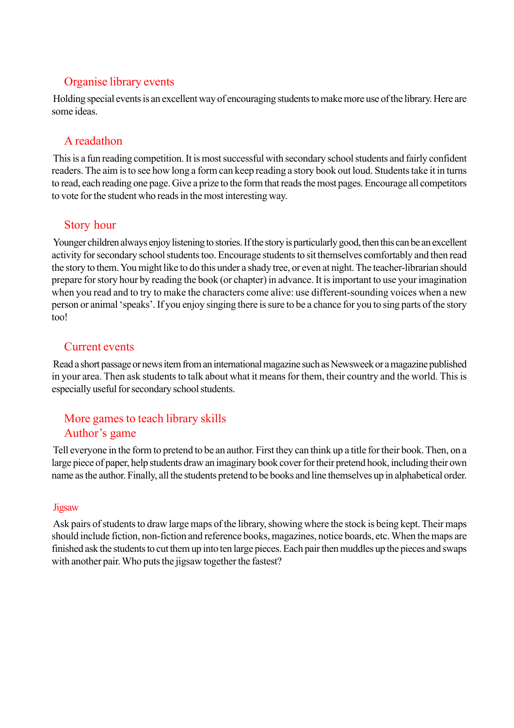### Organise library events

Holding special events is an excellent way of encouraging students to make more use of the library. Here are some ideas.

## A readathon

This is a fun reading competition. It is most successful with secondary school students and fairly confident readers. The aim is to see how long a form can keep reading a story book out loud. Students take it in turns to read, each reading one page. Give a prize to the form that reads the most pages. Encourage all competitors to vote for the student who reads in the most interesting way.

### Story hour

Younger children always enjoy listening to stories. If the story is particularly good, then this can be an excellent activity for secondary school students too. Encourage students to sit themselves comfortably and then read the story to them. You might like to do this under a shady tree, or even at night. The teacher-librarian should prepare for story hour by reading the book (or chapter) in advance. It is important to use your imagination when you read and to try to make the characters come alive: use different-sounding voices when a new person or animal 'speaks'. If you enjoy singing there is sure to be a chance for you to sing parts of the story too!

## Current events

Read a short passage or news item from an international magazine such as Newsweek or a magazine published in your area. Then ask students to talk about what it means for them, their country and the world. This is especially useful for secondary school students.

## More games to teach library skills Author's game

Tell everyone in the form to pretend to be an author. First they can think up a title for their book. Then, on a large piece of paper, help students draw an imaginary book cover for their pretend hook, including their own name as the author. Finally, all the students pretend to be books and line themselves up in alphabetical order.

#### Jigsaw

Ask pairs of students to draw large maps of the library, showing where the stock is being kept. Their maps should include fiction, non-fiction and reference books, magazines, notice boards, etc. When the maps are finished ask the students to cut them up into ten large pieces. Each pair then muddles up the pieces and swaps with another pair. Who puts the jigsaw together the fastest?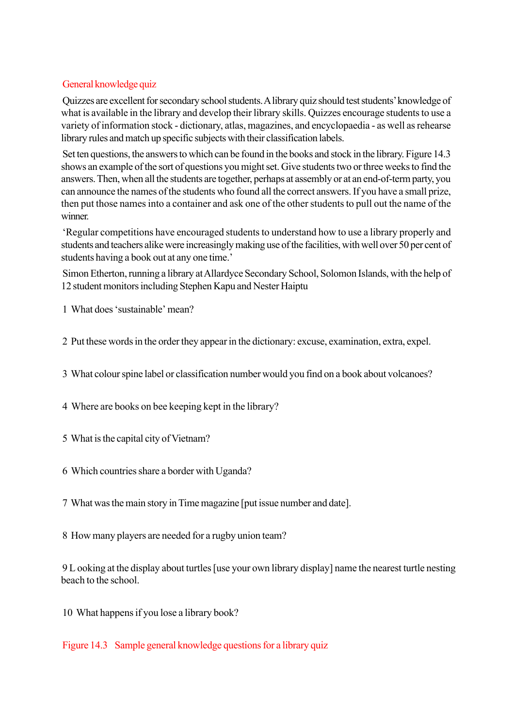#### General knowledge quiz

Quizzes are excellent for secondary school students. A library quiz should test students' knowledge of what is available in the library and develop their library skills. Quizzes encourage students to use a variety of information stock - dictionary, atlas, magazines, and encyclopaedia - as well as rehearse library rules and match up specific subjects with their classification labels.

Set ten questions, the answers to which can be found in the books and stock in the library. Figure 14.3 shows an example of the sort of questions you might set. Give students two or three weeks to find the answers. Then, when all the students are together, perhaps at assembly or at an end-of-term party, you can announce the names of the students who found all the correct answers. If you have a small prize, then put those names into a container and ask one of the other students to pull out the name of the winner.

'Regular competitions have encouraged students to understand how to use a library properly and students and teachers alike were increasingly making use of the facilities, with well over 50 per cent of students having a book out at any one time.'

Simon Etherton, running a library at Allardyce Secondary School, Solomon Islands, with the help of 12 student monitors including Stephen Kapu and Nester Haiptu

1 What does 'sustainable' mean?

2 Put these words in the order they appear in the dictionary: excuse, examination, extra, expel.

3 What colour spine label or classification number would you find on a book about volcanoes?

4 Where are books on bee keeping kept in the library?

5 What is the capital city of Vietnam?

6 Which countries share a border with Uganda?

7 What was the main story in Time magazine [put issue number and date].

8 How many players are needed for a rugby union team?

9 L ooking at the display about turtles [use your own library display] name the nearest turtle nesting beach to the school.

10 What happens if you lose a library book?

Figure 14.3 Sample general knowledge questions for a library quiz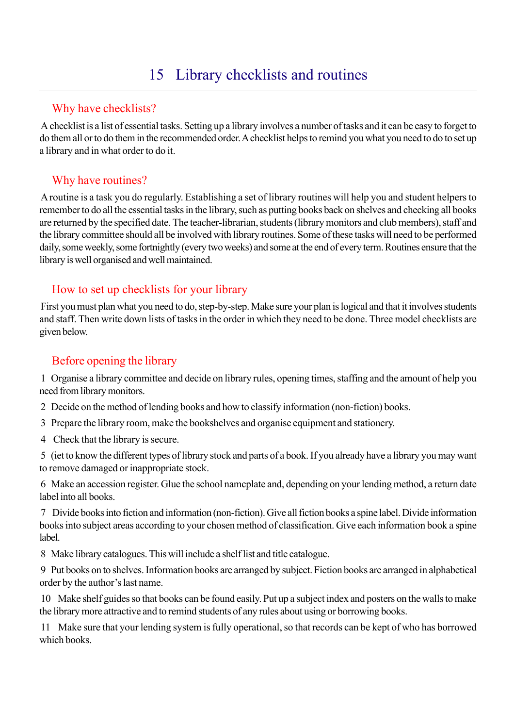# Why have checklists?

A checklist is a list of essential tasks. Setting up a library involves a number of tasks and it can be easy to forget to do them all or to do them in the recommended order. A checklist helps to remind you what you need to do to set up a library and in what order to do it.

# Why have routines?

A routine is a task you do regularly. Establishing a set of library routines will help you and student helpers to remember to do all the essential tasks in the library, such as putting books back on shelves and checking all books are returned by the specified date. The teacher-librarian, students (library monitors and club members), staff and the library committee should all be involved with library routines. Some of these tasks will need to be performed daily, some weekly, some fortnightly (every two weeks) and some at the end of every term. Routines ensure that the library is well organised and well maintained.

## How to set up checklists for your library

First you must plan what you need to do, step-by-step. Make sure your plan is logical and that it involves students and staff. Then write down lists of tasks in the order in which they need to be done. Three model checklists are given below.

## Before opening the library

1 Organise a library committee and decide on library rules, opening times, staffing and the amount of help you need from library monitors.

2 Decide on the method of lending books and how to classify information (non-fiction) books.

3 Prepare the library room, make the bookshelves and organise equipment and stationery.

4 Check that the library is secure.

5 (iet to know the different types of library stock and parts of a book. If you already have a library you may want to remove damaged or inappropriate stock.

6 Make an accession register. Glue the school namcplate and, depending on your lending method, a return date label into all books.

7 Divide books into fiction and information (non-fiction). Give all fiction books a spine label. Divide information books into subject areas according to your chosen method of classification. Give each information book a spine label.

8 Make library catalogues. This will include a shelf list and title catalogue.

9 Put books on to shelves. Information books are arranged by subject. Fiction books arc arranged in alphabetical order by the author's last name.

10 Make shelf guides so that books can be found easily. Put up a subject index and posters on the walls to make the library more attractive and to remind students of any rules about using or borrowing books.

11 Make sure that your lending system is fully operational, so that records can be kept of who has borrowed which books.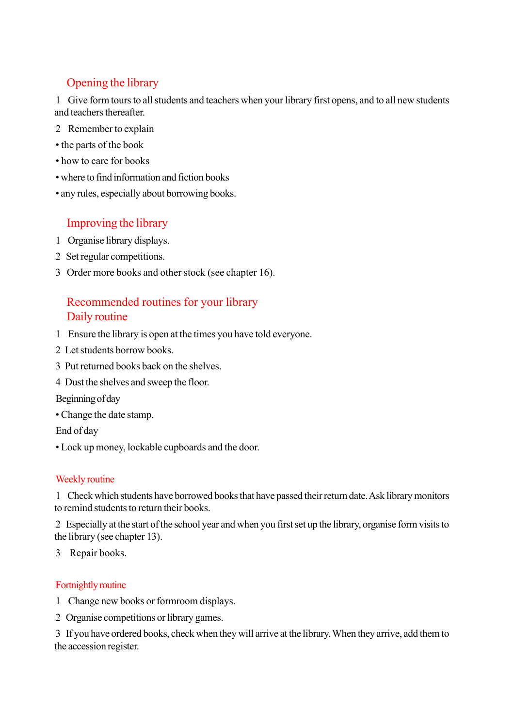# Opening the library

1 Give form tours to all students and teachers when your library first opens, and to all new students and teachers thereafter.

- 2 Remember to explain
- the parts of the book
- how to care for books
- where to find information and fiction books
- any rules, especially about borrowing books.

### Improving the library

- 1 Organise library displays.
- 2 Set regular competitions.
- 3 Order more books and other stock (see chapter 16).

## Recommended routines for your library Daily routine

- 1 Ensure the library is open at the times you have told everyone.
- 2 Let students borrow books.
- 3 Put returned books back on the shelves.
- 4 Dust the shelves and sweep the floor.

Beginning of day

• Change the date stamp.

End of day

• Lock up money, lockable cupboards and the door.

#### Weekly routine

1 Check which students have borrowed books that have passed their return date. Ask library monitors to remind students to return their books.

2 Especially at the start of the school year and when you first set up the library, organise form visits to the library (see chapter 13).

3 Repair books.

#### Fortnightly routine

- 1 Change new books or formroom displays.
- 2 Organise competitions or library games.

3 If you have ordered books, check when they will arrive at the library. When they arrive, add them to the accession register.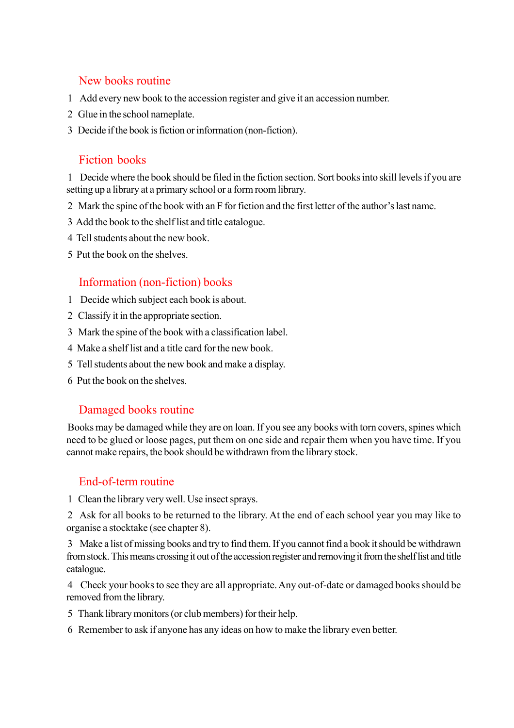#### New books routine

- 1 Add every new book to the accession register and give it an accession number.
- 2 Glue in the school nameplate.
- 3 Decide if the book is fiction or information (non-fiction).

#### Fiction books

1 Decide where the book should be filed in the fiction section. Sort books into skill levels if you are setting up a library at a primary school or a form room library.

- 2 Mark the spine of the book with an F for fiction and the first letter of the author's last name.
- 3 Add the book to the shelf list and title catalogue.
- 4 Tell students about the new book.
- 5 Put the book on the shelves.

#### Information (non-fiction) books

- 1 Decide which subject each book is about.
- 2 Classify it in the appropriate section.
- 3 Mark the spine of the book with a classification label.
- 4 Make a shelf list and a title card for the new book.
- 5 Tell students about the new book and make a display.
- 6 Put the book on the shelves.

#### Damaged books routine

Books may be damaged while they are on loan. If you see any books with torn covers, spines which need to be glued or loose pages, put them on one side and repair them when you have time. If you cannot make repairs, the book should be withdrawn from the library stock.

#### End-of-term routine

1 Clean the library very well. Use insect sprays.

2 Ask for all books to be returned to the library. At the end of each school year you may like to organise a stocktake (see chapter 8).

3 Make a list of missing books and try to find them. If you cannot find a book it should be withdrawn from stock. This means crossing it out of the accession register and removing it from the shelf list and title catalogue.

4 Check your books to see they are all appropriate. Any out-of-date or damaged books should be removed from the library.

- 5 Thank library monitors (or club members) for their help.
- 6 Remember to ask if anyone has any ideas on how to make the library even better.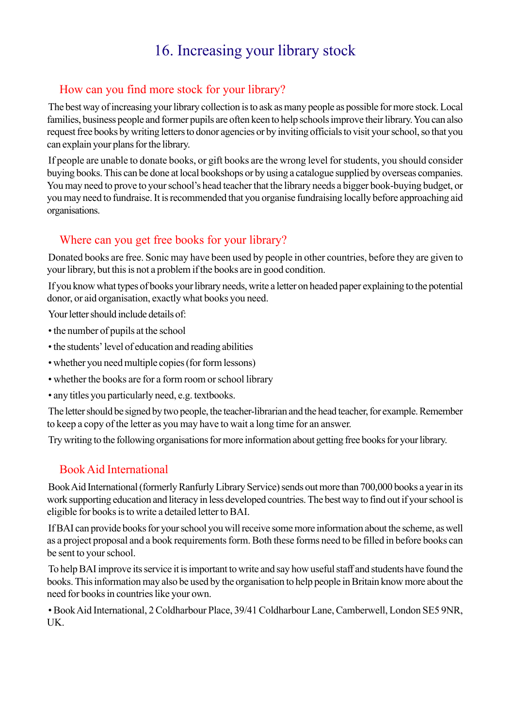# 16. Increasing your library stock

## How can you find more stock for your library?

The best way of increasing your library collection is to ask as many people as possible for more stock. Local families, business people and former pupils are often keen to help schools improve their library. You can also request free books by writing letters to donor agencies or by inviting officials to visit your school, so that you can explain your plans for the library.

If people are unable to donate books, or gift books are the wrong level for students, you should consider buying books. This can be done at local bookshops or by using a catalogue supplied by overseas companies. You may need to prove to your school's head teacher that the library needs a bigger book-buying budget, or you may need to fundraise. It is recommended that you organise fundraising locally before approaching aid organisations.

#### Where can you get free books for your library?

Donated books are free. Sonic may have been used by people in other countries, before they are given to your library, but this is not a problem if the books are in good condition.

If you know what types of books your library needs, write a letter on headed paper explaining to the potential donor, or aid organisation, exactly what books you need.

Your letter should include details of:

- the number of pupils at the school
- the students' level of education and reading abilities
- whether you need multiple copies (for form lessons)
- whether the books are for a form room or school library
- any titles you particularly need, e.g. textbooks.

The letter should be signed by two people, the teacher-librarian and the head teacher, for example. Remember to keep a copy of the letter as you may have to wait a long time for an answer.

Try writing to the following organisations for more information about getting free books for your library.

#### Book Aid International

Book Aid International (formerly Ranfurly Library Service) sends out more than 700,000 books a year in its work supporting education and literacy in less developed countries. The best way to find out if your school is eligible for books is to write a detailed letter to BAI.

If BAI can provide books for your school you will receive some more information about the scheme, as well as a project proposal and a book requirements form. Both these forms need to be filled in before books can be sent to your school.

To help BAI improve its service it is important to write and say how useful staff and students have found the books. This information may also be used by the organisation to help people in Britain know more about the need for books in countries like your own.

• Book Aid International, 2 Coldharbour Place, 39/41 Coldharbour Lane, Camberwell, London SE5 9NR, UK.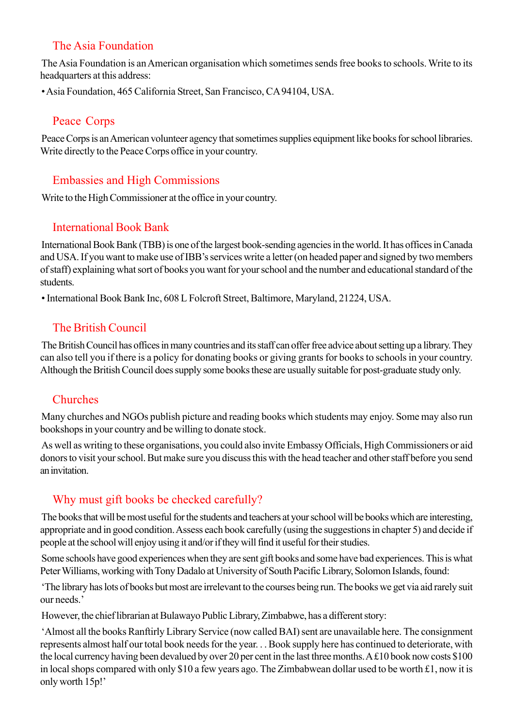# The Asia Foundation

The Asia Foundation is an American organisation which sometimes sends free books to schools. Write to its headquarters at this address:

• Asia Foundation, 465 California Street, San Francisco, CA 94104, USA.

### Peace Corps

Peace Corps is an American volunteer agency that sometimes supplies equipment like books for school libraries. Write directly to the Peace Corps office in your country.

## Embassies and High Commissions

Write to the High Commissioner at the office in your country.

## International Book Bank

International Book Bank (TBB) is one of the largest book-sending agencies in the world. It has offices in Canada and USA. If you want to make use of IBB's services write a letter (on headed paper and signed by two members of staff) explaining what sort of books you want for your school and the number and educational standard of the students.

• International Book Bank Inc, 608 L Folcroft Street, Baltimore, Maryland, 21224, USA.

# The British Council

The British Council has offices in many countries and its staff can offer free advice about setting up a library. They can also tell you if there is a policy for donating books or giving grants for books to schools in your country. Although the British Council does supply some books these are usually suitable for post-graduate study only.

# Churches

Many churches and NGOs publish picture and reading books which students may enjoy. Some may also run bookshops in your country and be willing to donate stock.

As well as writing to these organisations, you could also invite Embassy Officials, High Commissioners or aid donors to visit your school. But make sure you discuss this with the head teacher and other staff before you send an invitation.

# Why must gift books be checked carefully?

The books that will be most useful for the students and teachers at your school will be books which are interesting, appropriate and in good condition. Assess each book carefully (using the suggestions in chapter 5) and decide if people at the school will enjoy using it and/or if they will find it useful for their studies.

Some schools have good experiences when they are sent gift books and some have bad experiences. This is what Peter Williams, working with Tony Dadalo at University of South Pacific Library, Solomon Islands, found:

'The library has lots of books but most are irrelevant to the courses being run. The books we get via aid rarely suit our needs.'

However, the chief librarian at Bulawayo Public Library, Zimbabwe, has a different story:

'Almost all the books Ranftirly Library Service (now called BAI) sent are unavailable here. The consignment represents almost half our total book needs for the year. . . Book supply here has continued to deteriorate, with the local currency having been devalued by over 20 per cent in the last three months. A £10 book now costs \$100 in local shops compared with only \$10 a few years ago. The Zimbabwean dollar used to be worth £1, now it is only worth 15p!'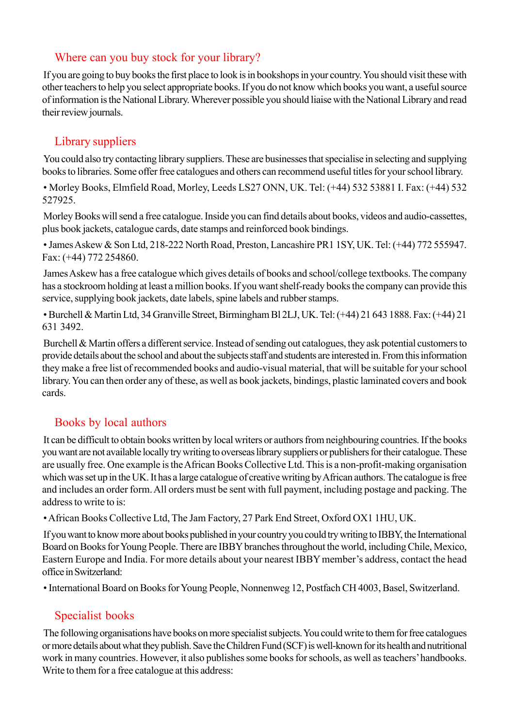#### Where can you buy stock for your library?

If you are going to buy books the first place to look is in bookshops in your country. You should visit these with other teachers to help you select appropriate books. If you do not know which books you want, a useful source of information is the National Library. Wherever possible you should liaise with the National Library and read their review journals.

#### Library suppliers

You could also try contacting library suppliers. These are businesses that specialise in selecting and supplying books to libraries. Some offer free catalogues and others can recommend useful titles for your school library.

• Morley Books, Elmfield Road, Morley, Leeds LS27 ONN, UK. Tel: (+44) 532 53881 I. Fax: (+44) 532 527925.

Morley Books will send a free catalogue. Inside you can find details about books, videos and audio-cassettes, plus book jackets, catalogue cards, date stamps and reinforced book bindings.

• James Askew & Son Ltd, 218-222 North Road, Preston, Lancashire PR1 1SY, UK. Tel: (+44) 772 555947. Fax: (+44) 772 254860.

James Askew has a free catalogue which gives details of books and school/college textbooks. The company has a stockroom holding at least a million books. If you want shelf-ready books the company can provide this service, supplying book jackets, date labels, spine labels and rubber stamps.

• Burchell & Martin Ltd, 34 Granville Street, Birmingham Bl 2LJ, UK. Tel: (+44) 21 643 1888. Fax: (+44) 21 631 3492.

Burchell & Martin offers a different service. Instead of sending out catalogues, they ask potential customers to provide details about the school and about the subjects staff and students are interested in. From this information they make a free list of recommended books and audio-visual material, that will be suitable for your school library. You can then order any of these, as well as book jackets, bindings, plastic laminated covers and book cards.

### Books by local authors

It can be difficult to obtain books written by local writers or authors from neighbouring countries. If the books you want are not available locally try writing to overseas library suppliers or publishers for their catalogue. These are usually free. One example is the African Books Collective Ltd. This is a non-profit-making organisation which was set up in the UK. It has a large catalogue of creative writing by African authors. The catalogue is free and includes an order form. All orders must be sent with full payment, including postage and packing. The address to write to is:

• African Books Collective Ltd, The Jam Factory, 27 Park End Street, Oxford OX1 1HU, UK.

If you want to know more about books published in your country you could try writing to IBBY, the International Board on Books for Young People. There are IBBY branches throughout the world, including Chile, Mexico, Eastern Europe and India. For more details about your nearest IBBY member's address, contact the head office in Switzerland:

• International Board on Books for Young People, Nonnenweg 12, Postfach CH 4003, Basel, Switzerland.

### Specialist books

The following organisations have books on more specialist subjects. You could write to them for free catalogues or more details about what they publish. Save the Children Fund (SCF) is well-known for its health and nutritional work in many countries. However, it also publishes some books for schools, as well as teachers' handbooks. Write to them for a free catalogue at this address: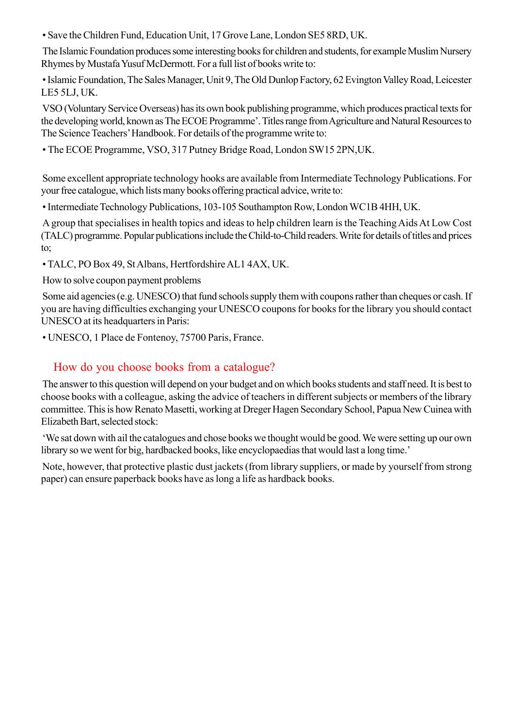• Save the Children Fund, Education Unit, 17 Grove Lane, London SE5 8RD, UK.

The Islamic Foundation produces some interesting books for children and students, for example Muslim Nursery Rhymes by Mustafa Yusuf McDermott. For a full list of books write to:

• Islamic Foundation, The Sales Manager, Unit 9, The Old Dunlop Factory, 62 Evington Valley Road, Leicester LE5 5LJ, UK.

VSO (Voluntary Service Overseas) has its own book publishing programme, which produces practical texts for the developing world, known as The ECOE Programme'. Titles range from Agriculture and Natural Resources to The Science Teachers' Handbook. For details of the programme write to:

• The ECOE Programme, VSO, 317 Putney Bridge Road, London SW15 2PN,UK.

Some excellent appropriate technology hooks are available from Intermediate Technology Publications. For your free catalogue, which lists many books offering practical advice, write to:

• Intermediate Technology Publications, 103-105 Southampton Row, London WC1B 4HH, UK.

A group that specialises in health topics and ideas to help children learn is the Teaching Aids At Low Cost (TALC) programme. Popular publications include the Child-to-Child readers. Write for details of titles and prices to;

• TALC, PO Box 49, St Albans, Hertfordshire AL1 4AX, UK.

How to solve coupon payment problems

Some aid agencies (e.g. UNESCO) that fund schools supply them with coupons rather than cheques or cash. If you are having difficulties exchanging your UNESCO coupons for books for the library you should contact UNESCO at its headquarters in Paris:

• UNESCO, 1 Place de Fontenoy, 75700 Paris, France.

#### How do you choose books from a catalogue?

The answer to this question will depend on your budget and on which books students and staff need. It is best to choose books with a colleague, asking the advice of teachers in different subjects or members of the library committee. This is how Renato Masetti, working at Dreger Hagen Secondary School, Papua New Cuinea with Elizabeth Bart, selected stock:

'We sat down with ail the catalogues and chose books we thought would be good. We were setting up our own library so we went for big, hardbacked books, like encyclopaedias that would last a long time.'

Note, however, that protective plastic dust jackets (from library suppliers, or made by yourself from strong paper) can ensure paperback books have as long a life as hardback books.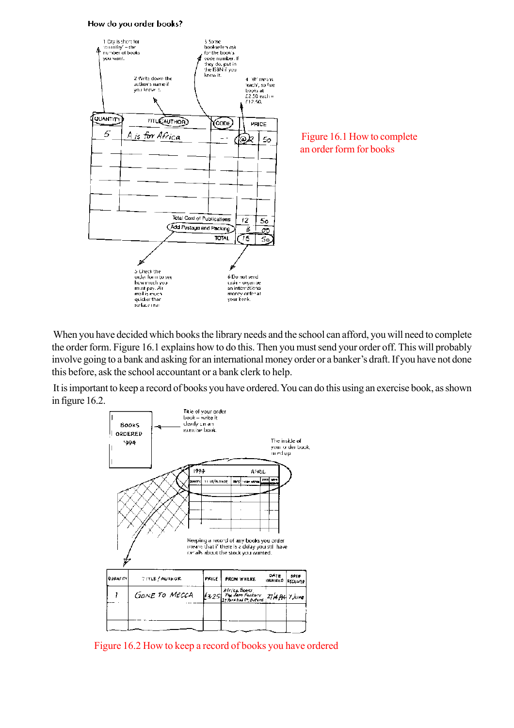#### How do you order books?



When you have decided which books the library needs and the school can afford, you will need to complete the order form. Figure 16.1 explains how to do this. Then you must send your order off. This will probably involve going to a bank and asking for an international money order or a banker's draft. If you have not done this before, ask the school accountant or a bank clerk to help.

It is important to keep a record of books you have ordered. You can do this using an exercise book, as shown in figure 16.2.



Figure 16.2 How to keep a record of books you have ordered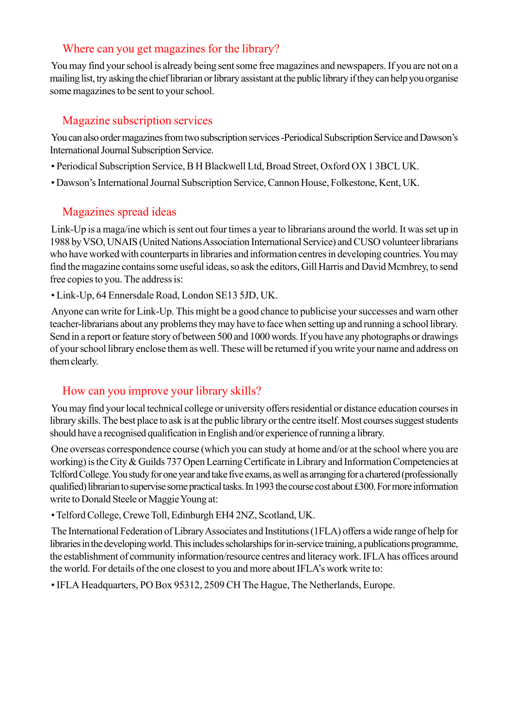#### Where can you get magazines for the library?

You may find your school is already being sent some free magazines and newspapers. If you are not on a mailing list, try asking the chief librarian or library assistant at the public library if they can help you organise some magazines to be sent to your school.

#### Magazine subscription services

You can also order magazines from two subscription services -Periodical Subscription Service and Dawson's International Journal Subscription Service.

- Periodical Subscription Service, B H Blackwell Ltd, Broad Street, Oxford OX 1 3BCL UK.
- Dawson's International Journal Subscription Service, Cannon House, Folkestone, Kent, UK.

### Magazines spread ideas

Link-Up is a maga/ine which is sent out four times a year to librarians around the world. It was set up in 1988 by VSO, UNAIS (United Nations Association International Service) and CUSO volunteer librarians who have worked with counterparts in libraries and information centres in developing countries. You may find the magazine contains some useful ideas, so ask the editors, Gill Harris and David Mcmbrey, to send free copies to you. The address is:

• Link-Up, 64 Ennersdale Road, London SE13 5JD, UK.

Anyone can write for Link-Up. This might be a good chance to publicise your successes and warn other teacher-librarians about any problems they may have to face when setting up and running a school library. Send in a report or feature story of between 500 and 1000 words. If you have any photographs or drawings of your school library enclose them as well. These will be returned if you write your name and address on them clearly.

#### How can you improve your library skills?

You may find your local technical college or university offers residential or distance education courses in library skills. The best place to ask is at the public library or the centre itself. Most courses suggest students should have a recognised qualification in English and/or experience of running a library.

One overseas correspondence course (which you can study at home and/or at the school where you are working) is the City & Guilds 737 Open Learning Certificate in Library and Information Competencies at Tclford College. You study for one year and take five exams, as well as arranging for a chartered (professionally qualified) librarian to supervise some practical tasks. In 1993 the course cost about £300. For more information write to Donald Steele or Maggie Young at:

• Telford College, Crewe Toll, Edinburgh EH4 2NZ, Scotland, UK.

The International Federation of Library Associates and Institutions (1FLA) offers a wide range of help for libraries in the developing world. This includes scholarships for in-service training, a publications programme, the establishment of community information/resource centres and literacy work. IFLA has offices around the world. For details of the one closest to you and more about IFLA's work write to:

• IFLA Headquarters, PO Box 95312, 2509 CH The Hague, The Netherlands, Europe.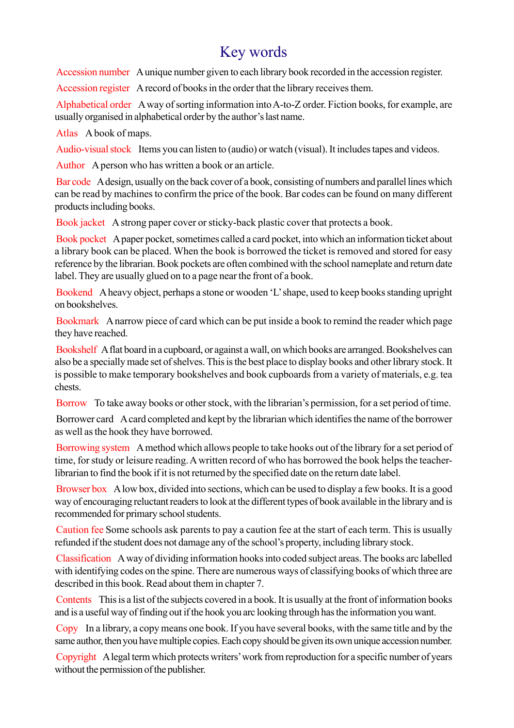# Key words

Accession number A unique number given to each library book recorded in the accession register.

Accession register A record of books in the order that the library receives them.

Alphabetical order A way of sorting information into A-to-Z order. Fiction books, for example, are usually organised in alphabetical order by the author's last name.

Atlas A book of maps.

Audio-visual stock Items you can listen to (audio) or watch (visual). It includes tapes and videos.

Author A person who has written a book or an article.

Bar code A design, usually on the back cover of a book, consisting of numbers and parallel lines which can be read by machines to confirm the price of the book. Bar codes can be found on many different products including books.

Book jacket A strong paper cover or sticky-back plastic cover that protects a book.

Book pocket A paper pocket, sometimes called a card pocket, into which an information ticket about a library book can be placed. When the book is borrowed the ticket is removed and stored for easy reference by the librarian. Book pockets are often combined with the school nameplate and return date label. They are usually glued on to a page near the front of a book.

Bookend A heavy object, perhaps a stone or wooden 'L' shape, used to keep books standing upright on bookshelves.

Bookmark A narrow piece of card which can be put inside a book to remind the reader which page they have reached.

Bookshelf A flat board in a cupboard, or against a wall, on which books are arranged. Bookshelves can also be a specially made set of shelves. This is the best place to display books and other library stock. It is possible to make temporary bookshelves and book cupboards from a variety of materials, e.g. tea chests.

Borrow To take away books or other stock, with the librarian's permission, for a set period of time.

Borrower card A card completed and kept by the librarian which identifies the name of the borrower as well as the hook they have borrowed.

Borrowing system A method which allows people to take hooks out of the library for a set period of time, for study or leisure reading. A written record of who has borrowed the book helps the teacherlibrarian to find the book if it is not returned by the specified date on the return date label.

Browser box A low box, divided into sections, which can be used to display a few books. It is a good way of encouraging reluctant readers to look at the different types of book available in the library and is recommended for primary school students.

Caution fee Some schools ask parents to pay a caution fee at the start of each term. This is usually refunded if the student does not damage any of the school's property, including library stock.

Classification A way of dividing information hooks into coded subject areas. The books arc labelled with identifying codes on the spine. There are numerous ways of classifying books of which three are described in this book. Read about them in chapter 7.

Contents This is a list of the subjects covered in a book. It is usually at the front of information books and is a useful way of finding out if the hook you arc looking through has the information you want.

Copy In a library, a copy means one book. If you have several books, with the same title and by the same author, then you have multiple copies. Each copy should be given its own unique accession number.

Copyright A legal term which protects writers' work from reproduction for a specific number of years without the permission of the publisher.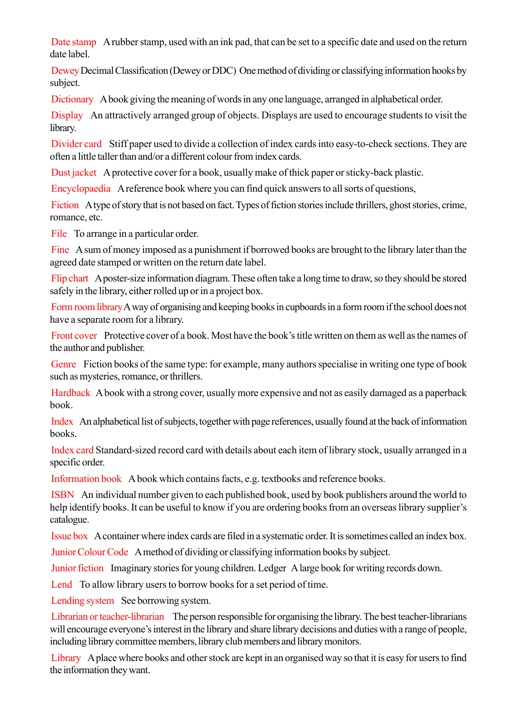Date stamp A rubber stamp, used with an ink pad, that can be set to a specific date and used on the return date label.

Dewey Decimal Classification (Dewey or DDC) One method of dividing or classifying information hooks by subject.

Dictionary A book giving the meaning of words in any one language, arranged in alphabetical order.

Display An attractively arranged group of objects. Displays are used to encourage students to visit the library.

Divider card Stiff paper used to divide a collection of index cards into easy-to-check sections. They are often a little taller than and/or a different colour from index cards.

Dust jacket A protective cover for a book, usually make of thick paper or sticky-back plastic.

Encyclopaedia A reference book where you can find quick answers to all sorts of questions,

Fiction A type of story that is not based on fact. Types of fiction stories include thrillers, ghost stories, crime, romance, etc.

File To arrange in a particular order.

Fine A sum of money imposed as a punishment if borrowed books are brought to the library later than the agreed date stamped or written on the return date label.

Flip chart A poster-size information diagram. These often take a long time to draw, so they should be stored safely in the library, either rolled up or in a project box.

Form room library A way of organising and keeping books in cupboards in a form room if the school does not have a separate room for a library.

Front cover Protective cover of a book. Most have the book's title written on them as well as the names of the author and publisher.

Genre Fiction books of the same type: for example, many authors specialise in writing one type of book such as mysteries, romance, or thrillers.

Hardback A book with a strong cover, usually more expensive and not as easily damaged as a paperback book.

Index An alphabetical list of subjects, together with page references, usually found at the back of information books.

Index card Standard-sized record card with details about each item of library stock, usually arranged in a specific order.

Information book A book which contains facts, e.g. textbooks and reference books.

ISBN An individual number given to each published book, used by book publishers around the world to help identify books. It can be useful to know if you are ordering books from an overseas library supplier's catalogue.

Issue box A container where index cards are filed in a systematic order. It is sometimes called an index box.

Junior Colour Code A method of dividing or classifying information books by subject.

Junior fiction Imaginary stories for young children. Ledger A large book for writing records down.

Lend To allow library users to borrow books for a set period of time.

Lending system See borrowing system.

Librarian or teacher-librarian The person responsible for organising the library. The best teacher-librarians will encourage everyone's interest in the library and share library decisions and duties with a range of people, including library committee members, library club members and library monitors.

Library A place where books and other stock are kept in an organised way so that it is easy for users to find the information they want.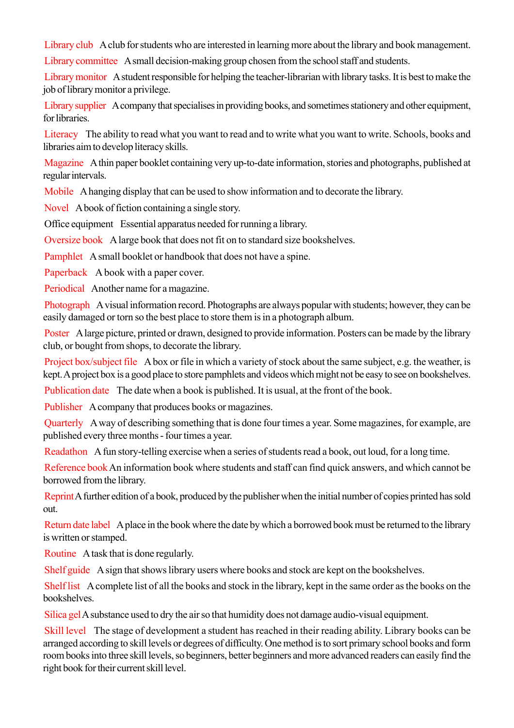Library club A club for students who are interested in learning more about the library and book management.

Library committee A small decision-making group chosen from the school staff and students.

Library monitor A student responsible for helping the teacher-librarian with library tasks. It is best to make the job of library monitor a privilege.

Library supplier A company that specialises in providing books, and sometimes stationery and other equipment, for libraries.

Literacy The ability to read what you want to read and to write what you want to write. Schools, books and libraries aim to develop literacy skills.

Magazine A thin paper booklet containing very up-to-date information, stories and photographs, published at regular intervals.

Mobile A hanging display that can be used to show information and to decorate the library.

Novel A book of fiction containing a single story.

Office equipment Essential apparatus needed for running a library.

Oversize book A large book that does not fit on to standard size bookshelves.

Pamphlet A small booklet or handbook that does not have a spine.

Paperback A book with a paper cover.

Periodical Another name for a magazine.

Photograph A visual information record. Photographs are always popular with students; however, they can be easily damaged or torn so the best place to store them is in a photograph album.

Poster A large picture, printed or drawn, designed to provide information. Posters can be made by the library club, or bought from shops, to decorate the library.

Project box/subject file A box or file in which a variety of stock about the same subject, e.g. the weather, is kept. A project box is a good place to store pamphlets and videos which might not be easy to see on bookshelves.

Publication date The date when a book is published. It is usual, at the front of the book.

Publisher A company that produces books or magazines.

Quarterly A way of describing something that is done four times a year. Some magazines, for example, are published every three months - four times a year.

Readathon A fun story-telling exercise when a series of students read a book, out loud, for a long time.

Reference bookAn information book where students and staff can find quick answers, and which cannot be borrowed from the library.

Reprint A further edition of a book, produced by the publisher when the initial number of copies printed has sold out.

Return date label A place in the book where the date by which a borrowed book must be returned to the library is written or stamped.

Routine A task that is done regularly.

Shelf guide A sign that shows library users where books and stock are kept on the bookshelves.

Shelf list A complete list of all the books and stock in the library, kept in the same order as the books on the **bookshelves** 

Silica gel A substance used to dry the air so that humidity does not damage audio-visual equipment.

Skill level The stage of development a student has reached in their reading ability. Library books can be arranged according to skill levels or degrees of difficulty. One method is to sort primary school books and form room books into three skill levels, so beginners, better beginners and more advanced readers can easily find the right book for their current skill level.